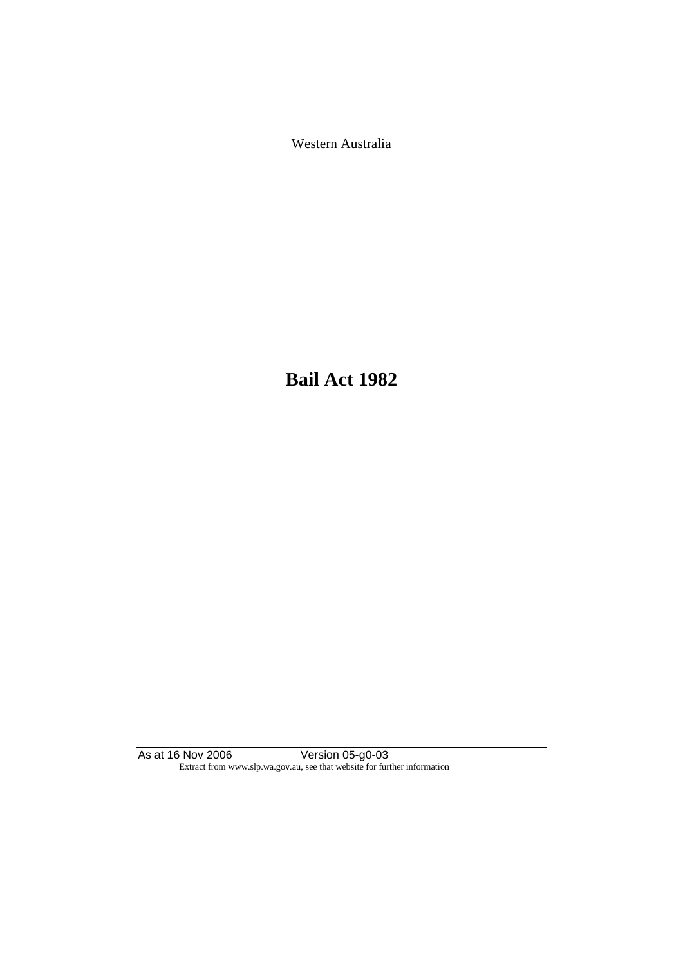Western Australia

**Bail Act 1982**

As at 16 Nov 2006 Version 05-g0-03 Extract from www.slp.wa.gov.au, see that website for further information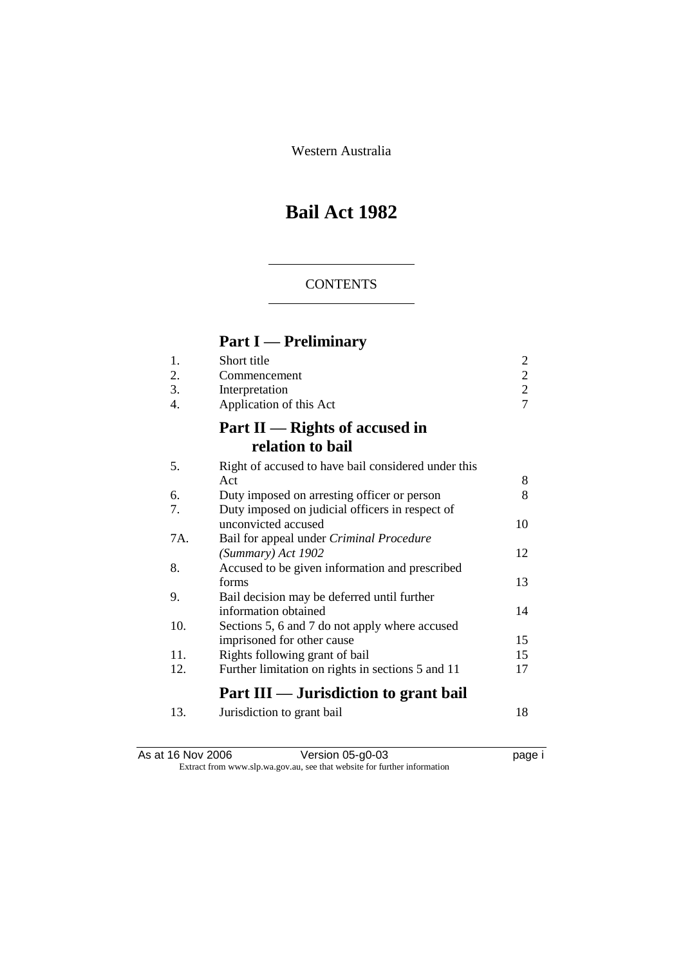Western Australia

# **Bail Act 1982**

# **CONTENTS**

# **Part I — Preliminary**

| 1.  | Short title                                         | 2              |
|-----|-----------------------------------------------------|----------------|
| 2.  | Commencement                                        | $\overline{c}$ |
| 3.  | Interpretation                                      | $\overline{c}$ |
| 4.  | Application of this Act                             | $\overline{7}$ |
|     | Part $II$ — Rights of accused in                    |                |
|     | relation to bail                                    |                |
| 5.  | Right of accused to have bail considered under this |                |
|     | Act                                                 | 8              |
| 6.  | Duty imposed on arresting officer or person         | 8              |
| 7.  | Duty imposed on judicial officers in respect of     |                |
|     | unconvicted accused                                 | 10             |
| 7A. | Bail for appeal under Criminal Procedure            |                |
|     | (Summary) Act 1902                                  | 12             |
| 8.  | Accused to be given information and prescribed      |                |
|     | forms                                               | 13             |
| 9.  | Bail decision may be deferred until further         |                |
|     | information obtained                                | 14             |
| 10. | Sections 5, 6 and 7 do not apply where accused      |                |
|     | imprisoned for other cause                          | 15             |
| 11. | Rights following grant of bail                      | 15             |
| 12. | Further limitation on rights in sections 5 and 11   | 17             |
|     | Part III — Jurisdiction to grant bail               |                |
| 13. | Jurisdiction to grant bail                          | 18             |

| As at 16 Nov 2006 | Version $05-g0-03$                                                       | page i |
|-------------------|--------------------------------------------------------------------------|--------|
|                   | Extract from www.slp.wa.gov.au, see that website for further information |        |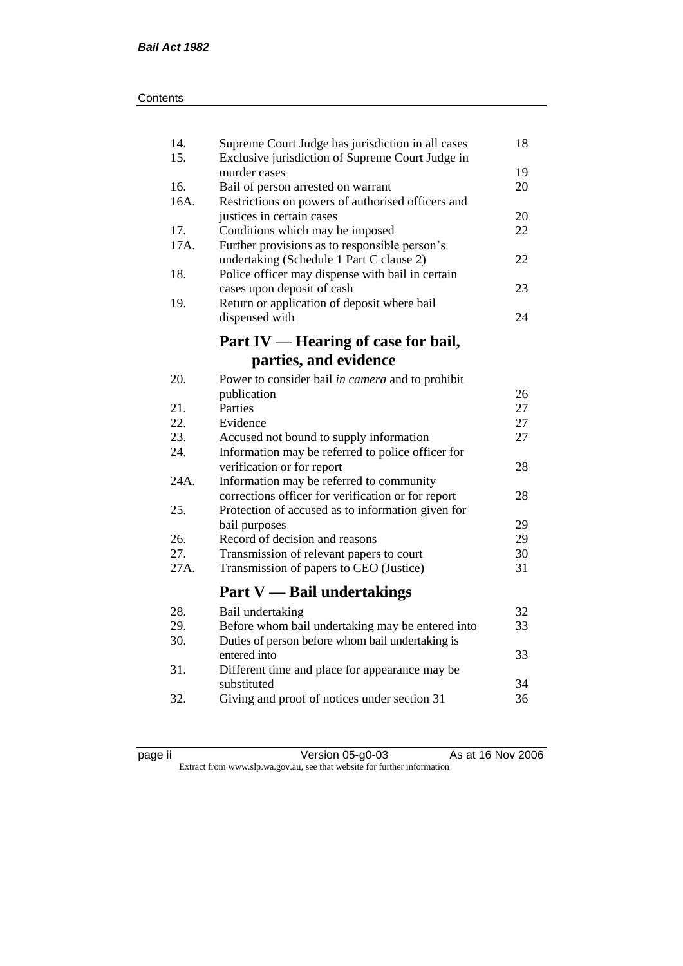| 14.<br>15. | Supreme Court Judge has jurisdiction in all cases<br>Exclusive jurisdiction of Supreme Court Judge in | 18 |
|------------|-------------------------------------------------------------------------------------------------------|----|
|            | murder cases                                                                                          | 19 |
| 16.        | Bail of person arrested on warrant                                                                    | 20 |
| 16A.       | Restrictions on powers of authorised officers and                                                     |    |
|            | justices in certain cases                                                                             | 20 |
| 17.        | Conditions which may be imposed                                                                       | 22 |
| 17A.       | Further provisions as to responsible person's                                                         |    |
|            | undertaking (Schedule 1 Part C clause 2)                                                              | 22 |
| 18.        | Police officer may dispense with bail in certain                                                      |    |
|            | cases upon deposit of cash                                                                            | 23 |
| 19.        | Return or application of deposit where bail                                                           |    |
|            | dispensed with                                                                                        | 24 |
|            | Part IV — Hearing of case for bail,                                                                   |    |
|            | parties, and evidence                                                                                 |    |
| 20.        |                                                                                                       |    |
|            | Power to consider bail in camera and to prohibit                                                      | 26 |
|            | publication<br>Parties                                                                                | 27 |
| 21.<br>22. |                                                                                                       |    |
|            | Evidence                                                                                              | 27 |
| 23.        | Accused not bound to supply information                                                               | 27 |
| 24.        | Information may be referred to police officer for                                                     |    |
|            | verification or for report                                                                            | 28 |
| 24A.       | Information may be referred to community                                                              |    |
|            | corrections officer for verification or for report                                                    | 28 |
| 25.        | Protection of accused as to information given for                                                     |    |
|            | bail purposes                                                                                         | 29 |
| 26.        | Record of decision and reasons                                                                        | 29 |
| 27.        | Transmission of relevant papers to court                                                              | 30 |
| 27A.       | Transmission of papers to CEO (Justice)                                                               | 31 |
|            | <b>Part V</b> — Bail undertakings                                                                     |    |
| 28.        | Bail undertaking                                                                                      | 32 |
| 29.        | Before whom bail undertaking may be entered into                                                      | 33 |
| 30.        | Duties of person before whom bail undertaking is                                                      |    |
|            | entered into                                                                                          | 33 |
| 31.        | Different time and place for appearance may be                                                        |    |
|            | substituted                                                                                           | 34 |
| 32.        | Giving and proof of notices under section 31                                                          | 36 |
|            |                                                                                                       |    |

page ii Version 05-g0-03 As at 16 Nov 2006 Extract from www.slp.wa.gov.au, see that website for further information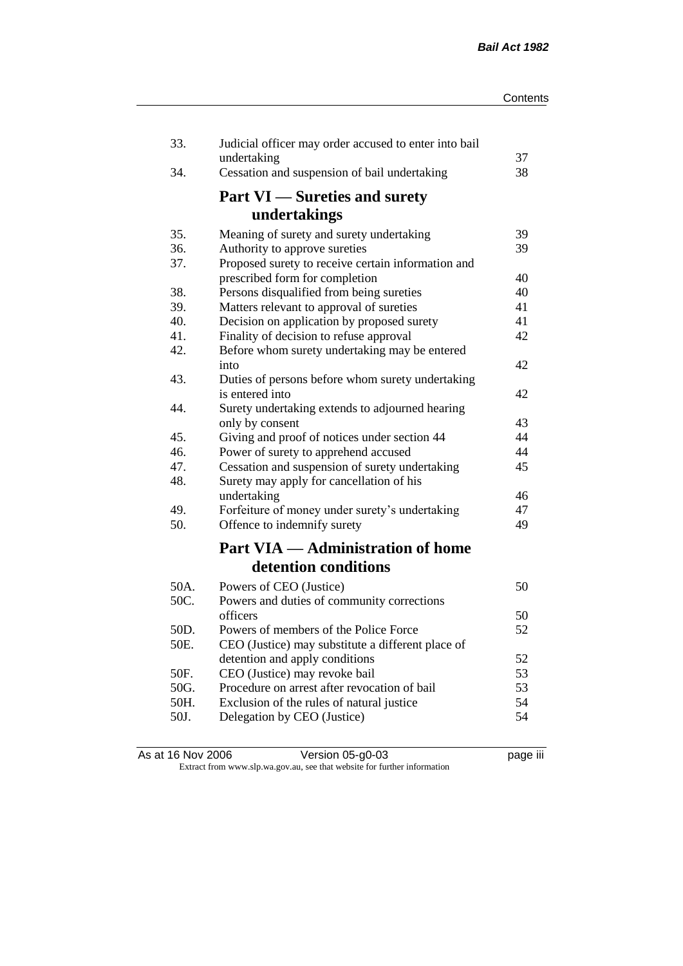| 33.  | Judicial officer may order accused to enter into bail<br>undertaking | 37 |
|------|----------------------------------------------------------------------|----|
| 34.  | Cessation and suspension of bail undertaking                         | 38 |
|      | <b>Part VI</b> — Sureties and surety                                 |    |
|      | undertakings                                                         |    |
| 35.  | Meaning of surety and surety undertaking                             | 39 |
| 36.  | Authority to approve sureties                                        | 39 |
| 37.  | Proposed surety to receive certain information and                   |    |
|      | prescribed form for completion                                       | 40 |
| 38.  | Persons disqualified from being sureties                             | 40 |
| 39.  | Matters relevant to approval of sureties                             | 41 |
| 40.  | Decision on application by proposed surety                           | 41 |
| 41.  | Finality of decision to refuse approval                              | 42 |
| 42.  | Before whom surety undertaking may be entered                        |    |
|      | into                                                                 | 42 |
| 43.  | Duties of persons before whom surety undertaking<br>is entered into  | 42 |
| 44.  |                                                                      |    |
|      | Surety undertaking extends to adjourned hearing<br>only by consent   | 43 |
| 45.  | Giving and proof of notices under section 44                         | 44 |
| 46.  | Power of surety to apprehend accused                                 | 44 |
| 47.  | Cessation and suspension of surety undertaking                       | 45 |
| 48.  | Surety may apply for cancellation of his                             |    |
|      | undertaking                                                          | 46 |
| 49.  | Forfeiture of money under surety's undertaking                       | 47 |
| 50.  | Offence to indemnify surety                                          | 49 |
|      | <b>Part VIA — Administration of home</b>                             |    |
|      | detention conditions                                                 |    |
| 50A. | Powers of CEO (Justice)                                              | 50 |
| 50C. | Powers and duties of community corrections                           |    |
|      | officers                                                             | 50 |
| 50D. | Powers of members of the Police Force                                | 52 |
| 50E. | CEO (Justice) may substitute a different place of                    |    |
|      | detention and apply conditions                                       | 52 |
| 50F. | CEO (Justice) may revoke bail                                        | 53 |
| 50G. | Procedure on arrest after revocation of bail                         | 53 |
| 50H. | Exclusion of the rules of natural justice                            | 54 |
| 50J. | Delegation by CEO (Justice)                                          | 54 |
|      |                                                                      |    |

| As at 16 Nov 2006 | Version 05-g0-03                                                         | <br>page III |
|-------------------|--------------------------------------------------------------------------|--------------|
|                   | Extract from www.slp.wa.gov.au, see that website for further information |              |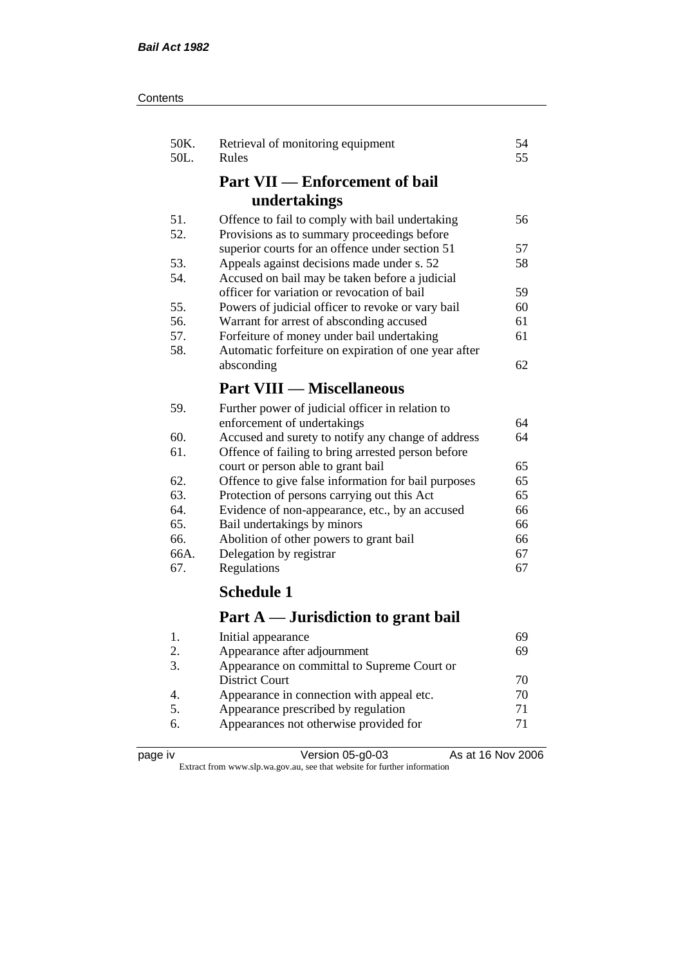|--|

| 50K.<br>50L.  | Retrieval of monitoring equipment<br>Rules            | 54<br>55 |
|---------------|-------------------------------------------------------|----------|
|               | <b>Part VII — Enforcement of bail</b><br>undertakings |          |
| 51.           | Offence to fail to comply with bail undertaking       | 56       |
| 52.           | Provisions as to summary proceedings before           |          |
|               | superior courts for an offence under section 51       | 57       |
| 53.           | Appeals against decisions made under s. 52            | 58       |
| 54.           | Accused on bail may be taken before a judicial        |          |
|               | officer for variation or revocation of bail           | 59       |
| 55.           | Powers of judicial officer to revoke or vary bail     | 60       |
| 56.           | Warrant for arrest of absconding accused              | 61       |
| 57.           | Forfeiture of money under bail undertaking            | 61       |
| 58.           | Automatic forfeiture on expiration of one year after  |          |
|               | absconding                                            | 62       |
|               | <b>Part VIII — Miscellaneous</b>                      |          |
| 59.           | Further power of judicial officer in relation to      |          |
|               | enforcement of undertakings                           | 64       |
| 60.           | Accused and surety to notify any change of address    | 64       |
| 61.           | Offence of failing to bring arrested person before    |          |
|               | court or person able to grant bail                    | 65       |
| 62.           | Offence to give false information for bail purposes   | 65       |
| 63.           | Protection of persons carrying out this Act           | 65       |
| 64.           | Evidence of non-appearance, etc., by an accused       | 66       |
| 65.           | Bail undertakings by minors                           | 66       |
| 66.           | Abolition of other powers to grant bail               | 66       |
| 66A.          | Delegation by registrar                               | 67       |
| 67.           | Regulations                                           | 67       |
|               | <b>Schedule 1</b>                                     |          |
|               | Part A — Jurisdiction to grant bail                   |          |
| 1.            | Initial appearance                                    | 69       |
| $\mathcal{D}$ | Annearance after adjournment                          | 69       |

| -1.          | mittal appearance                           | nУ |
|--------------|---------------------------------------------|----|
| 2.           | Appearance after adjournment                | 69 |
|              | Appearance on committal to Supreme Court or |    |
|              | District Court                              | 70 |
| $\mathbf{4}$ | Appearance in connection with appeal etc.   | 70 |
|              | Appearance prescribed by regulation         | 71 |
| 6.           | Appearances not otherwise provided for      | 71 |
|              |                                             |    |

page iv Version 05-g0-03 As at 16 Nov 2006 Extract from www.slp.wa.gov.au, see that website for further information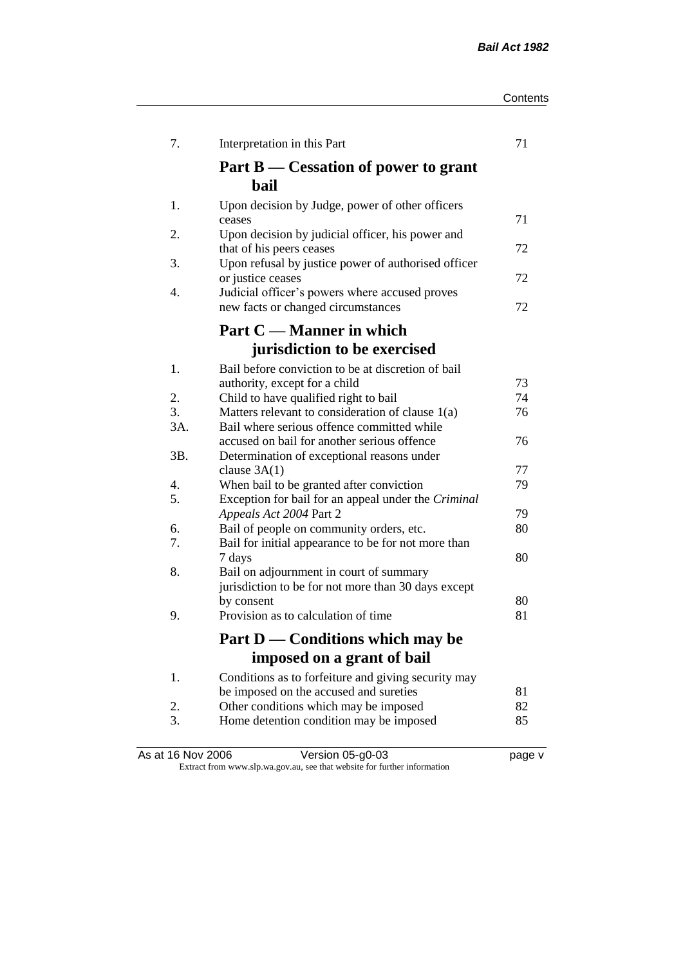| Contents |  |
|----------|--|
|----------|--|

| 7.        | Interpretation in this Part                                                                    | 71       |
|-----------|------------------------------------------------------------------------------------------------|----------|
|           | Part $B$ — Cessation of power to grant<br>bail                                                 |          |
| 1.        | Upon decision by Judge, power of other officers                                                |          |
| 2.        | ceases<br>Upon decision by judicial officer, his power and                                     | 71       |
| 3.        | that of his peers ceases<br>Upon refusal by justice power of authorised officer                | 72       |
|           | or justice ceases                                                                              | 72       |
| 4.        | Judicial officer's powers where accused proves<br>new facts or changed circumstances           | 72       |
|           | Part C — Manner in which                                                                       |          |
|           | jurisdiction to be exercised                                                                   |          |
| 1.        | Bail before conviction to be at discretion of bail<br>authority, except for a child            | 73       |
| 2.        | Child to have qualified right to bail                                                          | 74       |
| 3.<br>3A. | Matters relevant to consideration of clause 1(a)<br>Bail where serious offence committed while | 76       |
|           | accused on bail for another serious offence                                                    | 76       |
| 3B.       | Determination of exceptional reasons under                                                     | 77       |
| 4.        | clause $3A(1)$<br>When bail to be granted after conviction                                     | 79       |
| 5.        | Exception for bail for an appeal under the Criminal                                            | 79       |
| 6.        | Appeals Act 2004 Part 2<br>Bail of people on community orders, etc.                            | 80       |
| 7.        | Bail for initial appearance to be for not more than                                            |          |
|           | 7 days                                                                                         | 80       |
| 8.        | Bail on adjournment in court of summary<br>jurisdiction to be for not more than 30 days except |          |
| 9.        | by consent<br>Provision as to calculation of time                                              | 80<br>81 |
|           |                                                                                                |          |
|           | Part D - Conditions which may be                                                               |          |
|           | imposed on a grant of bail                                                                     |          |
| 1.        | Conditions as to forfeiture and giving security may                                            |          |
|           | be imposed on the accused and sureties                                                         | 81       |
| 2.<br>3.  | Other conditions which may be imposed<br>Home detention condition may be imposed               | 82<br>85 |

| As at 16 Nov 2006 | Version 05-g0-03                                                         | page v |
|-------------------|--------------------------------------------------------------------------|--------|
|                   | Extract from www.slp.wa.gov.au, see that website for further information |        |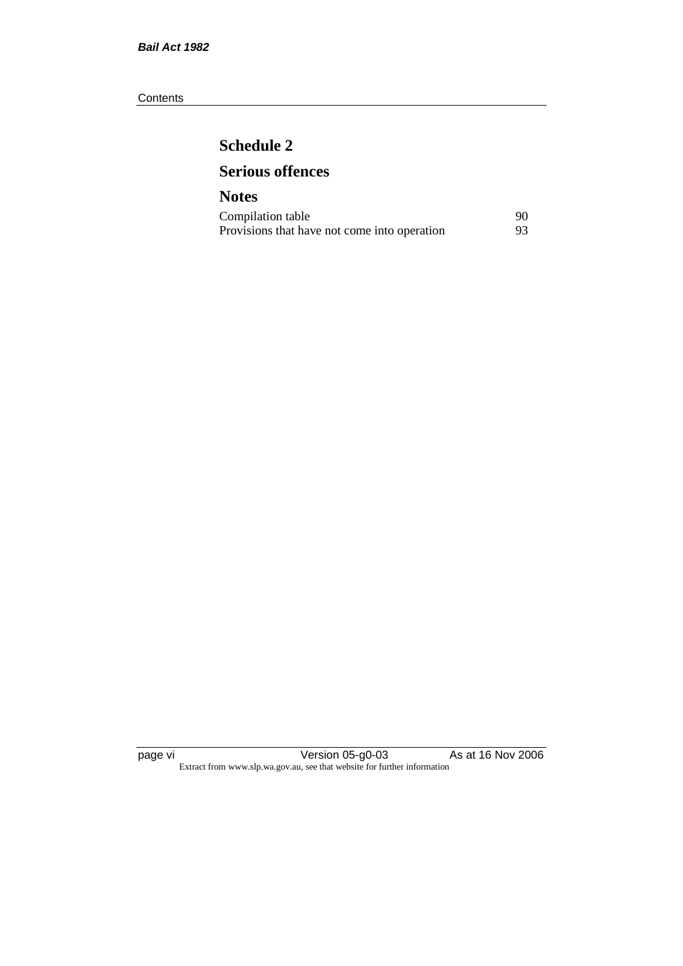#### **Contents**

# **Schedule 2 Serious offences**

# **Notes** Compilation table 90<br>Provisions that have not come into operation 93 Provisions that have not come into operation

page vi Version 05-g0-03 As at 16 Nov 2006 Extract from www.slp.wa.gov.au, see that website for further information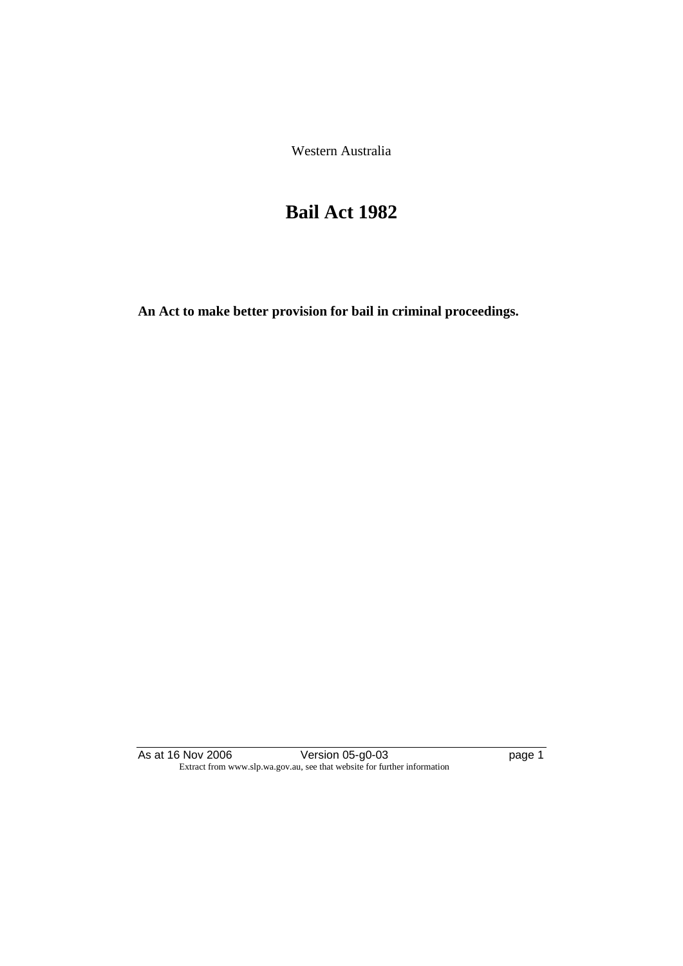Western Australia

# **Bail Act 1982**

**An Act to make better provision for bail in criminal proceedings.** 

As at 16 Nov 2006 **Version 05-g0-03 page 1** Extract from www.slp.wa.gov.au, see that website for further information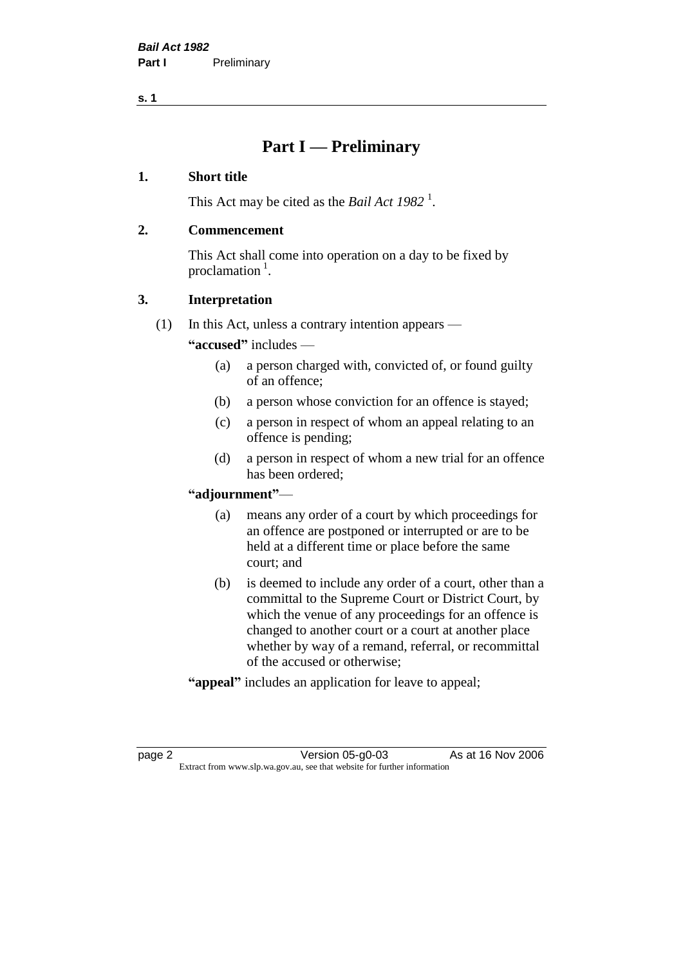# **Part I — Preliminary**

# **1. Short title**

This Act may be cited as the *Bail Act* 1982<sup>1</sup>.

# **2. Commencement**

This Act shall come into operation on a day to be fixed by proclamation  $<sup>1</sup>$ .</sup>

# **3. Interpretation**

(1) In this Act, unless a contrary intention appears —

**"accused"** includes —

- (a) a person charged with, convicted of, or found guilty of an offence;
- (b) a person whose conviction for an offence is stayed;
- (c) a person in respect of whom an appeal relating to an offence is pending;
- (d) a person in respect of whom a new trial for an offence has been ordered;

#### **"adjournment"**—

- (a) means any order of a court by which proceedings for an offence are postponed or interrupted or are to be held at a different time or place before the same court; and
- (b) is deemed to include any order of a court, other than a committal to the Supreme Court or District Court, by which the venue of any proceedings for an offence is changed to another court or a court at another place whether by way of a remand, referral, or recommittal of the accused or otherwise;
- **"appeal"** includes an application for leave to appeal;

page 2 Version 05-g0-03 As at 16 Nov 2006 Extract from www.slp.wa.gov.au, see that website for further information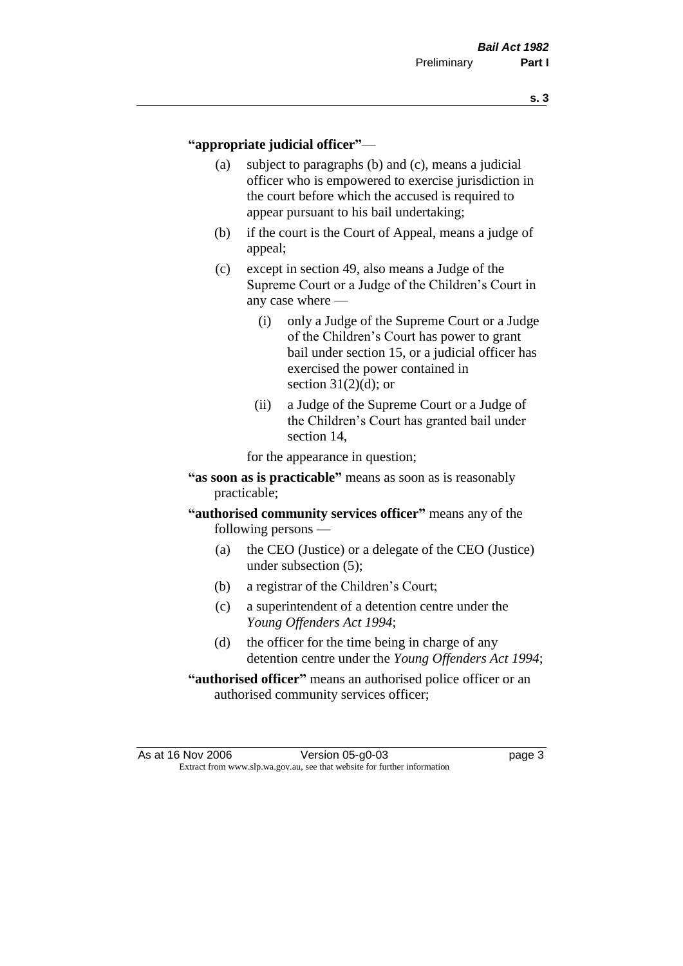#### **"appropriate judicial officer"**—

- (a) subject to paragraphs (b) and (c), means a judicial officer who is empowered to exercise jurisdiction in the court before which the accused is required to appear pursuant to his bail undertaking;
- (b) if the court is the Court of Appeal, means a judge of appeal;
- (c) except in section 49, also means a Judge of the Supreme Court or a Judge of the Children's Court in any case where —
	- (i) only a Judge of the Supreme Court or a Judge of the Children's Court has power to grant bail under section 15, or a judicial officer has exercised the power contained in section  $31(2)(d)$ ; or
	- (ii) a Judge of the Supreme Court or a Judge of the Children's Court has granted bail under section 14,

for the appearance in question;

- **"as soon as is practicable"** means as soon as is reasonably practicable;
- **"authorised community services officer"** means any of the following persons —
	- (a) the CEO (Justice) or a delegate of the CEO (Justice) under subsection (5);
	- (b) a registrar of the Children's Court;
	- (c) a superintendent of a detention centre under the *Young Offenders Act 1994*;
	- (d) the officer for the time being in charge of any detention centre under the *Young Offenders Act 1994*;
- **"authorised officer"** means an authorised police officer or an authorised community services officer;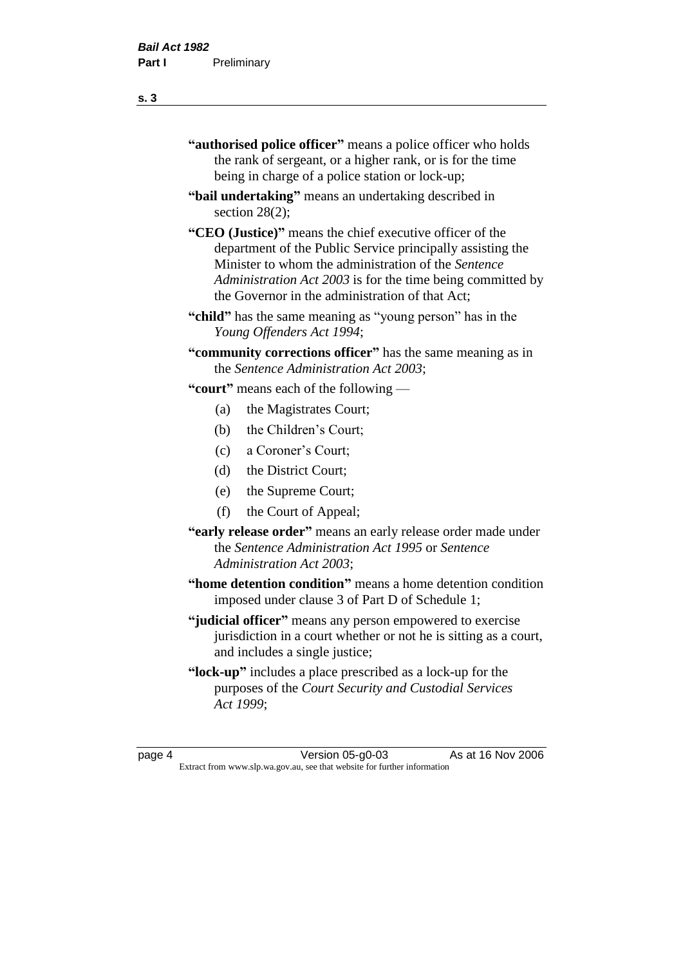| "authorised police officer" means a police officer who holds |
|--------------------------------------------------------------|
| the rank of sergeant, or a higher rank, or is for the time   |
| being in charge of a police station or lock-up;              |

- **"bail undertaking"** means an undertaking described in section 28(2);
- **"CEO (Justice)"** means the chief executive officer of the department of the Public Service principally assisting the Minister to whom the administration of the *Sentence Administration Act 2003* is for the time being committed by the Governor in the administration of that Act;
- **"child"** has the same meaning as "young person" has in the *Young Offenders Act 1994*;
- **"community corrections officer"** has the same meaning as in the *Sentence Administration Act 2003*;

**"court"** means each of the following —

- (a) the Magistrates Court;
- (b) the Children's Court;
- (c) a Coroner's Court;
- (d) the District Court;
- (e) the Supreme Court;
- (f) the Court of Appeal;
- **"early release order"** means an early release order made under the *Sentence Administration Act 1995* or *Sentence Administration Act 2003*;
- **"home detention condition"** means a home detention condition imposed under clause 3 of Part D of Schedule 1;
- **"judicial officer"** means any person empowered to exercise jurisdiction in a court whether or not he is sitting as a court, and includes a single justice;
- **"lock-up"** includes a place prescribed as a lock-up for the purposes of the *Court Security and Custodial Services Act 1999*;

page 4 Version 05-g0-03 As at 16 Nov 2006 Extract from www.slp.wa.gov.au, see that website for further information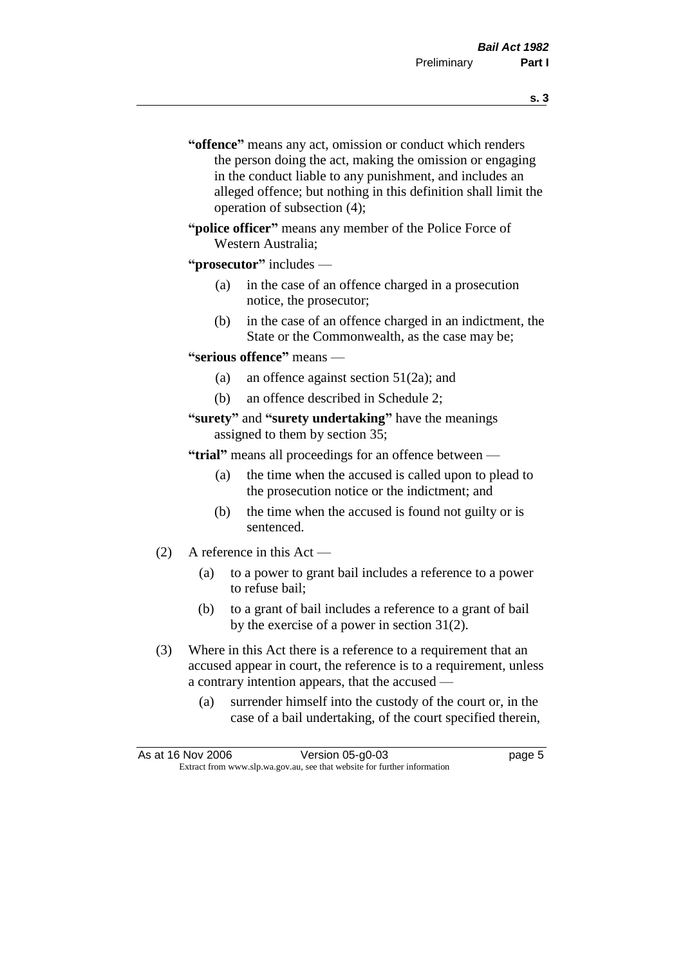- **s. 3**
- **"offence"** means any act, omission or conduct which renders the person doing the act, making the omission or engaging in the conduct liable to any punishment, and includes an alleged offence; but nothing in this definition shall limit the operation of subsection (4);
- **"police officer"** means any member of the Police Force of Western Australia;
- **"prosecutor"** includes
	- (a) in the case of an offence charged in a prosecution notice, the prosecutor;
	- (b) in the case of an offence charged in an indictment, the State or the Commonwealth, as the case may be;
- **"serious offence"** means
	- (a) an offence against section 51(2a); and
	- (b) an offence described in Schedule 2;
- **"surety"** and **"surety undertaking"** have the meanings assigned to them by section 35;

**"trial"** means all proceedings for an offence between —

- (a) the time when the accused is called upon to plead to the prosecution notice or the indictment; and
- (b) the time when the accused is found not guilty or is sentenced.
- (2) A reference in this Act
	- (a) to a power to grant bail includes a reference to a power to refuse bail;
	- (b) to a grant of bail includes a reference to a grant of bail by the exercise of a power in section 31(2).
- (3) Where in this Act there is a reference to a requirement that an accused appear in court, the reference is to a requirement, unless a contrary intention appears, that the accused —
	- (a) surrender himself into the custody of the court or, in the case of a bail undertaking, of the court specified therein,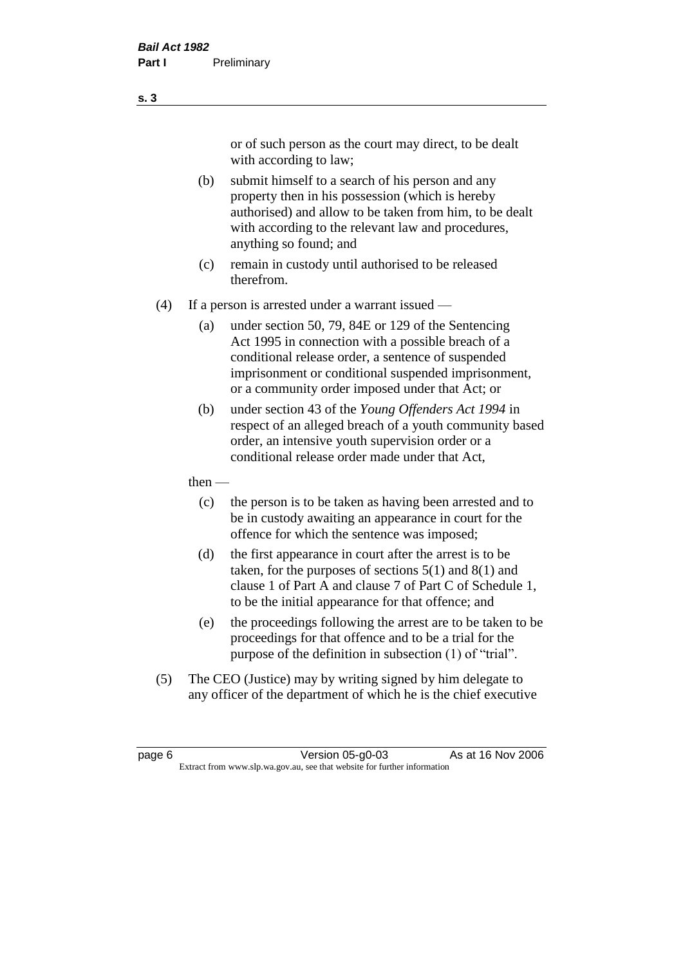or of such person as the court may direct, to be dealt with according to law;

(b) submit himself to a search of his person and any property then in his possession (which is hereby authorised) and allow to be taken from him, to be dealt with according to the relevant law and procedures, anything so found; and

- (c) remain in custody until authorised to be released therefrom.
- (4) If a person is arrested under a warrant issued
	- (a) under section 50, 79, 84E or 129 of the Sentencing Act 1995 in connection with a possible breach of a conditional release order, a sentence of suspended imprisonment or conditional suspended imprisonment, or a community order imposed under that Act; or
	- (b) under section 43 of the *Young Offenders Act 1994* in respect of an alleged breach of a youth community based order, an intensive youth supervision order or a conditional release order made under that Act,
	- then
		- (c) the person is to be taken as having been arrested and to be in custody awaiting an appearance in court for the offence for which the sentence was imposed;
		- (d) the first appearance in court after the arrest is to be taken, for the purposes of sections  $5(1)$  and  $8(1)$  and clause 1 of Part A and clause 7 of Part C of Schedule 1, to be the initial appearance for that offence; and
		- (e) the proceedings following the arrest are to be taken to be proceedings for that offence and to be a trial for the purpose of the definition in subsection (1) of "trial".
- (5) The CEO (Justice) may by writing signed by him delegate to any officer of the department of which he is the chief executive

page 6 **Version 05-g0-03** As at 16 Nov 2006 Extract from www.slp.wa.gov.au, see that website for further information

**s. 3**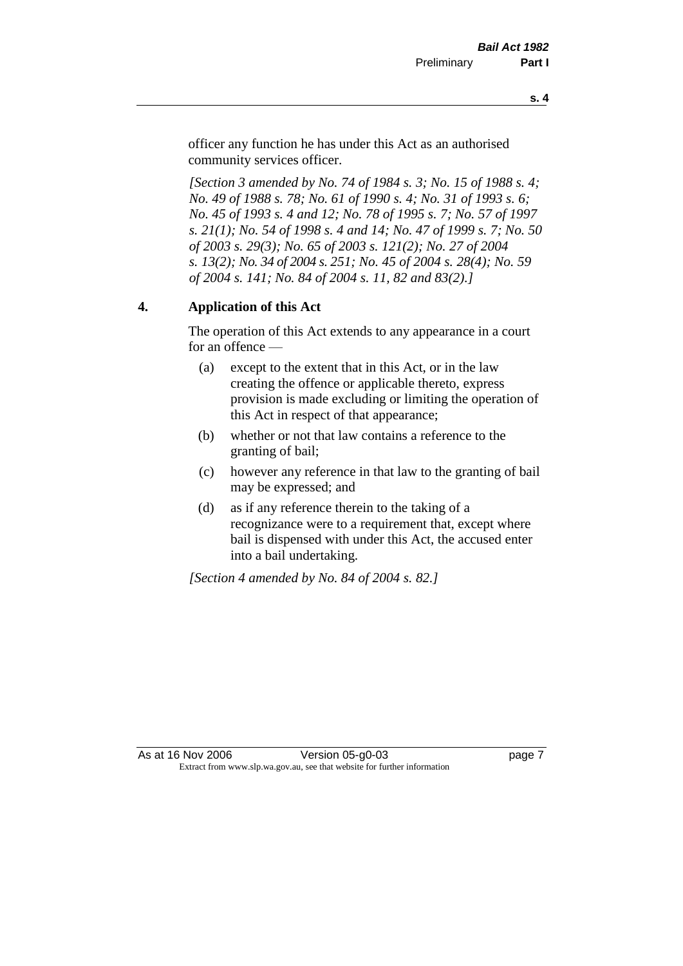officer any function he has under this Act as an authorised community services officer.

*[Section 3 amended by No. 74 of 1984 s. 3; No. 15 of 1988 s. 4; No. 49 of 1988 s. 78; No. 61 of 1990 s. 4; No. 31 of 1993 s. 6; No. 45 of 1993 s. 4 and 12; No. 78 of 1995 s. 7; No. 57 of 1997 s. 21(1); No. 54 of 1998 s. 4 and 14; No. 47 of 1999 s. 7; No. 50 of 2003 s. 29(3); No. 65 of 2003 s. 121(2); No. 27 of 2004 s. 13(2); No. 34 of 2004 s. 251; No. 45 of 2004 s. 28(4); No. 59 of 2004 s. 141; No. 84 of 2004 s. 11, 82 and 83(2).]* 

#### **4. Application of this Act**

The operation of this Act extends to any appearance in a court for an offence —

- (a) except to the extent that in this Act, or in the law creating the offence or applicable thereto, express provision is made excluding or limiting the operation of this Act in respect of that appearance;
- (b) whether or not that law contains a reference to the granting of bail;
- (c) however any reference in that law to the granting of bail may be expressed; and
- (d) as if any reference therein to the taking of a recognizance were to a requirement that, except where bail is dispensed with under this Act, the accused enter into a bail undertaking.

*[Section 4 amended by No. 84 of 2004 s. 82.]*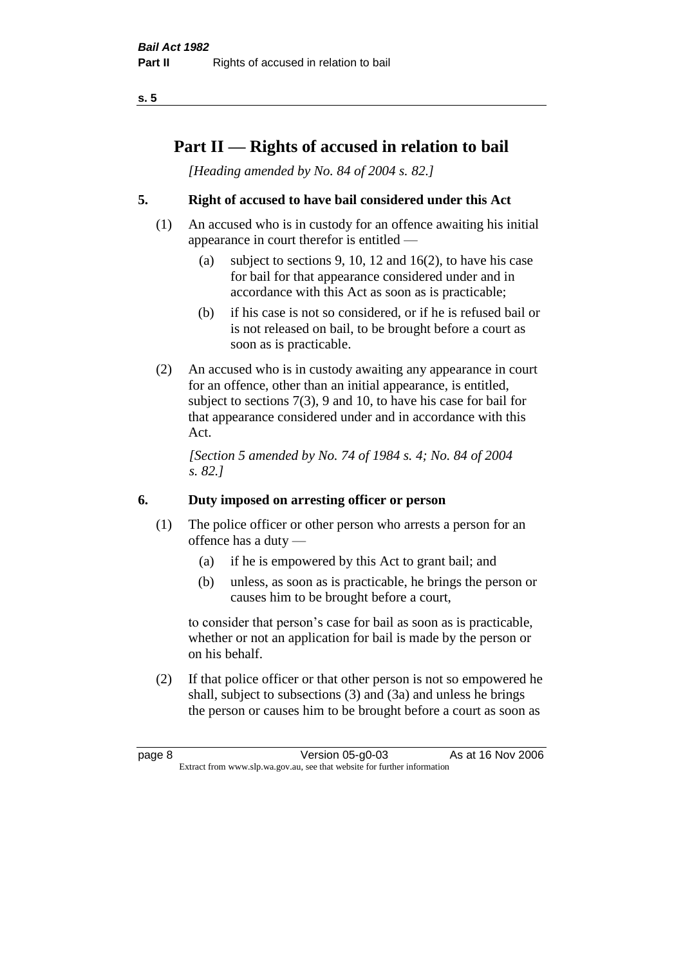# **Part II — Rights of accused in relation to bail**

*[Heading amended by No. 84 of 2004 s. 82.]* 

# **5. Right of accused to have bail considered under this Act**

- (1) An accused who is in custody for an offence awaiting his initial appearance in court therefor is entitled —
	- (a) subject to sections 9, 10, 12 and 16(2), to have his case for bail for that appearance considered under and in accordance with this Act as soon as is practicable;
	- (b) if his case is not so considered, or if he is refused bail or is not released on bail, to be brought before a court as soon as is practicable.
- (2) An accused who is in custody awaiting any appearance in court for an offence, other than an initial appearance, is entitled, subject to sections 7(3), 9 and 10, to have his case for bail for that appearance considered under and in accordance with this Act.

*[Section 5 amended by No. 74 of 1984 s. 4; No. 84 of 2004 s. 82.]* 

# **6. Duty imposed on arresting officer or person**

- (1) The police officer or other person who arrests a person for an offence has a duty —
	- (a) if he is empowered by this Act to grant bail; and
	- (b) unless, as soon as is practicable, he brings the person or causes him to be brought before a court,

to consider that person's case for bail as soon as is practicable, whether or not an application for bail is made by the person or on his behalf.

(2) If that police officer or that other person is not so empowered he shall, subject to subsections (3) and (3a) and unless he brings the person or causes him to be brought before a court as soon as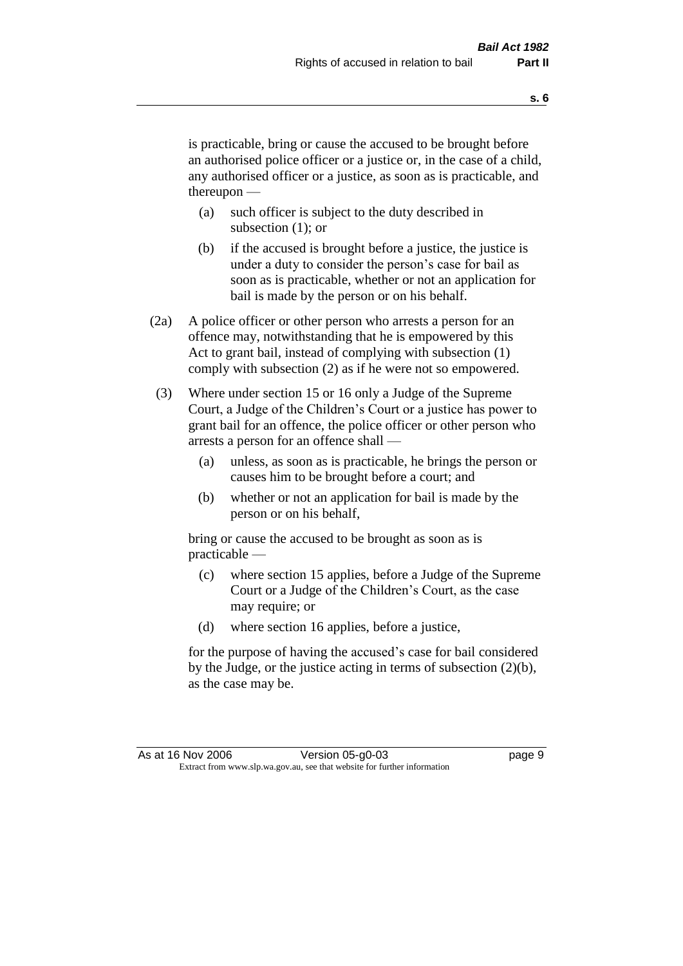is practicable, bring or cause the accused to be brought before an authorised police officer or a justice or, in the case of a child, any authorised officer or a justice, as soon as is practicable, and thereupon —

- (a) such officer is subject to the duty described in subsection (1); or
- (b) if the accused is brought before a justice, the justice is under a duty to consider the person's case for bail as soon as is practicable, whether or not an application for bail is made by the person or on his behalf.
- (2a) A police officer or other person who arrests a person for an offence may, notwithstanding that he is empowered by this Act to grant bail, instead of complying with subsection (1) comply with subsection (2) as if he were not so empowered.
- (3) Where under section 15 or 16 only a Judge of the Supreme Court, a Judge of the Children's Court or a justice has power to grant bail for an offence, the police officer or other person who arrests a person for an offence shall —
	- (a) unless, as soon as is practicable, he brings the person or causes him to be brought before a court; and
	- (b) whether or not an application for bail is made by the person or on his behalf,

bring or cause the accused to be brought as soon as is practicable —

- (c) where section 15 applies, before a Judge of the Supreme Court or a Judge of the Children's Court, as the case may require; or
- (d) where section 16 applies, before a justice,

for the purpose of having the accused's case for bail considered by the Judge, or the justice acting in terms of subsection (2)(b), as the case may be.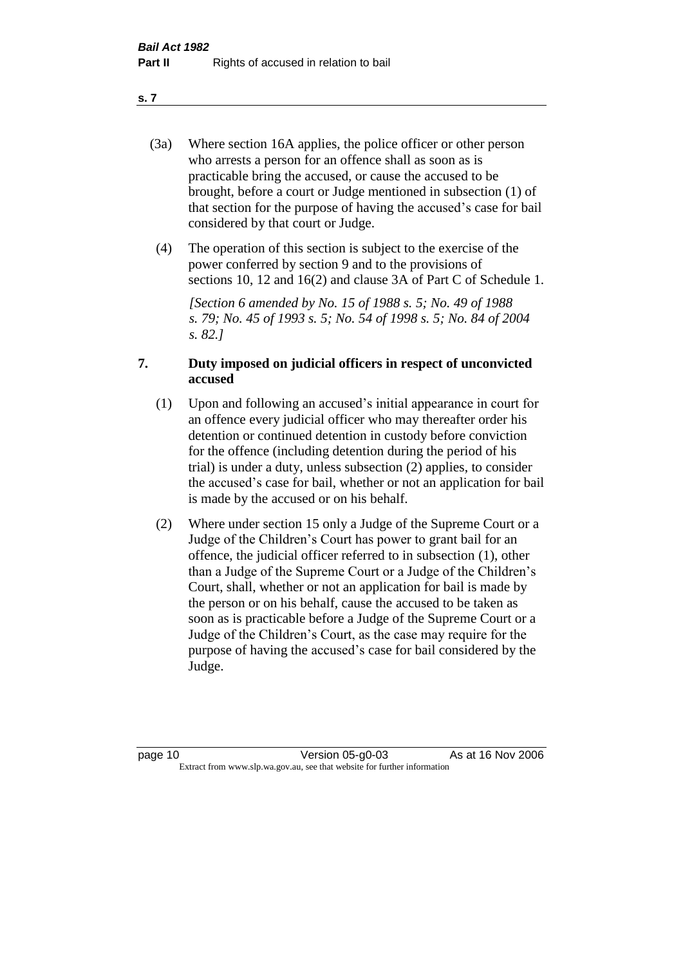- (3a) Where section 16A applies, the police officer or other person who arrests a person for an offence shall as soon as is practicable bring the accused, or cause the accused to be brought, before a court or Judge mentioned in subsection (1) of that section for the purpose of having the accused's case for bail considered by that court or Judge.
- (4) The operation of this section is subject to the exercise of the power conferred by section 9 and to the provisions of sections 10, 12 and 16(2) and clause 3A of Part C of Schedule 1.

*[Section 6 amended by No. 15 of 1988 s. 5; No. 49 of 1988 s. 79; No. 45 of 1993 s. 5; No. 54 of 1998 s. 5; No. 84 of 2004 s. 82.]* 

### **7. Duty imposed on judicial officers in respect of unconvicted accused**

- (1) Upon and following an accused's initial appearance in court for an offence every judicial officer who may thereafter order his detention or continued detention in custody before conviction for the offence (including detention during the period of his trial) is under a duty, unless subsection (2) applies, to consider the accused's case for bail, whether or not an application for bail is made by the accused or on his behalf.
- (2) Where under section 15 only a Judge of the Supreme Court or a Judge of the Children's Court has power to grant bail for an offence, the judicial officer referred to in subsection (1), other than a Judge of the Supreme Court or a Judge of the Children's Court, shall, whether or not an application for bail is made by the person or on his behalf, cause the accused to be taken as soon as is practicable before a Judge of the Supreme Court or a Judge of the Children's Court, as the case may require for the purpose of having the accused's case for bail considered by the Judge.

**s. 7**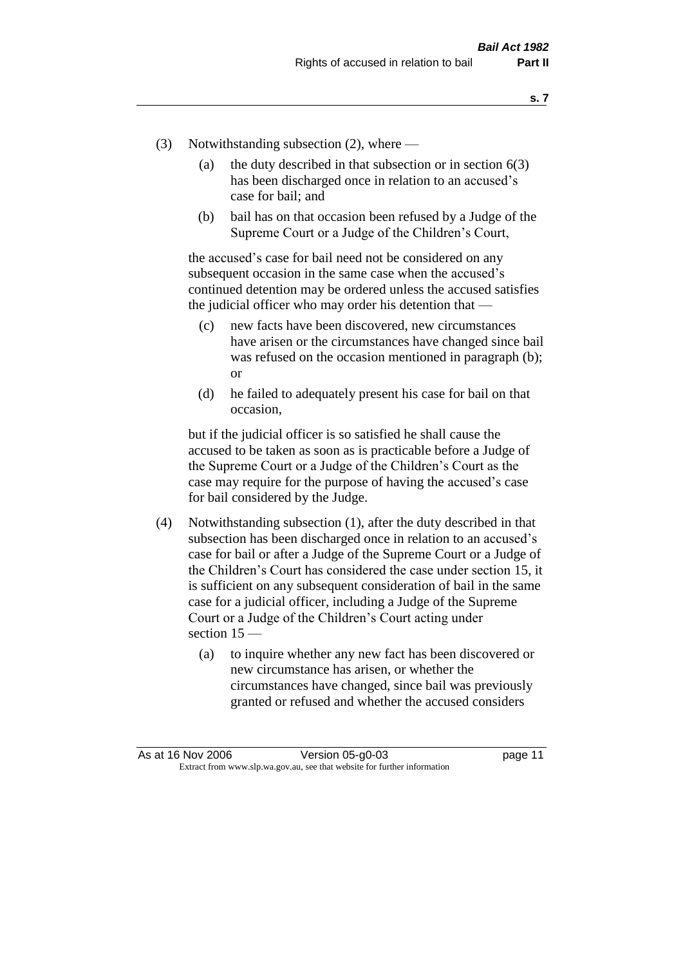- (3) Notwithstanding subsection (2), where
	- (a) the duty described in that subsection or in section  $6(3)$ has been discharged once in relation to an accused's case for bail; and
	- (b) bail has on that occasion been refused by a Judge of the Supreme Court or a Judge of the Children's Court,

the accused's case for bail need not be considered on any subsequent occasion in the same case when the accused's continued detention may be ordered unless the accused satisfies the judicial officer who may order his detention that —

- (c) new facts have been discovered, new circumstances have arisen or the circumstances have changed since bail was refused on the occasion mentioned in paragraph (b); or
- (d) he failed to adequately present his case for bail on that occasion,

but if the judicial officer is so satisfied he shall cause the accused to be taken as soon as is practicable before a Judge of the Supreme Court or a Judge of the Children's Court as the case may require for the purpose of having the accused's case for bail considered by the Judge.

- (4) Notwithstanding subsection (1), after the duty described in that subsection has been discharged once in relation to an accused's case for bail or after a Judge of the Supreme Court or a Judge of the Children's Court has considered the case under section 15, it is sufficient on any subsequent consideration of bail in the same case for a judicial officer, including a Judge of the Supreme Court or a Judge of the Children's Court acting under section 15 —
	- (a) to inquire whether any new fact has been discovered or new circumstance has arisen, or whether the circumstances have changed, since bail was previously granted or refused and whether the accused considers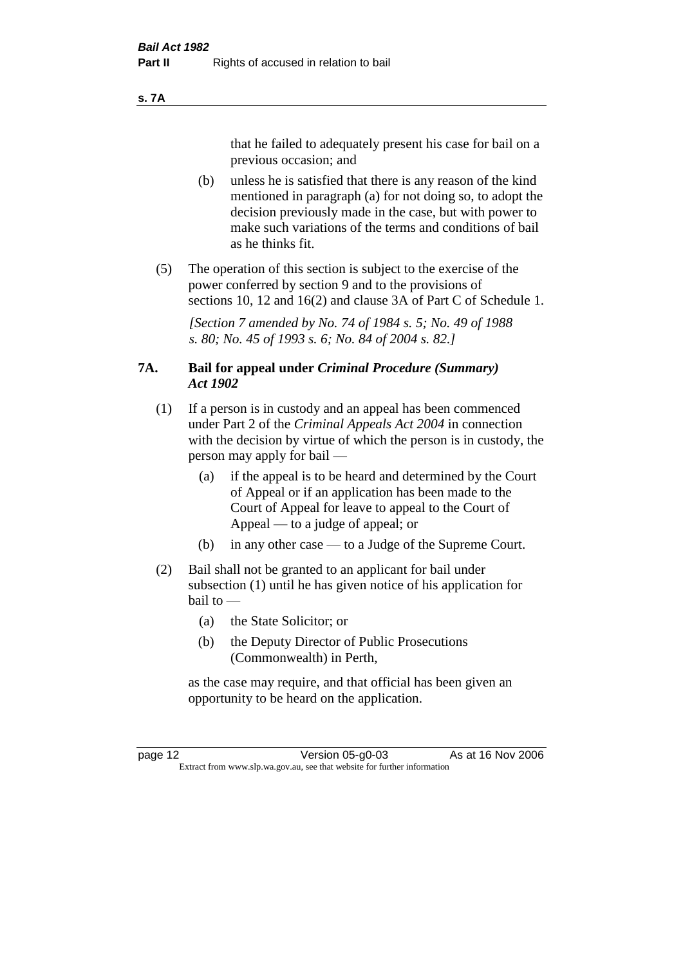#### **s. 7A**

that he failed to adequately present his case for bail on a previous occasion; and

- (b) unless he is satisfied that there is any reason of the kind mentioned in paragraph (a) for not doing so, to adopt the decision previously made in the case, but with power to make such variations of the terms and conditions of bail as he thinks fit.
- (5) The operation of this section is subject to the exercise of the power conferred by section 9 and to the provisions of sections 10, 12 and 16(2) and clause 3A of Part C of Schedule 1.

*[Section 7 amended by No. 74 of 1984 s. 5; No. 49 of 1988 s. 80; No. 45 of 1993 s. 6; No. 84 of 2004 s. 82.]* 

#### **7A. Bail for appeal under** *Criminal Procedure (Summary) Act 1902*

- (1) If a person is in custody and an appeal has been commenced under Part 2 of the *Criminal Appeals Act 2004* in connection with the decision by virtue of which the person is in custody, the person may apply for bail —
	- (a) if the appeal is to be heard and determined by the Court of Appeal or if an application has been made to the Court of Appeal for leave to appeal to the Court of Appeal — to a judge of appeal; or
	- (b) in any other case to a Judge of the Supreme Court.
- (2) Bail shall not be granted to an applicant for bail under subsection (1) until he has given notice of his application for bail to —
	- (a) the State Solicitor; or
	- (b) the Deputy Director of Public Prosecutions (Commonwealth) in Perth,

as the case may require, and that official has been given an opportunity to be heard on the application.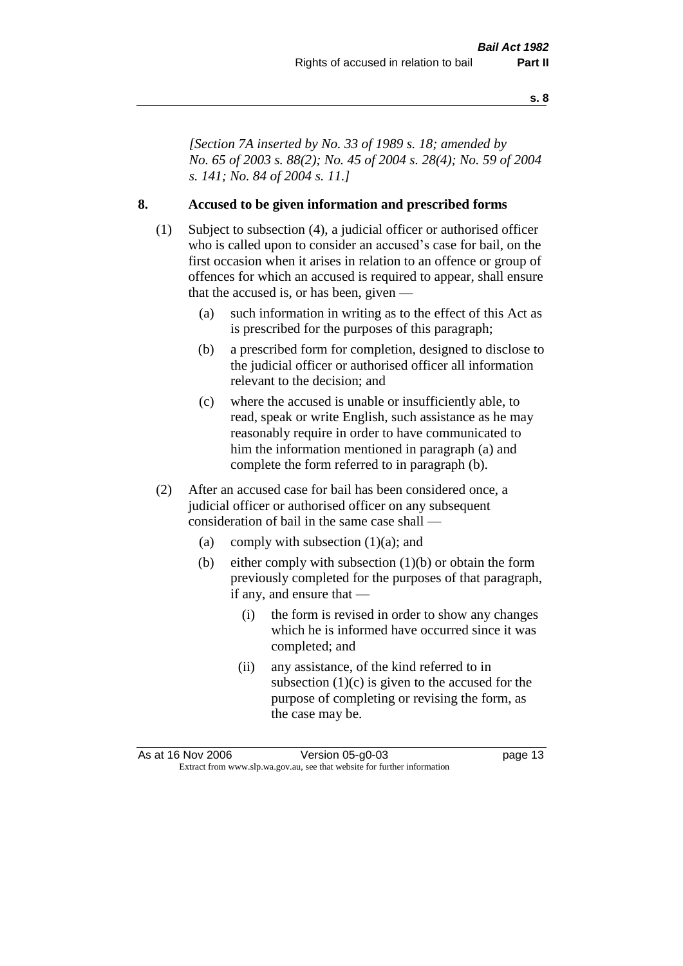*[Section 7A inserted by No. 33 of 1989 s. 18; amended by No. 65 of 2003 s. 88(2); No. 45 of 2004 s. 28(4); No. 59 of 2004 s. 141; No. 84 of 2004 s. 11.]* 

#### **8. Accused to be given information and prescribed forms**

- (1) Subject to subsection (4), a judicial officer or authorised officer who is called upon to consider an accused's case for bail, on the first occasion when it arises in relation to an offence or group of offences for which an accused is required to appear, shall ensure that the accused is, or has been, given —
	- (a) such information in writing as to the effect of this Act as is prescribed for the purposes of this paragraph;
	- (b) a prescribed form for completion, designed to disclose to the judicial officer or authorised officer all information relevant to the decision; and
	- (c) where the accused is unable or insufficiently able, to read, speak or write English, such assistance as he may reasonably require in order to have communicated to him the information mentioned in paragraph (a) and complete the form referred to in paragraph (b).
- (2) After an accused case for bail has been considered once, a judicial officer or authorised officer on any subsequent consideration of bail in the same case shall —
	- (a) comply with subsection  $(1)(a)$ ; and
	- (b) either comply with subsection (1)(b) or obtain the form previously completed for the purposes of that paragraph, if any, and ensure that —
		- (i) the form is revised in order to show any changes which he is informed have occurred since it was completed; and
		- (ii) any assistance, of the kind referred to in subsection  $(1)(c)$  is given to the accused for the purpose of completing or revising the form, as the case may be.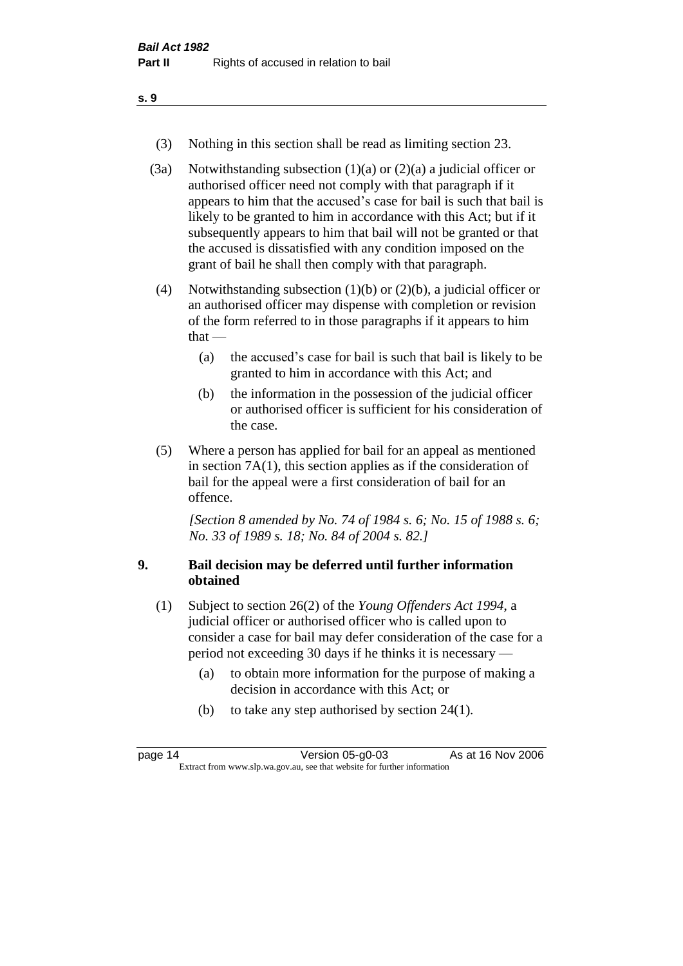- (3) Nothing in this section shall be read as limiting section 23.
- (3a) Notwithstanding subsection  $(1)(a)$  or  $(2)(a)$  a judicial officer or authorised officer need not comply with that paragraph if it appears to him that the accused's case for bail is such that bail is likely to be granted to him in accordance with this Act; but if it subsequently appears to him that bail will not be granted or that the accused is dissatisfied with any condition imposed on the grant of bail he shall then comply with that paragraph.
- (4) Notwithstanding subsection (1)(b) or (2)(b), a judicial officer or an authorised officer may dispense with completion or revision of the form referred to in those paragraphs if it appears to him  $that -$ 
	- (a) the accused's case for bail is such that bail is likely to be granted to him in accordance with this Act; and
	- (b) the information in the possession of the judicial officer or authorised officer is sufficient for his consideration of the case.
- (5) Where a person has applied for bail for an appeal as mentioned in section 7A(1), this section applies as if the consideration of bail for the appeal were a first consideration of bail for an offence.

*[Section 8 amended by No. 74 of 1984 s. 6; No. 15 of 1988 s. 6; No. 33 of 1989 s. 18; No. 84 of 2004 s. 82.]* 

# **9. Bail decision may be deferred until further information obtained**

- (1) Subject to section 26(2) of the *Young Offenders Act 1994*, a judicial officer or authorised officer who is called upon to consider a case for bail may defer consideration of the case for a period not exceeding 30 days if he thinks it is necessary —
	- (a) to obtain more information for the purpose of making a decision in accordance with this Act; or
	- (b) to take any step authorised by section 24(1).

| page 14                                                                  | Version 05-g0-03 | As at 16 Nov 2006 |  |  |
|--------------------------------------------------------------------------|------------------|-------------------|--|--|
| Extract from www.slp.wa.gov.au, see that website for further information |                  |                   |  |  |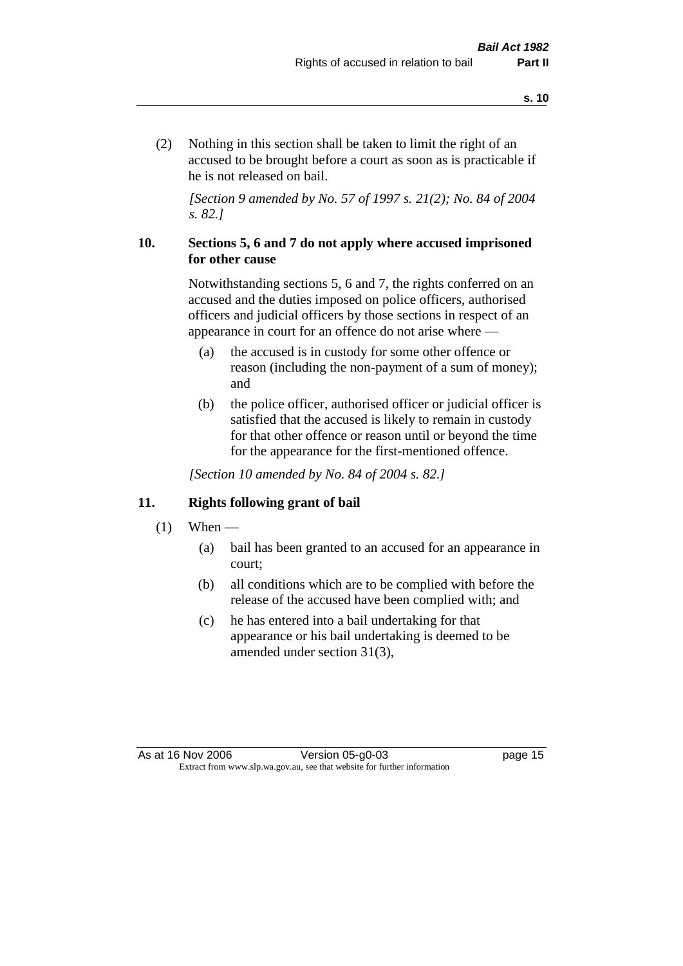(2) Nothing in this section shall be taken to limit the right of an accused to be brought before a court as soon as is practicable if he is not released on bail.

*[Section 9 amended by No. 57 of 1997 s. 21(2); No. 84 of 2004 s. 82.]*

#### **10. Sections 5, 6 and 7 do not apply where accused imprisoned for other cause**

Notwithstanding sections 5, 6 and 7, the rights conferred on an accused and the duties imposed on police officers, authorised officers and judicial officers by those sections in respect of an appearance in court for an offence do not arise where —

- (a) the accused is in custody for some other offence or reason (including the non-payment of a sum of money); and
- (b) the police officer, authorised officer or judicial officer is satisfied that the accused is likely to remain in custody for that other offence or reason until or beyond the time for the appearance for the first-mentioned offence.

*[Section 10 amended by No. 84 of 2004 s. 82.]*

#### **11. Rights following grant of bail**

- $(1)$  When
	- (a) bail has been granted to an accused for an appearance in court;
	- (b) all conditions which are to be complied with before the release of the accused have been complied with; and
	- (c) he has entered into a bail undertaking for that appearance or his bail undertaking is deemed to be amended under section 31(3),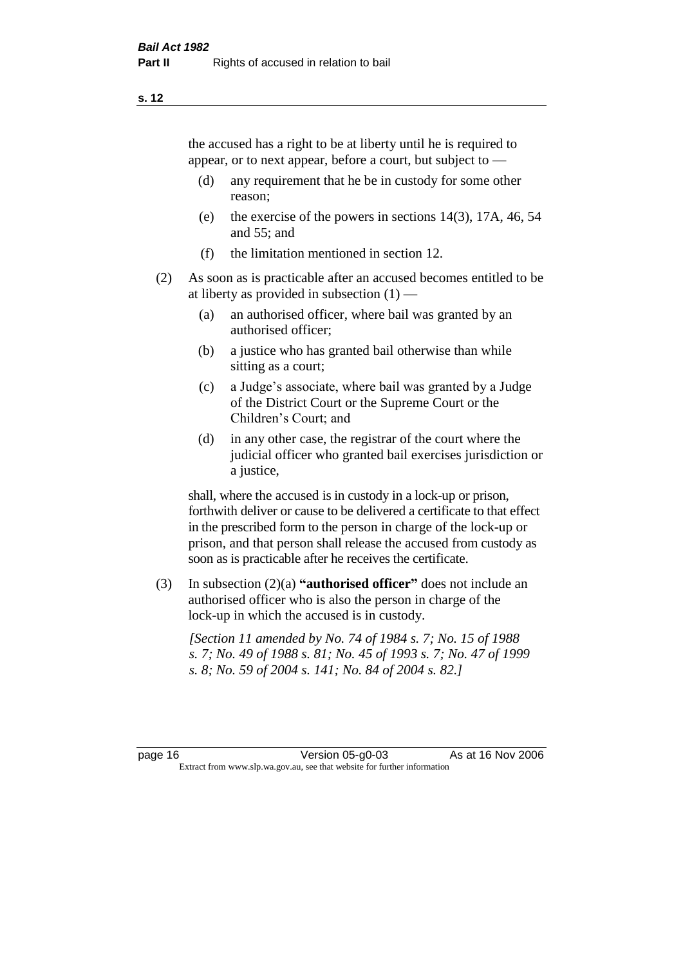the accused has a right to be at liberty until he is required to appear, or to next appear, before a court, but subject to —

- (d) any requirement that he be in custody for some other reason;
- (e) the exercise of the powers in sections 14(3), 17A, 46, 54 and 55; and
- (f) the limitation mentioned in section 12.
- (2) As soon as is practicable after an accused becomes entitled to be at liberty as provided in subsection  $(1)$  —
	- (a) an authorised officer, where bail was granted by an authorised officer;
	- (b) a justice who has granted bail otherwise than while sitting as a court;
	- (c) a Judge's associate, where bail was granted by a Judge of the District Court or the Supreme Court or the Children's Court; and
	- (d) in any other case, the registrar of the court where the judicial officer who granted bail exercises jurisdiction or a justice,

shall, where the accused is in custody in a lock-up or prison, forthwith deliver or cause to be delivered a certificate to that effect in the prescribed form to the person in charge of the lock-up or prison, and that person shall release the accused from custody as soon as is practicable after he receives the certificate.

(3) In subsection (2)(a) **"authorised officer"** does not include an authorised officer who is also the person in charge of the lock-up in which the accused is in custody.

*[Section 11 amended by No. 74 of 1984 s. 7; No. 15 of 1988 s. 7; No. 49 of 1988 s. 81; No. 45 of 1993 s. 7; No. 47 of 1999 s. 8; No. 59 of 2004 s. 141; No. 84 of 2004 s. 82.]*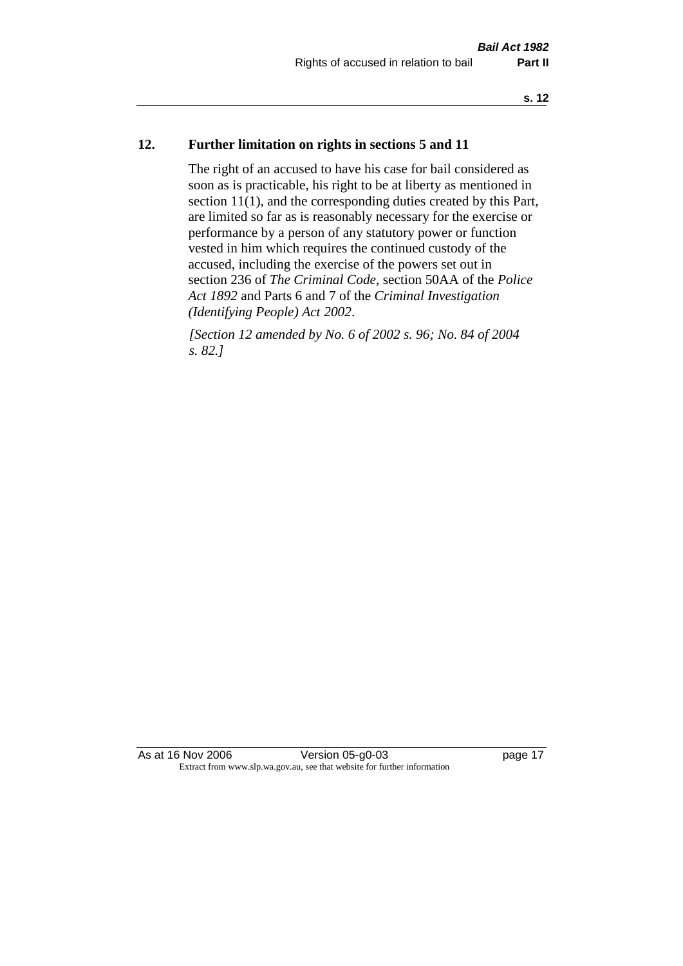# **12. Further limitation on rights in sections 5 and 11**

The right of an accused to have his case for bail considered as soon as is practicable, his right to be at liberty as mentioned in section 11(1), and the corresponding duties created by this Part, are limited so far as is reasonably necessary for the exercise or performance by a person of any statutory power or function vested in him which requires the continued custody of the accused, including the exercise of the powers set out in section 236 of *The Criminal Code*, section 50AA of the *Police Act 1892* and Parts 6 and 7 of the *Criminal Investigation (Identifying People) Act 2002*.

*[Section 12 amended by No. 6 of 2002 s. 96; No. 84 of 2004 s. 82.]*

As at 16 Nov 2006 Version 05-g0-03 Page 17 Extract from www.slp.wa.gov.au, see that website for further information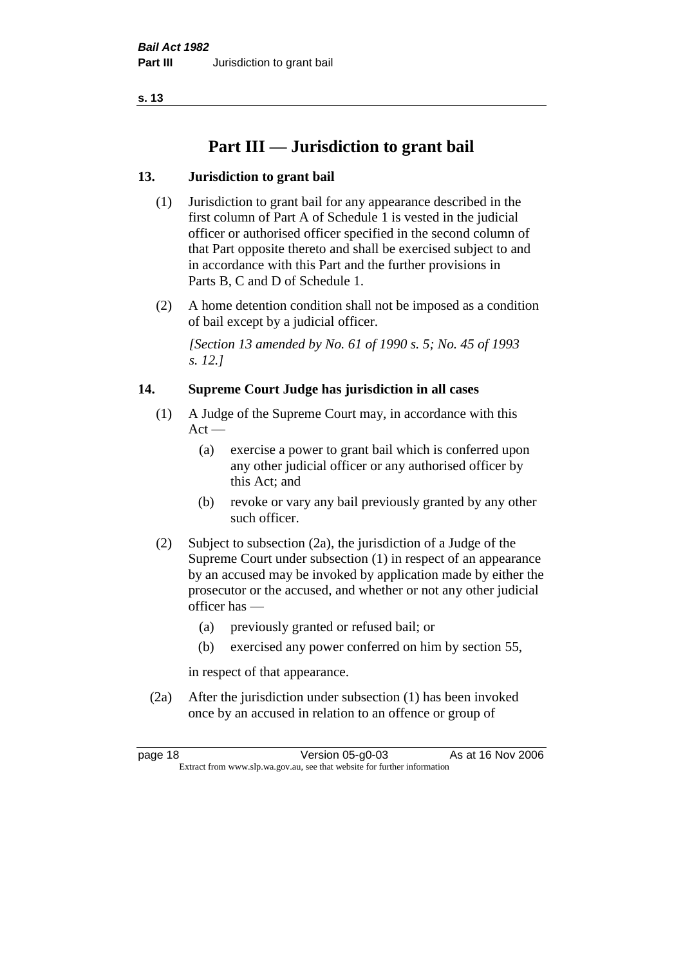# **Part III — Jurisdiction to grant bail**

# **13. Jurisdiction to grant bail**

- (1) Jurisdiction to grant bail for any appearance described in the first column of Part A of Schedule 1 is vested in the judicial officer or authorised officer specified in the second column of that Part opposite thereto and shall be exercised subject to and in accordance with this Part and the further provisions in Parts B, C and D of Schedule 1.
- (2) A home detention condition shall not be imposed as a condition of bail except by a judicial officer.

*[Section 13 amended by No. 61 of 1990 s. 5; No. 45 of 1993 s. 12.]* 

# **14. Supreme Court Judge has jurisdiction in all cases**

- (1) A Judge of the Supreme Court may, in accordance with this  $Act -$ 
	- (a) exercise a power to grant bail which is conferred upon any other judicial officer or any authorised officer by this Act; and
	- (b) revoke or vary any bail previously granted by any other such officer.
- (2) Subject to subsection (2a), the jurisdiction of a Judge of the Supreme Court under subsection (1) in respect of an appearance by an accused may be invoked by application made by either the prosecutor or the accused, and whether or not any other judicial officer has —
	- (a) previously granted or refused bail; or
	- (b) exercised any power conferred on him by section 55,

in respect of that appearance.

(2a) After the jurisdiction under subsection (1) has been invoked once by an accused in relation to an offence or group of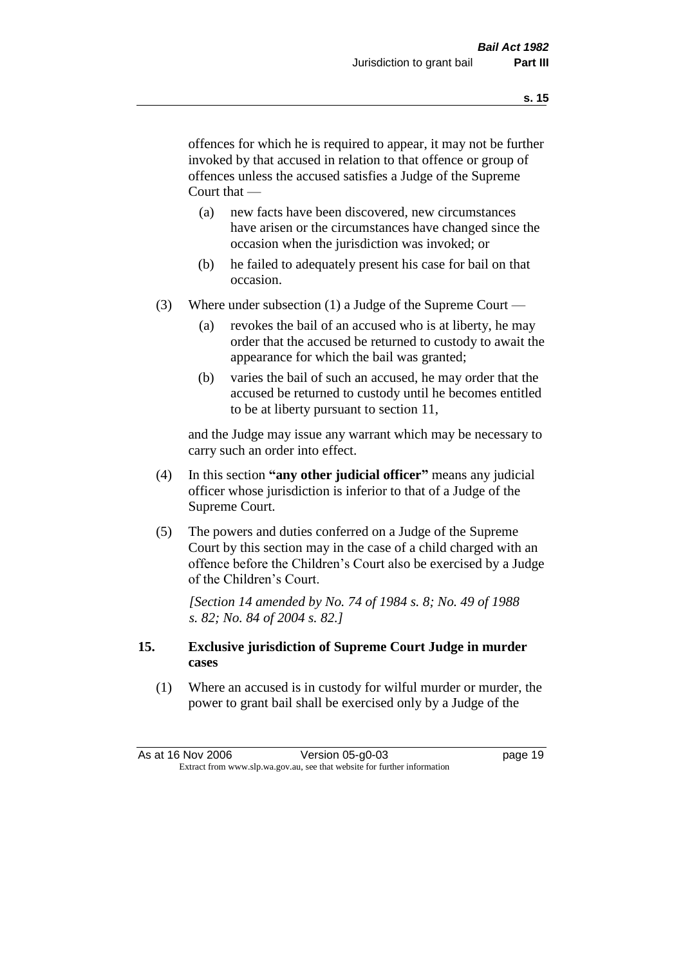offences for which he is required to appear, it may not be further invoked by that accused in relation to that offence or group of offences unless the accused satisfies a Judge of the Supreme Court that —

- (a) new facts have been discovered, new circumstances have arisen or the circumstances have changed since the occasion when the jurisdiction was invoked; or
- (b) he failed to adequately present his case for bail on that occasion.
- (3) Where under subsection (1) a Judge of the Supreme Court
	- (a) revokes the bail of an accused who is at liberty, he may order that the accused be returned to custody to await the appearance for which the bail was granted;
	- (b) varies the bail of such an accused, he may order that the accused be returned to custody until he becomes entitled to be at liberty pursuant to section 11,

and the Judge may issue any warrant which may be necessary to carry such an order into effect.

- (4) In this section **"any other judicial officer"** means any judicial officer whose jurisdiction is inferior to that of a Judge of the Supreme Court.
- (5) The powers and duties conferred on a Judge of the Supreme Court by this section may in the case of a child charged with an offence before the Children's Court also be exercised by a Judge of the Children's Court.

*[Section 14 amended by No. 74 of 1984 s. 8; No. 49 of 1988 s. 82; No. 84 of 2004 s. 82.]* 

### **15. Exclusive jurisdiction of Supreme Court Judge in murder cases**

(1) Where an accused is in custody for wilful murder or murder, the power to grant bail shall be exercised only by a Judge of the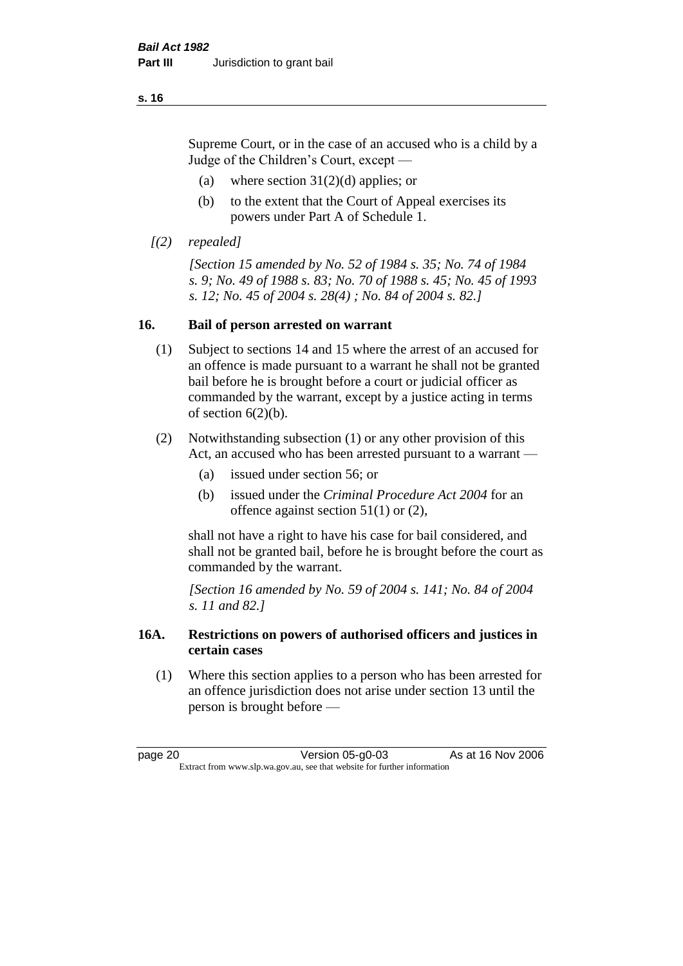Supreme Court, or in the case of an accused who is a child by a Judge of the Children's Court, except —

- (a) where section  $31(2)(d)$  applies; or
- (b) to the extent that the Court of Appeal exercises its powers under Part A of Schedule 1.
- *[(2) repealed]*

*[Section 15 amended by No. 52 of 1984 s. 35; No. 74 of 1984 s. 9; No. 49 of 1988 s. 83; No. 70 of 1988 s. 45; No. 45 of 1993 s. 12; No. 45 of 2004 s. 28(4) ; No. 84 of 2004 s. 82.]* 

# **16. Bail of person arrested on warrant**

- (1) Subject to sections 14 and 15 where the arrest of an accused for an offence is made pursuant to a warrant he shall not be granted bail before he is brought before a court or judicial officer as commanded by the warrant, except by a justice acting in terms of section  $6(2)(b)$ .
- (2) Notwithstanding subsection (1) or any other provision of this Act, an accused who has been arrested pursuant to a warrant —
	- (a) issued under section 56; or
	- (b) issued under the *Criminal Procedure Act 2004* for an offence against section 51(1) or (2),

shall not have a right to have his case for bail considered, and shall not be granted bail, before he is brought before the court as commanded by the warrant.

*[Section 16 amended by No. 59 of 2004 s. 141; No. 84 of 2004 s. 11 and 82.]*

# **16A. Restrictions on powers of authorised officers and justices in certain cases**

(1) Where this section applies to a person who has been arrested for an offence jurisdiction does not arise under section 13 until the person is brought before —

page 20 **Version 05-g0-03** As at 16 Nov 2006 Extract from www.slp.wa.gov.au, see that website for further information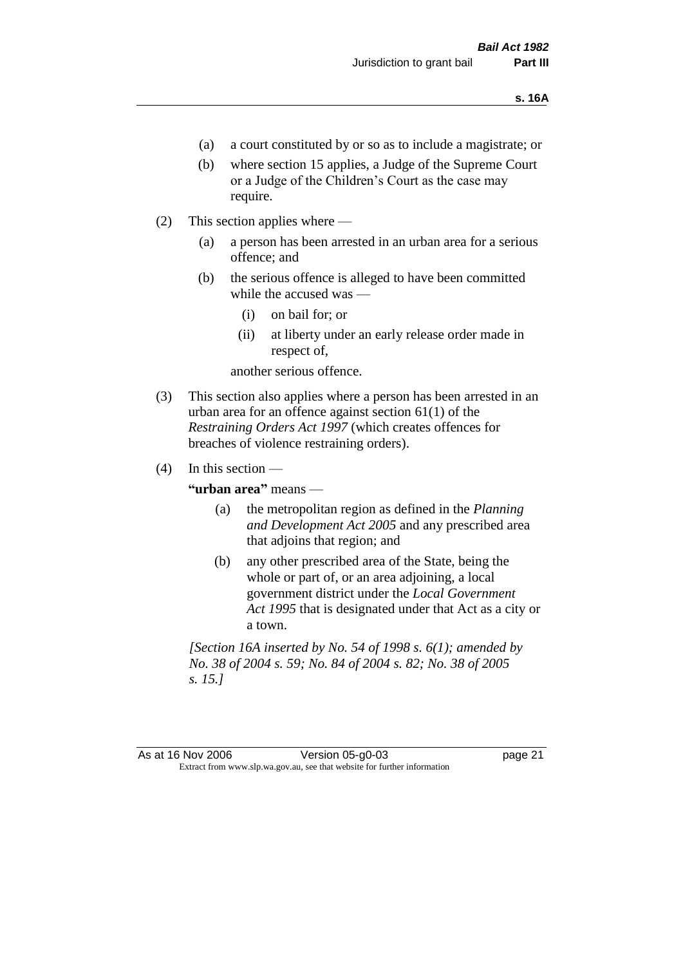- (a) a court constituted by or so as to include a magistrate; or
- (b) where section 15 applies, a Judge of the Supreme Court or a Judge of the Children's Court as the case may require.
- (2) This section applies where
	- (a) a person has been arrested in an urban area for a serious offence; and
	- (b) the serious offence is alleged to have been committed while the accused was —
		- (i) on bail for; or
		- (ii) at liberty under an early release order made in respect of,

another serious offence.

- (3) This section also applies where a person has been arrested in an urban area for an offence against section 61(1) of the *Restraining Orders Act 1997* (which creates offences for breaches of violence restraining orders).
- $(4)$  In this section —

**"urban area"** means —

- (a) the metropolitan region as defined in the *Planning and Development Act 2005* and any prescribed area that adjoins that region; and
- (b) any other prescribed area of the State, being the whole or part of, or an area adjoining, a local government district under the *Local Government Act 1995* that is designated under that Act as a city or a town.

*[Section 16A inserted by No. 54 of 1998 s. 6(1); amended by No. 38 of 2004 s. 59; No. 84 of 2004 s. 82; No. 38 of 2005 s. 15.]*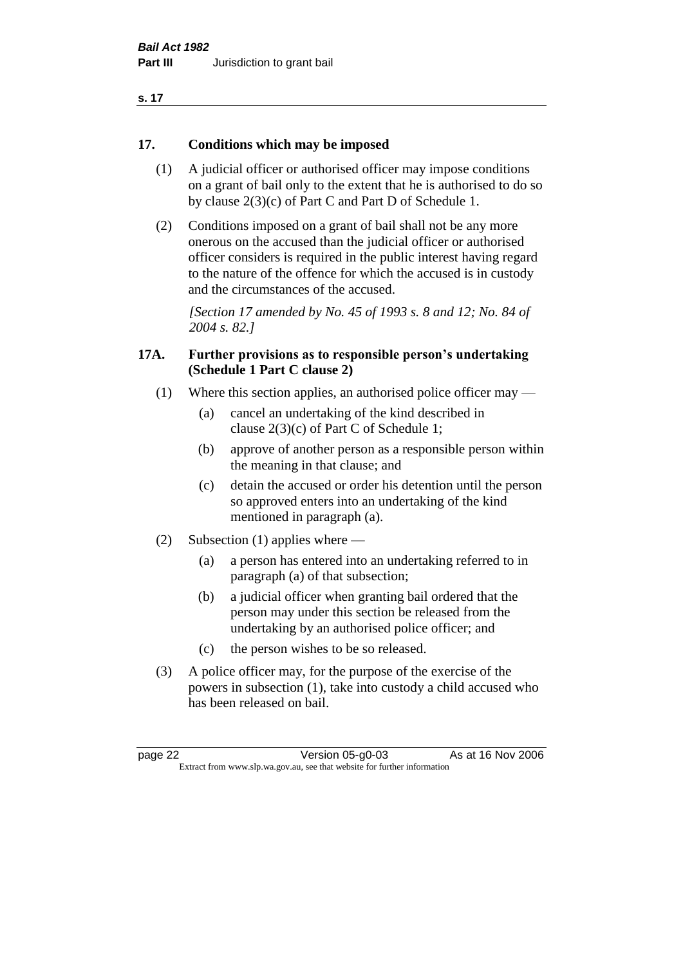| ×<br>. . |  |
|----------|--|
|----------|--|

#### **17. Conditions which may be imposed**

- (1) A judicial officer or authorised officer may impose conditions on a grant of bail only to the extent that he is authorised to do so by clause 2(3)(c) of Part C and Part D of Schedule 1.
- (2) Conditions imposed on a grant of bail shall not be any more onerous on the accused than the judicial officer or authorised officer considers is required in the public interest having regard to the nature of the offence for which the accused is in custody and the circumstances of the accused.

*[Section 17 amended by No. 45 of 1993 s. 8 and 12; No. 84 of 2004 s. 82.]* 

### **17A. Further provisions as to responsible person's undertaking (Schedule 1 Part C clause 2)**

- (1) Where this section applies, an authorised police officer may
	- (a) cancel an undertaking of the kind described in clause 2(3)(c) of Part C of Schedule 1;
	- (b) approve of another person as a responsible person within the meaning in that clause; and
	- (c) detain the accused or order his detention until the person so approved enters into an undertaking of the kind mentioned in paragraph (a).
- (2) Subsection (1) applies where
	- (a) a person has entered into an undertaking referred to in paragraph (a) of that subsection;
	- (b) a judicial officer when granting bail ordered that the person may under this section be released from the undertaking by an authorised police officer; and
	- (c) the person wishes to be so released.
- (3) A police officer may, for the purpose of the exercise of the powers in subsection (1), take into custody a child accused who has been released on bail.

page 22 Version 05-g0-03 As at 16 Nov 2006 Extract from www.slp.wa.gov.au, see that website for further information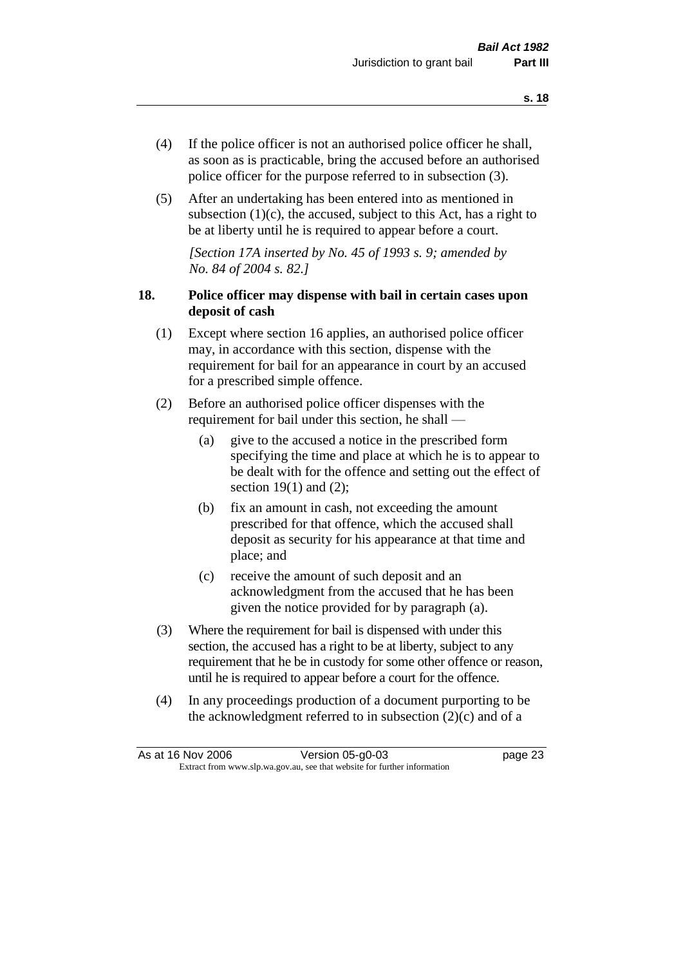- (4) If the police officer is not an authorised police officer he shall, as soon as is practicable, bring the accused before an authorised police officer for the purpose referred to in subsection (3).
- (5) After an undertaking has been entered into as mentioned in subsection  $(1)(c)$ , the accused, subject to this Act, has a right to be at liberty until he is required to appear before a court.

*[Section 17A inserted by No. 45 of 1993 s. 9; amended by No. 84 of 2004 s. 82.]* 

# **18. Police officer may dispense with bail in certain cases upon deposit of cash**

- (1) Except where section 16 applies, an authorised police officer may, in accordance with this section, dispense with the requirement for bail for an appearance in court by an accused for a prescribed simple offence.
- (2) Before an authorised police officer dispenses with the requirement for bail under this section, he shall —
	- (a) give to the accused a notice in the prescribed form specifying the time and place at which he is to appear to be dealt with for the offence and setting out the effect of section  $19(1)$  and  $(2)$ ;
	- (b) fix an amount in cash, not exceeding the amount prescribed for that offence, which the accused shall deposit as security for his appearance at that time and place; and
	- (c) receive the amount of such deposit and an acknowledgment from the accused that he has been given the notice provided for by paragraph (a).
- (3) Where the requirement for bail is dispensed with under this section, the accused has a right to be at liberty, subject to any requirement that he be in custody for some other offence or reason, until he is required to appear before a court for the offence.
- (4) In any proceedings production of a document purporting to be the acknowledgment referred to in subsection  $(2)(c)$  and of a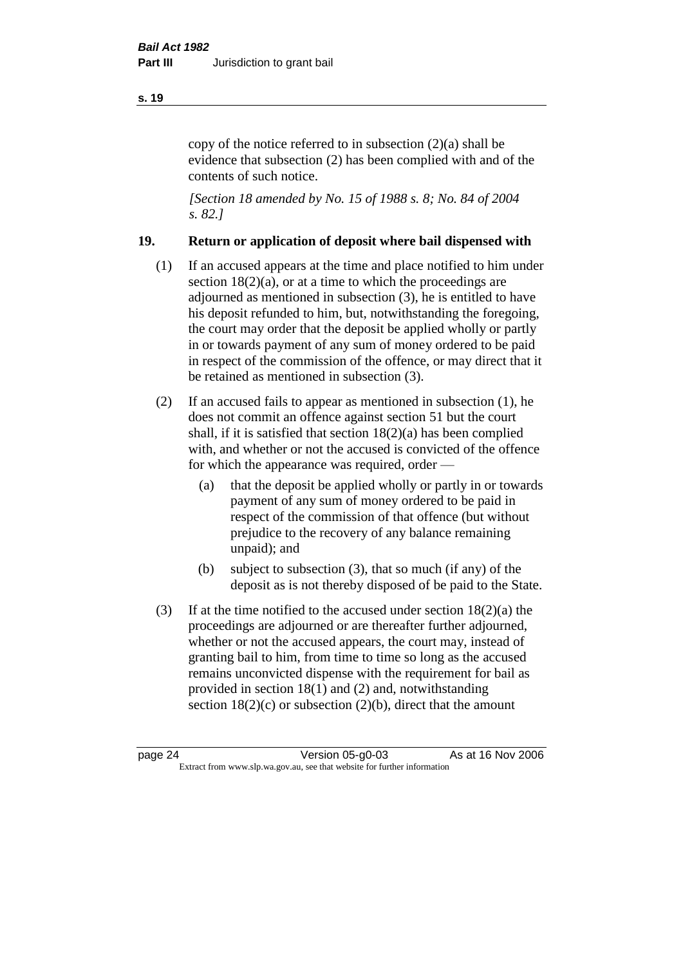copy of the notice referred to in subsection (2)(a) shall be evidence that subsection (2) has been complied with and of the contents of such notice.

*[Section 18 amended by No. 15 of 1988 s. 8; No. 84 of 2004 s. 82.]* 

# **19. Return or application of deposit where bail dispensed with**

- (1) If an accused appears at the time and place notified to him under section  $18(2)(a)$ , or at a time to which the proceedings are adjourned as mentioned in subsection (3), he is entitled to have his deposit refunded to him, but, notwithstanding the foregoing, the court may order that the deposit be applied wholly or partly in or towards payment of any sum of money ordered to be paid in respect of the commission of the offence, or may direct that it be retained as mentioned in subsection (3).
- (2) If an accused fails to appear as mentioned in subsection (1), he does not commit an offence against section 51 but the court shall, if it is satisfied that section 18(2)(a) has been complied with, and whether or not the accused is convicted of the offence for which the appearance was required, order —
	- (a) that the deposit be applied wholly or partly in or towards payment of any sum of money ordered to be paid in respect of the commission of that offence (but without prejudice to the recovery of any balance remaining unpaid); and
	- (b) subject to subsection (3), that so much (if any) of the deposit as is not thereby disposed of be paid to the State.
- (3) If at the time notified to the accused under section 18(2)(a) the proceedings are adjourned or are thereafter further adjourned, whether or not the accused appears, the court may, instead of granting bail to him, from time to time so long as the accused remains unconvicted dispense with the requirement for bail as provided in section 18(1) and (2) and, notwithstanding section  $18(2)(c)$  or subsection  $(2)(b)$ , direct that the amount

**s. 19**

page 24 Version 05-g0-03 As at 16 Nov 2006 Extract from www.slp.wa.gov.au, see that website for further information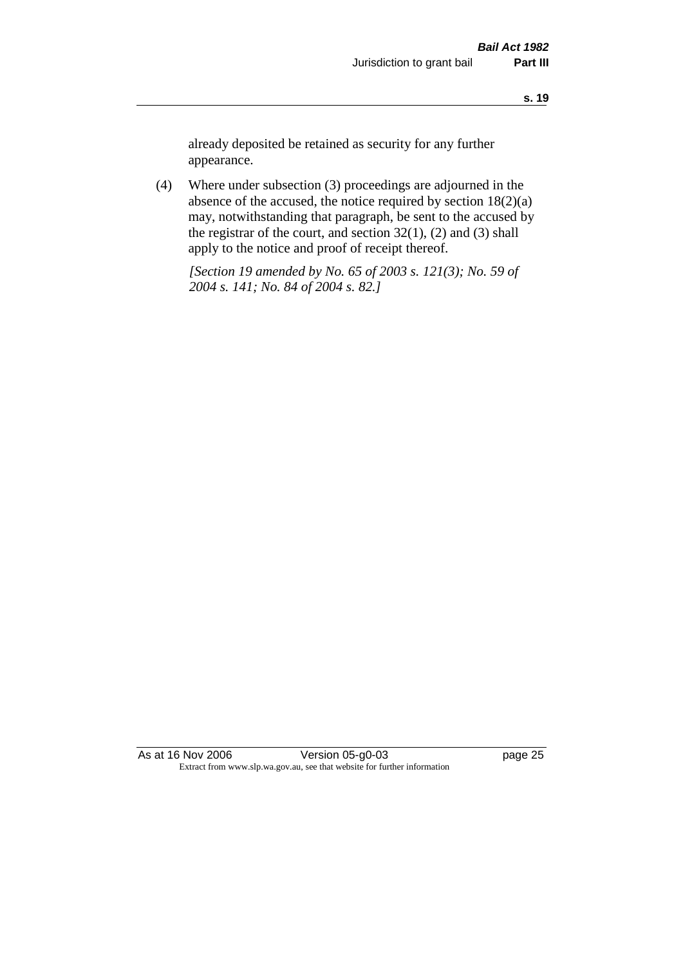already deposited be retained as security for any further appearance.

(4) Where under subsection (3) proceedings are adjourned in the absence of the accused, the notice required by section 18(2)(a) may, notwithstanding that paragraph, be sent to the accused by the registrar of the court, and section  $32(1)$ ,  $(2)$  and  $(3)$  shall apply to the notice and proof of receipt thereof.

*[Section 19 amended by No. 65 of 2003 s. 121(3); No. 59 of 2004 s. 141; No. 84 of 2004 s. 82.]*

As at 16 Nov 2006 Version 05-g0-03 Page 25 Extract from www.slp.wa.gov.au, see that website for further information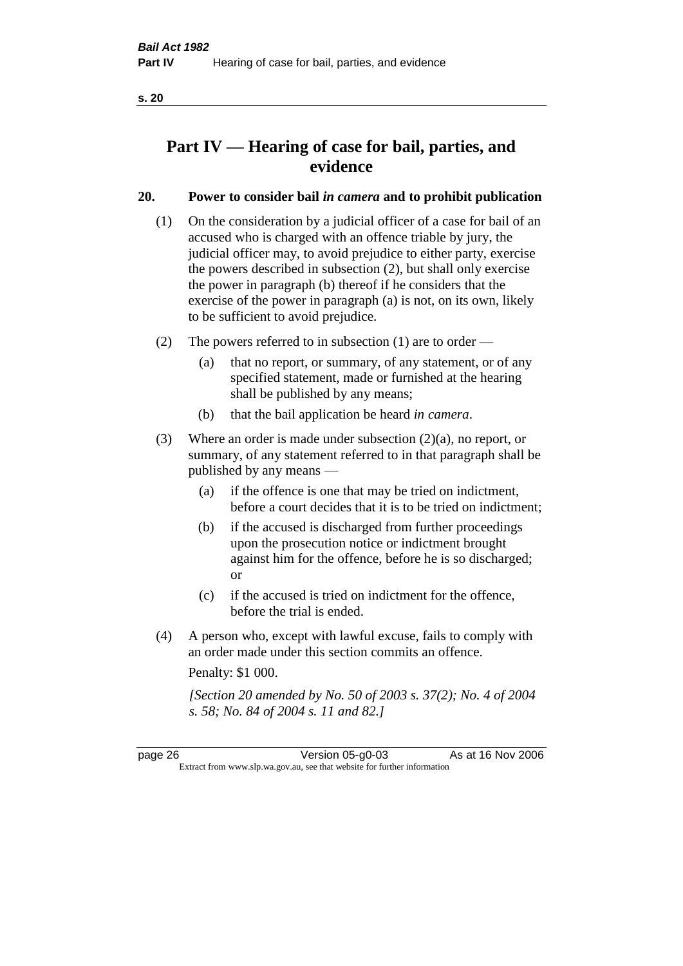# **Part IV — Hearing of case for bail, parties, and evidence**

# **20. Power to consider bail** *in camera* **and to prohibit publication**

- (1) On the consideration by a judicial officer of a case for bail of an accused who is charged with an offence triable by jury, the judicial officer may, to avoid prejudice to either party, exercise the powers described in subsection (2), but shall only exercise the power in paragraph (b) thereof if he considers that the exercise of the power in paragraph (a) is not, on its own, likely to be sufficient to avoid prejudice.
- (2) The powers referred to in subsection (1) are to order
	- (a) that no report, or summary, of any statement, or of any specified statement, made or furnished at the hearing shall be published by any means;
	- (b) that the bail application be heard *in camera*.
- (3) Where an order is made under subsection (2)(a), no report, or summary, of any statement referred to in that paragraph shall be published by any means —
	- (a) if the offence is one that may be tried on indictment, before a court decides that it is to be tried on indictment;
	- (b) if the accused is discharged from further proceedings upon the prosecution notice or indictment brought against him for the offence, before he is so discharged; or
	- (c) if the accused is tried on indictment for the offence, before the trial is ended.
- (4) A person who, except with lawful excuse, fails to comply with an order made under this section commits an offence.

Penalty: \$1 000.

*[Section 20 amended by No. 50 of 2003 s. 37(2); No. 4 of 2004 s. 58; No. 84 of 2004 s. 11 and 82.]*

page 26 Version 05-g0-03 As at 16 Nov 2006 Extract from www.slp.wa.gov.au, see that website for further information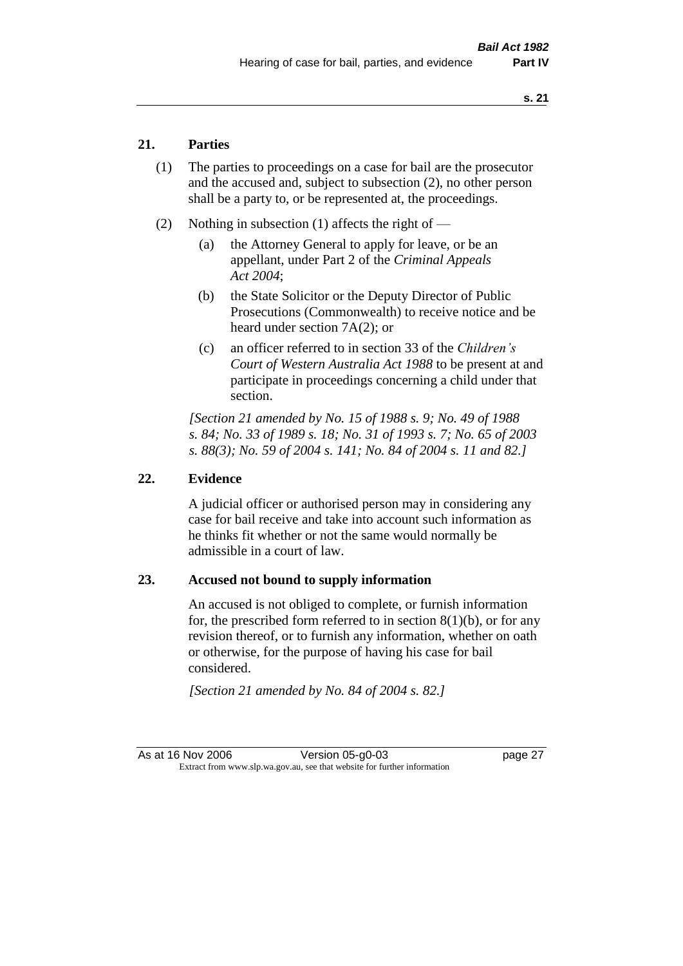# **21. Parties**

- (1) The parties to proceedings on a case for bail are the prosecutor and the accused and, subject to subsection (2), no other person shall be a party to, or be represented at, the proceedings.
- (2) Nothing in subsection (1) affects the right of
	- (a) the Attorney General to apply for leave, or be an appellant, under Part 2 of the *Criminal Appeals Act 2004*;
	- (b) the State Solicitor or the Deputy Director of Public Prosecutions (Commonwealth) to receive notice and be heard under section 7A(2); or
	- (c) an officer referred to in section 33 of the *Children's Court of Western Australia Act 1988* to be present at and participate in proceedings concerning a child under that section.

*[Section 21 amended by No. 15 of 1988 s. 9; No. 49 of 1988 s. 84; No. 33 of 1989 s. 18; No. 31 of 1993 s. 7; No. 65 of 2003 s. 88(3); No. 59 of 2004 s. 141; No. 84 of 2004 s. 11 and 82.]* 

#### **22. Evidence**

A judicial officer or authorised person may in considering any case for bail receive and take into account such information as he thinks fit whether or not the same would normally be admissible in a court of law.

#### **23. Accused not bound to supply information**

An accused is not obliged to complete, or furnish information for, the prescribed form referred to in section  $8(1)(b)$ , or for any revision thereof, or to furnish any information, whether on oath or otherwise, for the purpose of having his case for bail considered.

*[Section 21 amended by No. 84 of 2004 s. 82.]*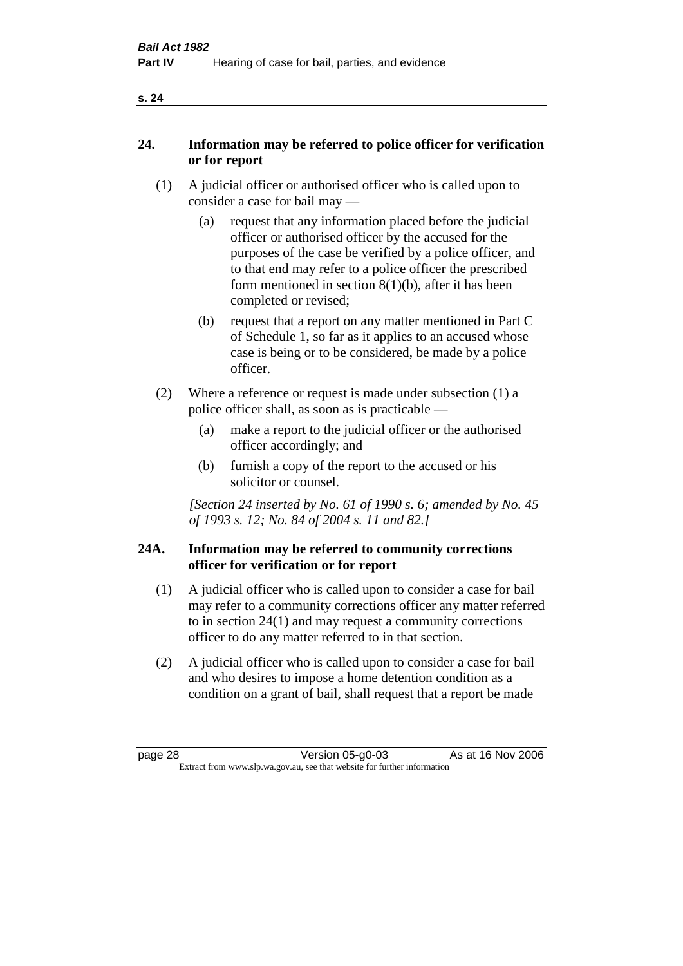| ۰, |  |
|----|--|
|    |  |

# **24. Information may be referred to police officer for verification or for report**

- (1) A judicial officer or authorised officer who is called upon to consider a case for bail may —
	- (a) request that any information placed before the judicial officer or authorised officer by the accused for the purposes of the case be verified by a police officer, and to that end may refer to a police officer the prescribed form mentioned in section 8(1)(b), after it has been completed or revised;
	- (b) request that a report on any matter mentioned in Part C of Schedule 1, so far as it applies to an accused whose case is being or to be considered, be made by a police officer.
- (2) Where a reference or request is made under subsection (1) a police officer shall, as soon as is practicable —
	- (a) make a report to the judicial officer or the authorised officer accordingly; and
	- (b) furnish a copy of the report to the accused or his solicitor or counsel.

*[Section 24 inserted by No. 61 of 1990 s. 6; amended by No. 45 of 1993 s. 12; No. 84 of 2004 s. 11 and 82.]* 

### **24A. Information may be referred to community corrections officer for verification or for report**

- (1) A judicial officer who is called upon to consider a case for bail may refer to a community corrections officer any matter referred to in section 24(1) and may request a community corrections officer to do any matter referred to in that section.
- (2) A judicial officer who is called upon to consider a case for bail and who desires to impose a home detention condition as a condition on a grant of bail, shall request that a report be made

**s. 24**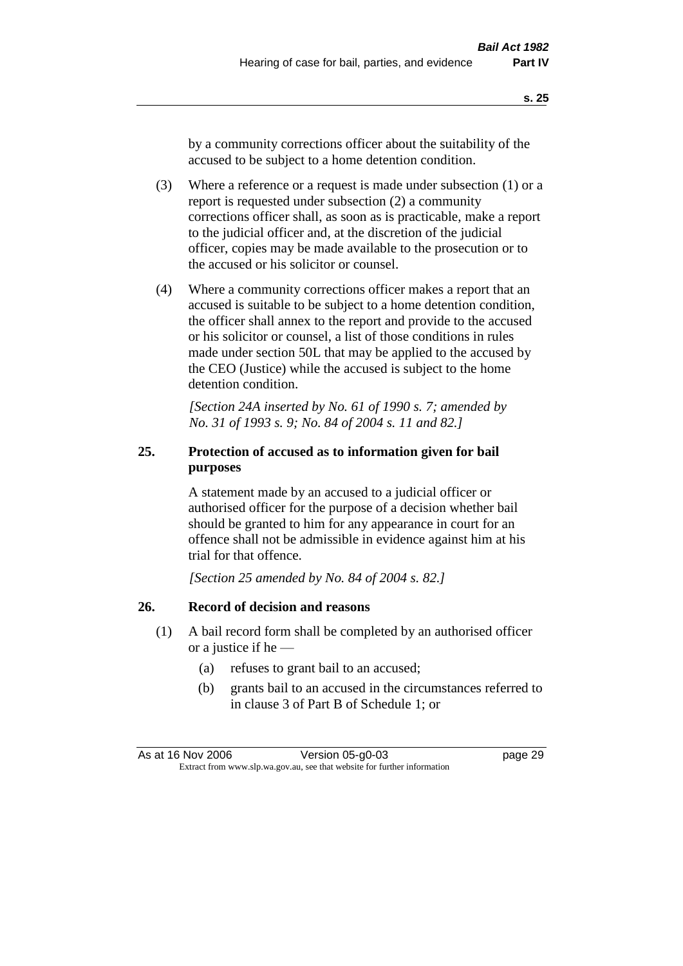by a community corrections officer about the suitability of the accused to be subject to a home detention condition.

- (3) Where a reference or a request is made under subsection (1) or a report is requested under subsection (2) a community corrections officer shall, as soon as is practicable, make a report to the judicial officer and, at the discretion of the judicial officer, copies may be made available to the prosecution or to the accused or his solicitor or counsel.
- (4) Where a community corrections officer makes a report that an accused is suitable to be subject to a home detention condition, the officer shall annex to the report and provide to the accused or his solicitor or counsel, a list of those conditions in rules made under section 50L that may be applied to the accused by the CEO (Justice) while the accused is subject to the home detention condition.

*[Section 24A inserted by No. 61 of 1990 s. 7; amended by No. 31 of 1993 s. 9; No. 84 of 2004 s. 11 and 82.]* 

## **25. Protection of accused as to information given for bail purposes**

A statement made by an accused to a judicial officer or authorised officer for the purpose of a decision whether bail should be granted to him for any appearance in court for an offence shall not be admissible in evidence against him at his trial for that offence.

*[Section 25 amended by No. 84 of 2004 s. 82.]* 

### **26. Record of decision and reasons**

- (1) A bail record form shall be completed by an authorised officer or a justice if he —
	- (a) refuses to grant bail to an accused;
	- (b) grants bail to an accused in the circumstances referred to in clause 3 of Part B of Schedule 1; or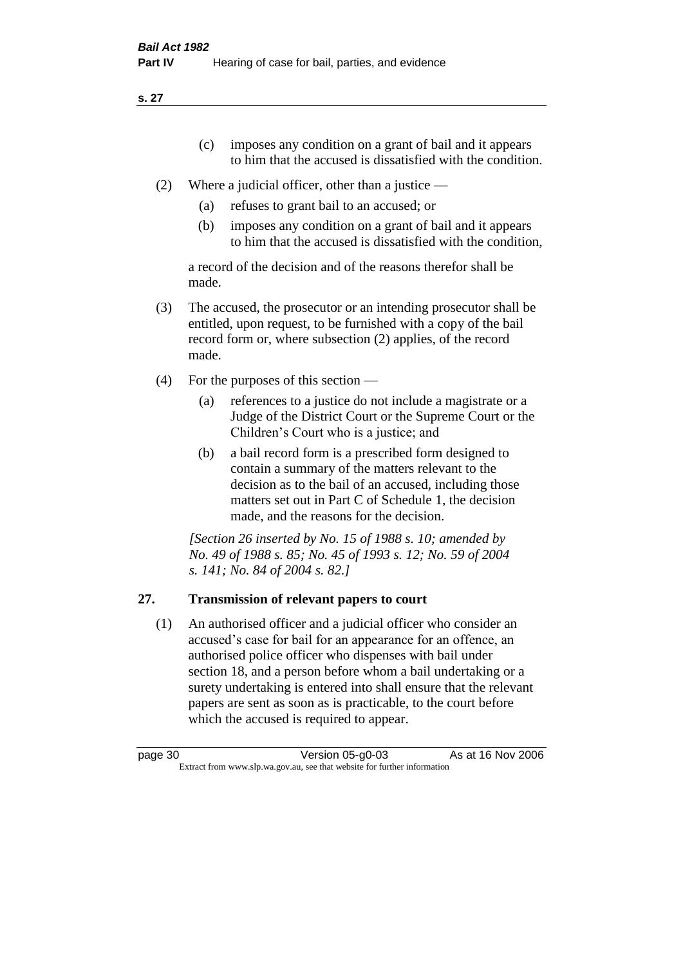**s. 27**

- (c) imposes any condition on a grant of bail and it appears to him that the accused is dissatisfied with the condition.
- (2) Where a judicial officer, other than a justice
	- (a) refuses to grant bail to an accused; or
	- (b) imposes any condition on a grant of bail and it appears to him that the accused is dissatisfied with the condition,

a record of the decision and of the reasons therefor shall be made.

- (3) The accused, the prosecutor or an intending prosecutor shall be entitled, upon request, to be furnished with a copy of the bail record form or, where subsection (2) applies, of the record made.
- (4) For the purposes of this section
	- (a) references to a justice do not include a magistrate or a Judge of the District Court or the Supreme Court or the Children's Court who is a justice; and
	- (b) a bail record form is a prescribed form designed to contain a summary of the matters relevant to the decision as to the bail of an accused, including those matters set out in Part C of Schedule 1, the decision made, and the reasons for the decision.

*[Section 26 inserted by No. 15 of 1988 s. 10; amended by No. 49 of 1988 s. 85; No. 45 of 1993 s. 12; No. 59 of 2004 s. 141; No. 84 of 2004 s. 82.]* 

# **27. Transmission of relevant papers to court**

(1) An authorised officer and a judicial officer who consider an accused's case for bail for an appearance for an offence, an authorised police officer who dispenses with bail under section 18, and a person before whom a bail undertaking or a surety undertaking is entered into shall ensure that the relevant papers are sent as soon as is practicable, to the court before which the accused is required to appear.

| page 30 | Version 05-g0-03                                                         | As at 16 Nov 2006 |
|---------|--------------------------------------------------------------------------|-------------------|
|         | Extract from www.slp.wa.gov.au, see that website for further information |                   |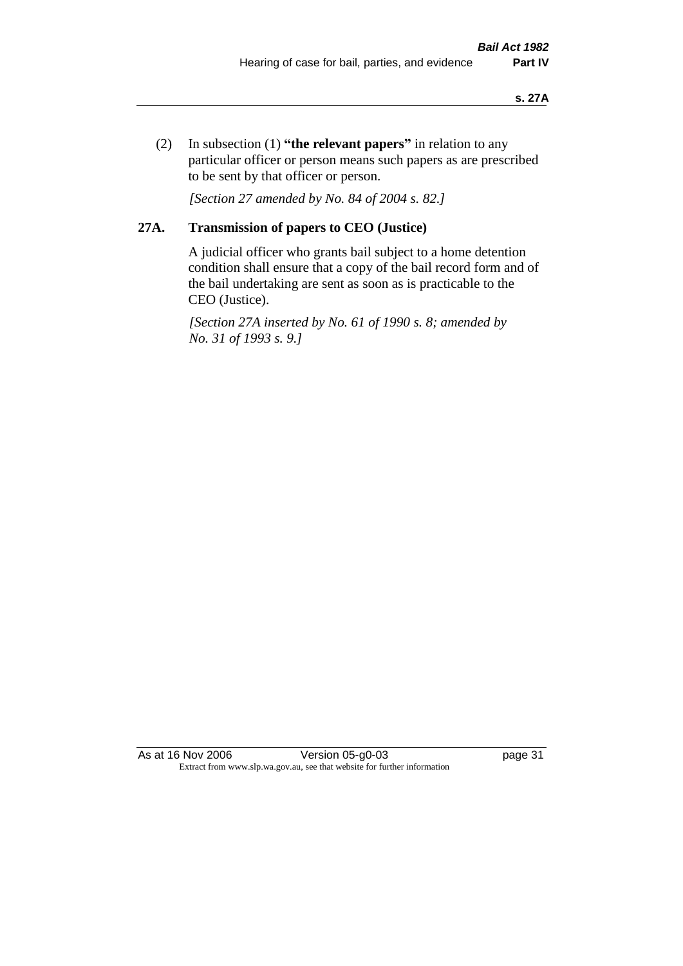(2) In subsection (1) **"the relevant papers"** in relation to any particular officer or person means such papers as are prescribed to be sent by that officer or person.

*[Section 27 amended by No. 84 of 2004 s. 82.]* 

# **27A. Transmission of papers to CEO (Justice)**

A judicial officer who grants bail subject to a home detention condition shall ensure that a copy of the bail record form and of the bail undertaking are sent as soon as is practicable to the CEO (Justice).

*[Section 27A inserted by No. 61 of 1990 s. 8; amended by No. 31 of 1993 s. 9.]* 

As at 16 Nov 2006 Version 05-g0-03 Page 31 Extract from www.slp.wa.gov.au, see that website for further information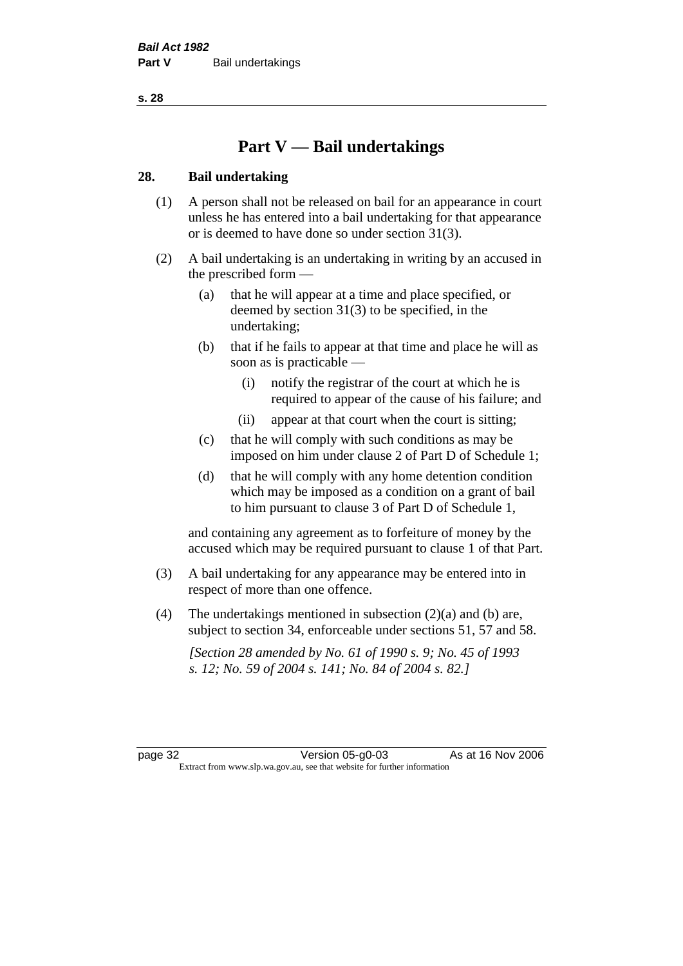**s. 28**

# **Part V — Bail undertakings**

## **28. Bail undertaking**

- (1) A person shall not be released on bail for an appearance in court unless he has entered into a bail undertaking for that appearance or is deemed to have done so under section 31(3).
- (2) A bail undertaking is an undertaking in writing by an accused in the prescribed form —
	- (a) that he will appear at a time and place specified, or deemed by section 31(3) to be specified, in the undertaking;
	- (b) that if he fails to appear at that time and place he will as soon as is practicable —
		- (i) notify the registrar of the court at which he is required to appear of the cause of his failure; and
		- (ii) appear at that court when the court is sitting;
	- (c) that he will comply with such conditions as may be imposed on him under clause 2 of Part D of Schedule 1;
	- (d) that he will comply with any home detention condition which may be imposed as a condition on a grant of bail to him pursuant to clause 3 of Part D of Schedule 1,

and containing any agreement as to forfeiture of money by the accused which may be required pursuant to clause 1 of that Part.

- (3) A bail undertaking for any appearance may be entered into in respect of more than one offence.
- (4) The undertakings mentioned in subsection  $(2)(a)$  and (b) are, subject to section 34, enforceable under sections 51, 57 and 58.

*[Section 28 amended by No. 61 of 1990 s. 9; No. 45 of 1993 s. 12; No. 59 of 2004 s. 141; No. 84 of 2004 s. 82.]*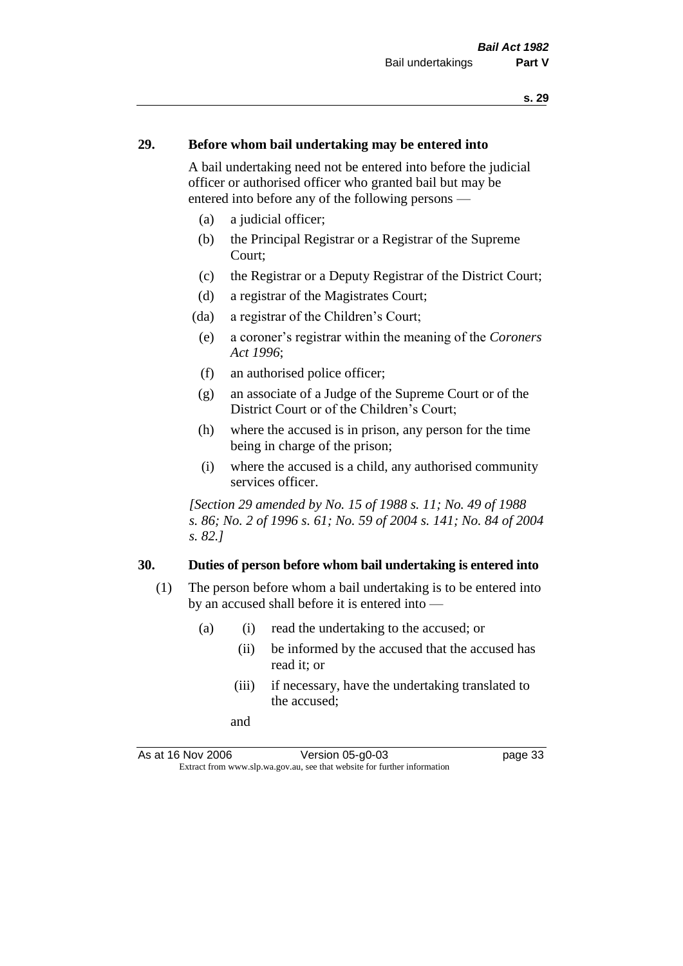#### **29. Before whom bail undertaking may be entered into**

A bail undertaking need not be entered into before the judicial officer or authorised officer who granted bail but may be entered into before any of the following persons —

- (a) a judicial officer;
- (b) the Principal Registrar or a Registrar of the Supreme Court;
- (c) the Registrar or a Deputy Registrar of the District Court;
- (d) a registrar of the Magistrates Court;
- (da) a registrar of the Children's Court;
- (e) a coroner's registrar within the meaning of the *Coroners Act 1996*;
- (f) an authorised police officer;
- (g) an associate of a Judge of the Supreme Court or of the District Court or of the Children's Court;
- (h) where the accused is in prison, any person for the time being in charge of the prison;
- (i) where the accused is a child, any authorised community services officer.

*[Section 29 amended by No. 15 of 1988 s. 11; No. 49 of 1988 s. 86; No. 2 of 1996 s. 61; No. 59 of 2004 s. 141; No. 84 of 2004 s. 82.]* 

#### **30. Duties of person before whom bail undertaking is entered into**

- (1) The person before whom a bail undertaking is to be entered into by an accused shall before it is entered into —
	- (a) (i) read the undertaking to the accused; or
		- (ii) be informed by the accused that the accused has read it; or
		- (iii) if necessary, have the undertaking translated to the accused;
		- and

As at 16 Nov 2006 Version 05-g0-03 page 33 Extract from www.slp.wa.gov.au, see that website for further information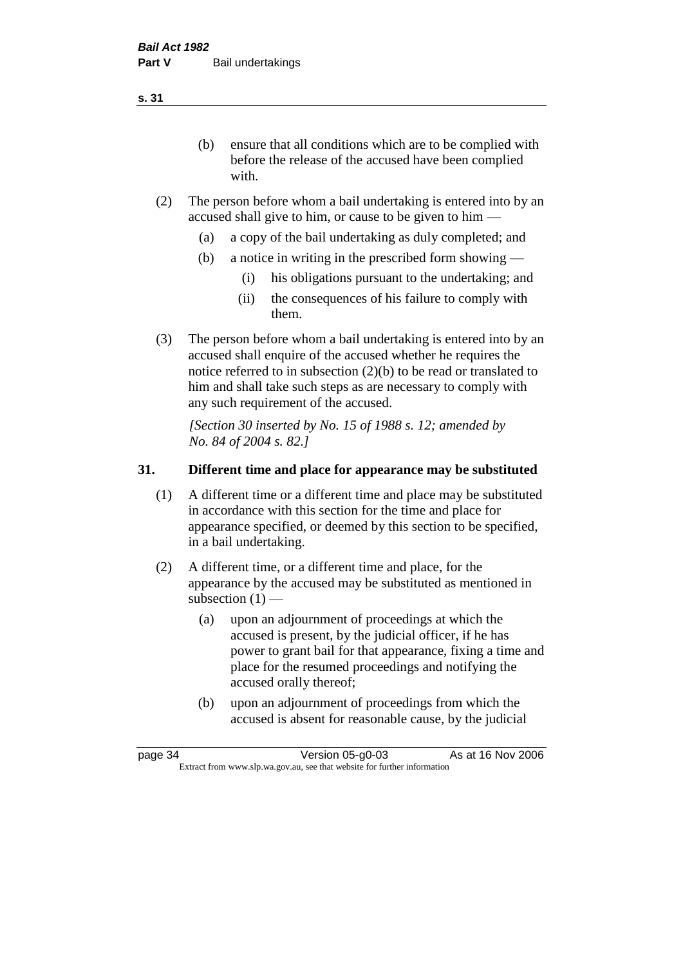(b) ensure that all conditions which are to be complied with before the release of the accused have been complied with.

- (2) The person before whom a bail undertaking is entered into by an accused shall give to him, or cause to be given to him —
	- (a) a copy of the bail undertaking as duly completed; and
	- (b) a notice in writing in the prescribed form showing
		- (i) his obligations pursuant to the undertaking; and
		- (ii) the consequences of his failure to comply with them.
- (3) The person before whom a bail undertaking is entered into by an accused shall enquire of the accused whether he requires the notice referred to in subsection (2)(b) to be read or translated to him and shall take such steps as are necessary to comply with any such requirement of the accused.

*[Section 30 inserted by No. 15 of 1988 s. 12; amended by No. 84 of 2004 s. 82.]* 

## **31. Different time and place for appearance may be substituted**

- (1) A different time or a different time and place may be substituted in accordance with this section for the time and place for appearance specified, or deemed by this section to be specified, in a bail undertaking.
- (2) A different time, or a different time and place, for the appearance by the accused may be substituted as mentioned in subsection  $(1)$  —
	- (a) upon an adjournment of proceedings at which the accused is present, by the judicial officer, if he has power to grant bail for that appearance, fixing a time and place for the resumed proceedings and notifying the accused orally thereof;
	- (b) upon an adjournment of proceedings from which the accused is absent for reasonable cause, by the judicial

page 34 Version 05-g0-03 As at 16 Nov 2006 Extract from www.slp.wa.gov.au, see that website for further information

**s. 31**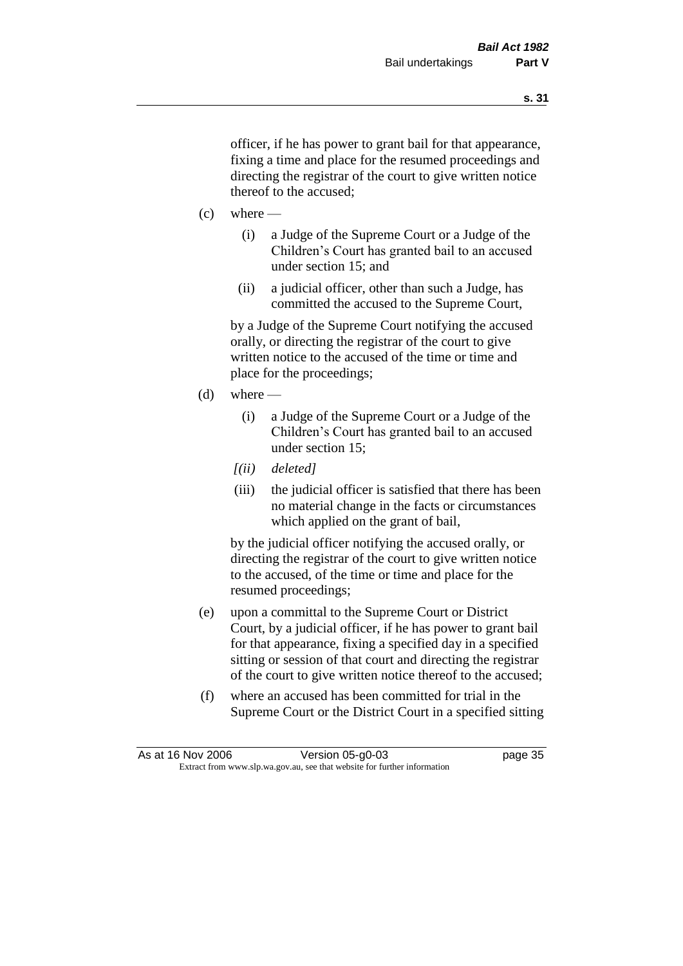officer, if he has power to grant bail for that appearance, fixing a time and place for the resumed proceedings and directing the registrar of the court to give written notice thereof to the accused;

- $(c)$  where
	- (i) a Judge of the Supreme Court or a Judge of the Children's Court has granted bail to an accused under section 15; and
	- (ii) a judicial officer, other than such a Judge, has committed the accused to the Supreme Court,

by a Judge of the Supreme Court notifying the accused orally, or directing the registrar of the court to give written notice to the accused of the time or time and place for the proceedings;

- $(d)$  where
	- (i) a Judge of the Supreme Court or a Judge of the Children's Court has granted bail to an accused under section 15;
	- *[(ii) deleted]*
	- (iii) the judicial officer is satisfied that there has been no material change in the facts or circumstances which applied on the grant of bail,

by the judicial officer notifying the accused orally, or directing the registrar of the court to give written notice to the accused, of the time or time and place for the resumed proceedings;

- (e) upon a committal to the Supreme Court or District Court, by a judicial officer, if he has power to grant bail for that appearance, fixing a specified day in a specified sitting or session of that court and directing the registrar of the court to give written notice thereof to the accused;
- (f) where an accused has been committed for trial in the Supreme Court or the District Court in a specified sitting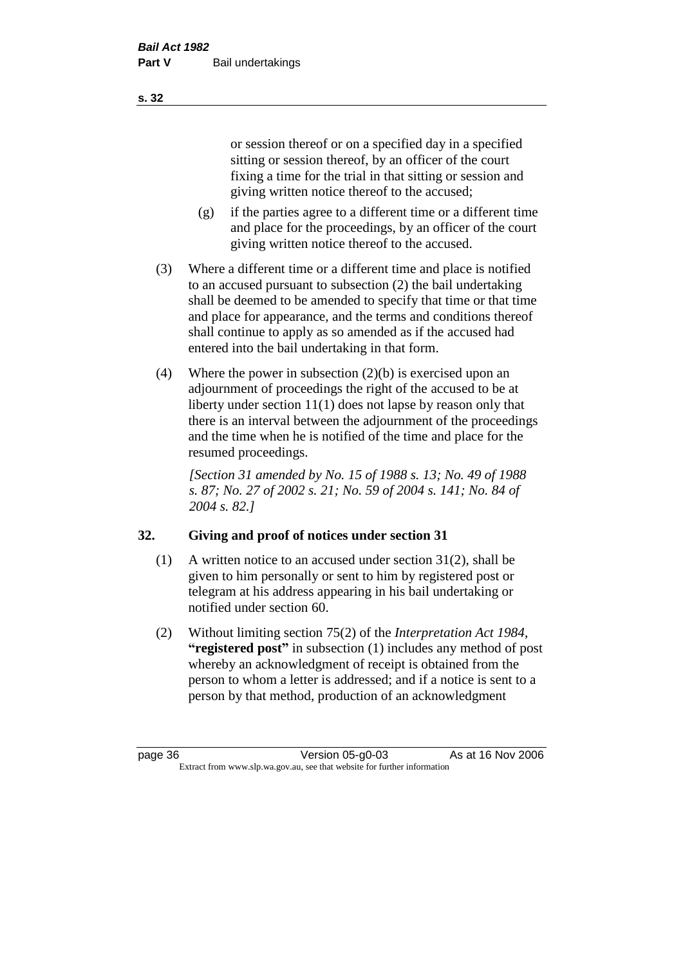or session thereof or on a specified day in a specified sitting or session thereof, by an officer of the court fixing a time for the trial in that sitting or session and giving written notice thereof to the accused;

- (g) if the parties agree to a different time or a different time and place for the proceedings, by an officer of the court giving written notice thereof to the accused.
- (3) Where a different time or a different time and place is notified to an accused pursuant to subsection (2) the bail undertaking shall be deemed to be amended to specify that time or that time and place for appearance, and the terms and conditions thereof shall continue to apply as so amended as if the accused had entered into the bail undertaking in that form.
- (4) Where the power in subsection (2)(b) is exercised upon an adjournment of proceedings the right of the accused to be at liberty under section 11(1) does not lapse by reason only that there is an interval between the adjournment of the proceedings and the time when he is notified of the time and place for the resumed proceedings.

*[Section 31 amended by No. 15 of 1988 s. 13; No. 49 of 1988 s. 87; No. 27 of 2002 s. 21; No. 59 of 2004 s. 141; No. 84 of 2004 s. 82.]* 

# **32. Giving and proof of notices under section 31**

- (1) A written notice to an accused under section 31(2), shall be given to him personally or sent to him by registered post or telegram at his address appearing in his bail undertaking or notified under section 60.
- (2) Without limiting section 75(2) of the *Interpretation Act 1984*, **"registered post"** in subsection (1) includes any method of post whereby an acknowledgment of receipt is obtained from the person to whom a letter is addressed; and if a notice is sent to a person by that method, production of an acknowledgment

**s. 32**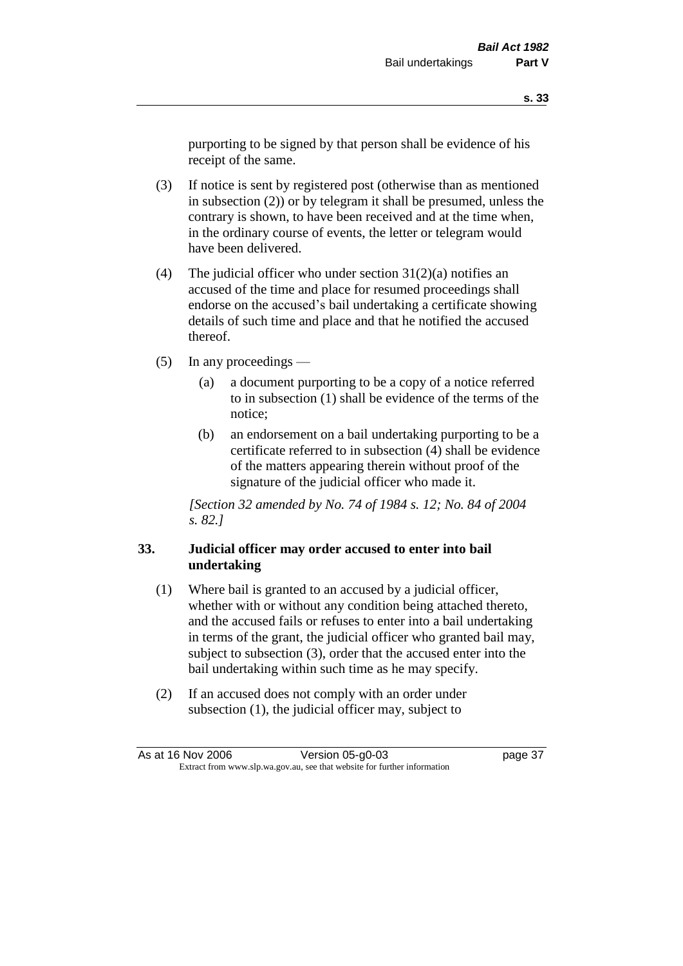purporting to be signed by that person shall be evidence of his receipt of the same.

- (3) If notice is sent by registered post (otherwise than as mentioned in subsection (2)) or by telegram it shall be presumed, unless the contrary is shown, to have been received and at the time when, in the ordinary course of events, the letter or telegram would have been delivered.
- (4) The judicial officer who under section  $31(2)(a)$  notifies an accused of the time and place for resumed proceedings shall endorse on the accused's bail undertaking a certificate showing details of such time and place and that he notified the accused thereof.
- (5) In any proceedings
	- (a) a document purporting to be a copy of a notice referred to in subsection (1) shall be evidence of the terms of the notice;
	- (b) an endorsement on a bail undertaking purporting to be a certificate referred to in subsection (4) shall be evidence of the matters appearing therein without proof of the signature of the judicial officer who made it.

*[Section 32 amended by No. 74 of 1984 s. 12; No. 84 of 2004 s. 82.]* 

## **33. Judicial officer may order accused to enter into bail undertaking**

- (1) Where bail is granted to an accused by a judicial officer, whether with or without any condition being attached thereto, and the accused fails or refuses to enter into a bail undertaking in terms of the grant, the judicial officer who granted bail may, subject to subsection (3), order that the accused enter into the bail undertaking within such time as he may specify.
- (2) If an accused does not comply with an order under subsection (1), the judicial officer may, subject to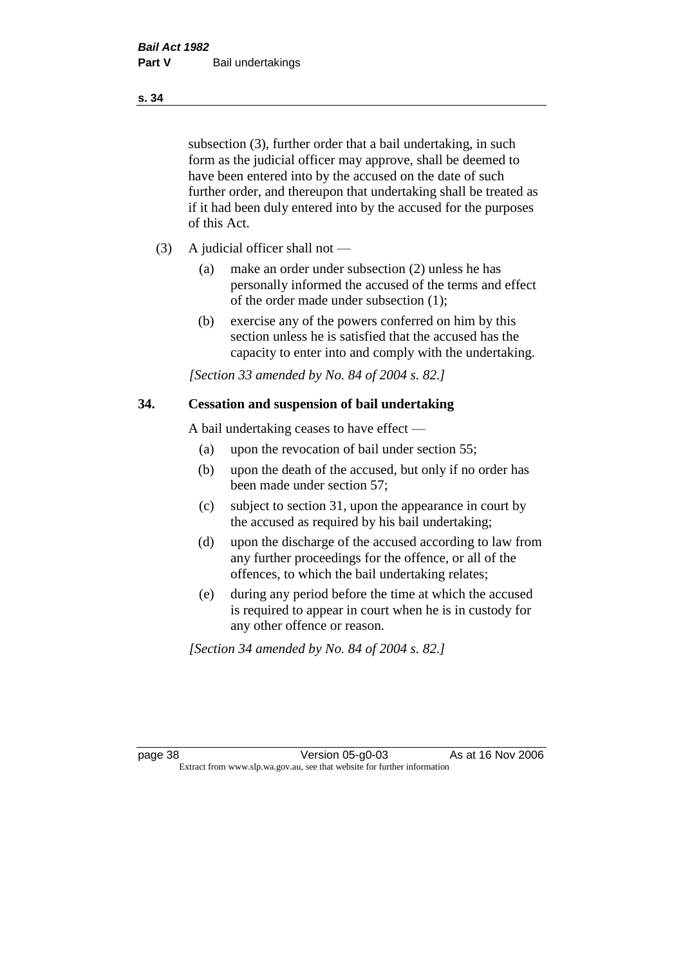subsection (3), further order that a bail undertaking, in such form as the judicial officer may approve, shall be deemed to have been entered into by the accused on the date of such further order, and thereupon that undertaking shall be treated as if it had been duly entered into by the accused for the purposes of this Act.

- (3) A judicial officer shall not
	- (a) make an order under subsection (2) unless he has personally informed the accused of the terms and effect of the order made under subsection (1);
	- (b) exercise any of the powers conferred on him by this section unless he is satisfied that the accused has the capacity to enter into and comply with the undertaking.

*[Section 33 amended by No. 84 of 2004 s. 82.]* 

#### **34. Cessation and suspension of bail undertaking**

A bail undertaking ceases to have effect —

- (a) upon the revocation of bail under section 55;
- (b) upon the death of the accused, but only if no order has been made under section 57;
- (c) subject to section 31, upon the appearance in court by the accused as required by his bail undertaking;
- (d) upon the discharge of the accused according to law from any further proceedings for the offence, or all of the offences, to which the bail undertaking relates;
- (e) during any period before the time at which the accused is required to appear in court when he is in custody for any other offence or reason.

*[Section 34 amended by No. 84 of 2004 s. 82.]* 

page 38 Version 05-g0-03 As at 16 Nov 2006 Extract from www.slp.wa.gov.au, see that website for further information

#### **s. 34**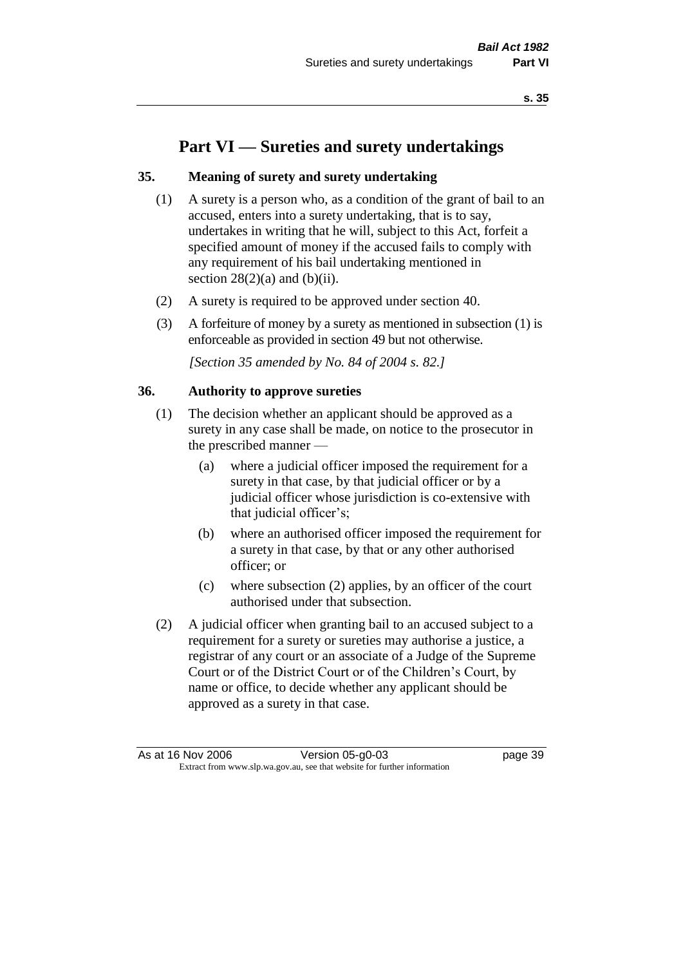# **Part VI — Sureties and surety undertakings**

### **35. Meaning of surety and surety undertaking**

- (1) A surety is a person who, as a condition of the grant of bail to an accused, enters into a surety undertaking, that is to say, undertakes in writing that he will, subject to this Act, forfeit a specified amount of money if the accused fails to comply with any requirement of his bail undertaking mentioned in section  $28(2)(a)$  and  $(b)(ii)$ .
- (2) A surety is required to be approved under section 40.
- (3) A forfeiture of money by a surety as mentioned in subsection (1) is enforceable as provided in section 49 but not otherwise.

*[Section 35 amended by No. 84 of 2004 s. 82.]* 

#### **36. Authority to approve sureties**

- (1) The decision whether an applicant should be approved as a surety in any case shall be made, on notice to the prosecutor in the prescribed manner —
	- (a) where a judicial officer imposed the requirement for a surety in that case, by that judicial officer or by a judicial officer whose jurisdiction is co-extensive with that judicial officer's;
	- (b) where an authorised officer imposed the requirement for a surety in that case, by that or any other authorised officer; or
	- (c) where subsection (2) applies, by an officer of the court authorised under that subsection.
- (2) A judicial officer when granting bail to an accused subject to a requirement for a surety or sureties may authorise a justice, a registrar of any court or an associate of a Judge of the Supreme Court or of the District Court or of the Children's Court, by name or office, to decide whether any applicant should be approved as a surety in that case.

As at 16 Nov 2006 Version 05-g0-03 Page 39 Extract from www.slp.wa.gov.au, see that website for further information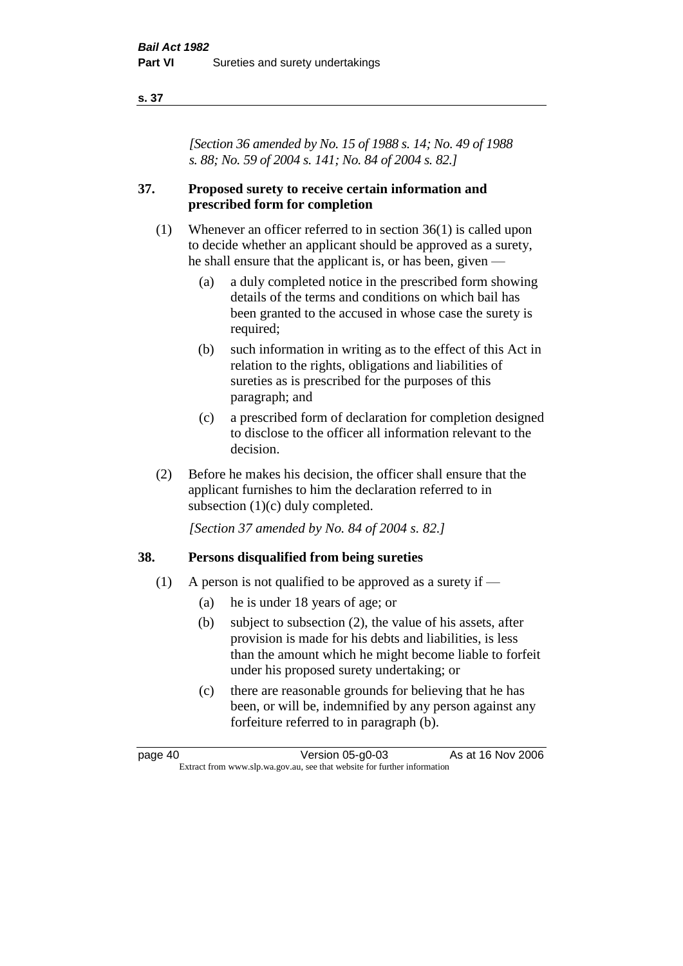#### **s. 37**

*[Section 36 amended by No. 15 of 1988 s. 14; No. 49 of 1988 s. 88; No. 59 of 2004 s. 141; No. 84 of 2004 s. 82.]* 

### **37. Proposed surety to receive certain information and prescribed form for completion**

- (1) Whenever an officer referred to in section 36(1) is called upon to decide whether an applicant should be approved as a surety, he shall ensure that the applicant is, or has been, given —
	- (a) a duly completed notice in the prescribed form showing details of the terms and conditions on which bail has been granted to the accused in whose case the surety is required;
	- (b) such information in writing as to the effect of this Act in relation to the rights, obligations and liabilities of sureties as is prescribed for the purposes of this paragraph; and
	- (c) a prescribed form of declaration for completion designed to disclose to the officer all information relevant to the decision.
- (2) Before he makes his decision, the officer shall ensure that the applicant furnishes to him the declaration referred to in subsection (1)(c) duly completed.

*[Section 37 amended by No. 84 of 2004 s. 82.]* 

### **38. Persons disqualified from being sureties**

- (1) A person is not qualified to be approved as a surety if  $-$ 
	- (a) he is under 18 years of age; or
	- (b) subject to subsection (2), the value of his assets, after provision is made for his debts and liabilities, is less than the amount which he might become liable to forfeit under his proposed surety undertaking; or
	- (c) there are reasonable grounds for believing that he has been, or will be, indemnified by any person against any forfeiture referred to in paragraph (b).

page 40 Version 05-g0-03 As at 16 Nov 2006 Extract from www.slp.wa.gov.au, see that website for further information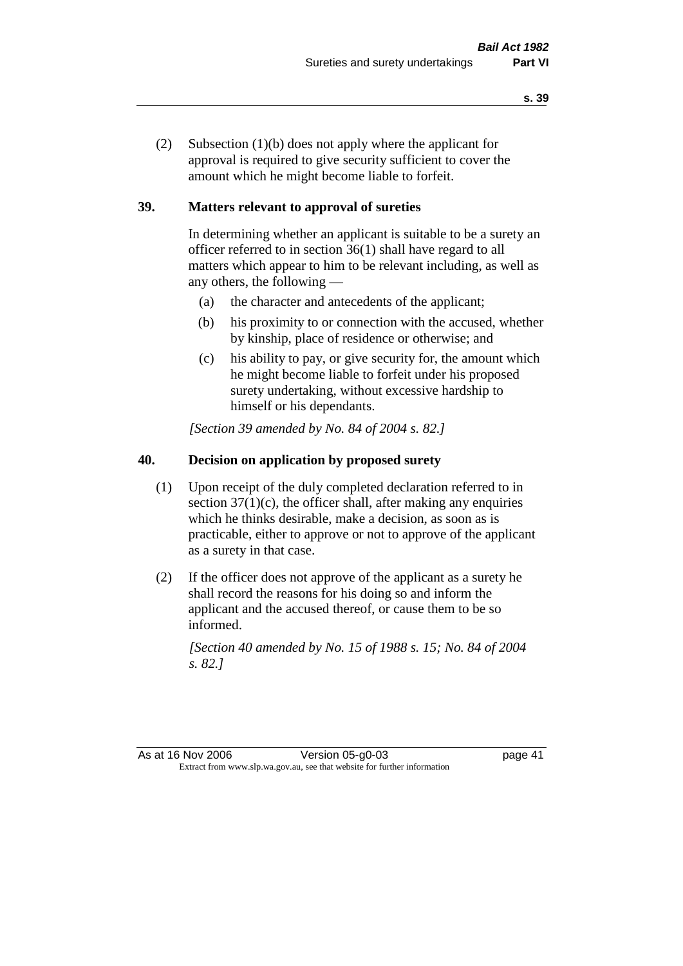(2) Subsection (1)(b) does not apply where the applicant for approval is required to give security sufficient to cover the amount which he might become liable to forfeit.

## **39. Matters relevant to approval of sureties**

In determining whether an applicant is suitable to be a surety an officer referred to in section 36(1) shall have regard to all matters which appear to him to be relevant including, as well as any others, the following —

- (a) the character and antecedents of the applicant;
- (b) his proximity to or connection with the accused, whether by kinship, place of residence or otherwise; and
- (c) his ability to pay, or give security for, the amount which he might become liable to forfeit under his proposed surety undertaking, without excessive hardship to himself or his dependants.

*[Section 39 amended by No. 84 of 2004 s. 82.]* 

## **40. Decision on application by proposed surety**

- (1) Upon receipt of the duly completed declaration referred to in section  $37(1)(c)$ , the officer shall, after making any enquiries which he thinks desirable, make a decision, as soon as is practicable, either to approve or not to approve of the applicant as a surety in that case.
- (2) If the officer does not approve of the applicant as a surety he shall record the reasons for his doing so and inform the applicant and the accused thereof, or cause them to be so informed.

*[Section 40 amended by No. 15 of 1988 s. 15; No. 84 of 2004 s. 82.]* 

As at 16 Nov 2006 Version 05-g0-03 page 41 Extract from www.slp.wa.gov.au, see that website for further information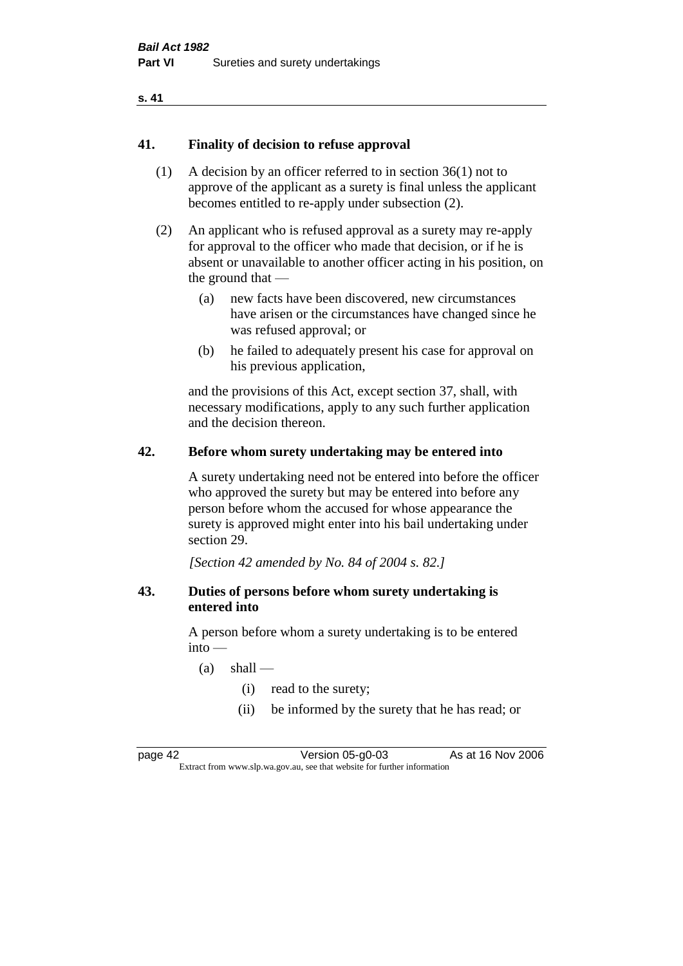#### **s. 41**

#### **41. Finality of decision to refuse approval**

- (1) A decision by an officer referred to in section 36(1) not to approve of the applicant as a surety is final unless the applicant becomes entitled to re-apply under subsection (2).
- (2) An applicant who is refused approval as a surety may re-apply for approval to the officer who made that decision, or if he is absent or unavailable to another officer acting in his position, on the ground that —
	- (a) new facts have been discovered, new circumstances have arisen or the circumstances have changed since he was refused approval; or
	- (b) he failed to adequately present his case for approval on his previous application,

and the provisions of this Act, except section 37, shall, with necessary modifications, apply to any such further application and the decision thereon.

#### **42. Before whom surety undertaking may be entered into**

A surety undertaking need not be entered into before the officer who approved the surety but may be entered into before any person before whom the accused for whose appearance the surety is approved might enter into his bail undertaking under section 29.

*[Section 42 amended by No. 84 of 2004 s. 82.]* 

#### **43. Duties of persons before whom surety undertaking is entered into**

A person before whom a surety undertaking is to be entered into —

- $(a)$  shall
	- (i) read to the surety;
	- (ii) be informed by the surety that he has read; or

page 42 Version 05-g0-03 As at 16 Nov 2006 Extract from www.slp.wa.gov.au, see that website for further information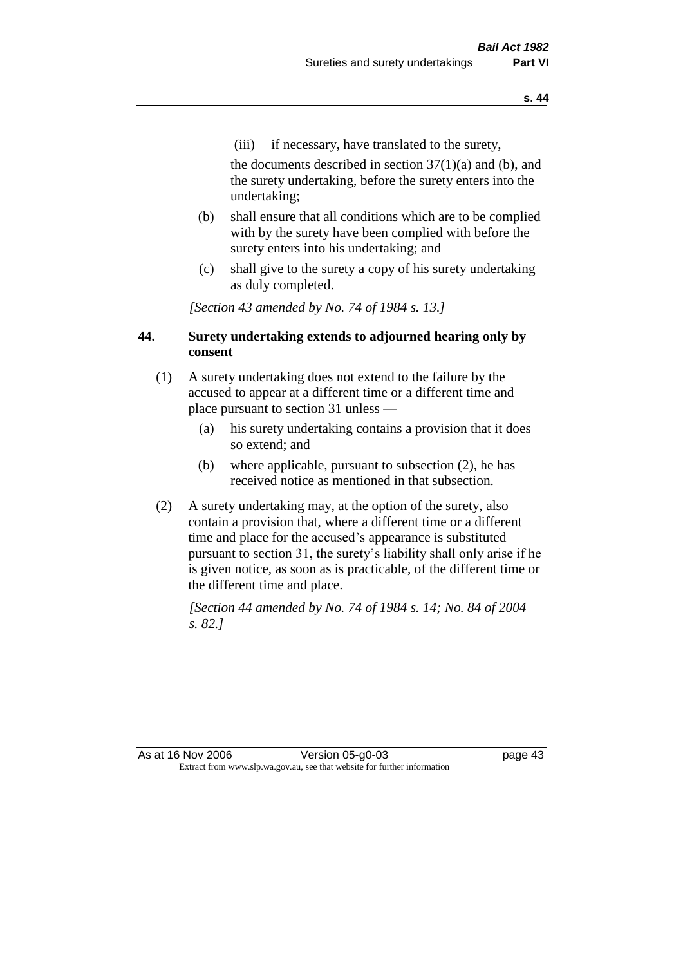(iii) if necessary, have translated to the surety,

the documents described in section  $37(1)(a)$  and (b), and the surety undertaking, before the surety enters into the undertaking;

- (b) shall ensure that all conditions which are to be complied with by the surety have been complied with before the surety enters into his undertaking; and
- (c) shall give to the surety a copy of his surety undertaking as duly completed.

*[Section 43 amended by No. 74 of 1984 s. 13.]* 

## **44. Surety undertaking extends to adjourned hearing only by consent**

- (1) A surety undertaking does not extend to the failure by the accused to appear at a different time or a different time and place pursuant to section 31 unless —
	- (a) his surety undertaking contains a provision that it does so extend; and
	- (b) where applicable, pursuant to subsection (2), he has received notice as mentioned in that subsection.
- (2) A surety undertaking may, at the option of the surety, also contain a provision that, where a different time or a different time and place for the accused's appearance is substituted pursuant to section 31, the surety's liability shall only arise if he is given notice, as soon as is practicable, of the different time or the different time and place.

*[Section 44 amended by No. 74 of 1984 s. 14; No. 84 of 2004 s. 82.]* 

As at 16 Nov 2006 Version 05-g0-03 page 43 Extract from www.slp.wa.gov.au, see that website for further information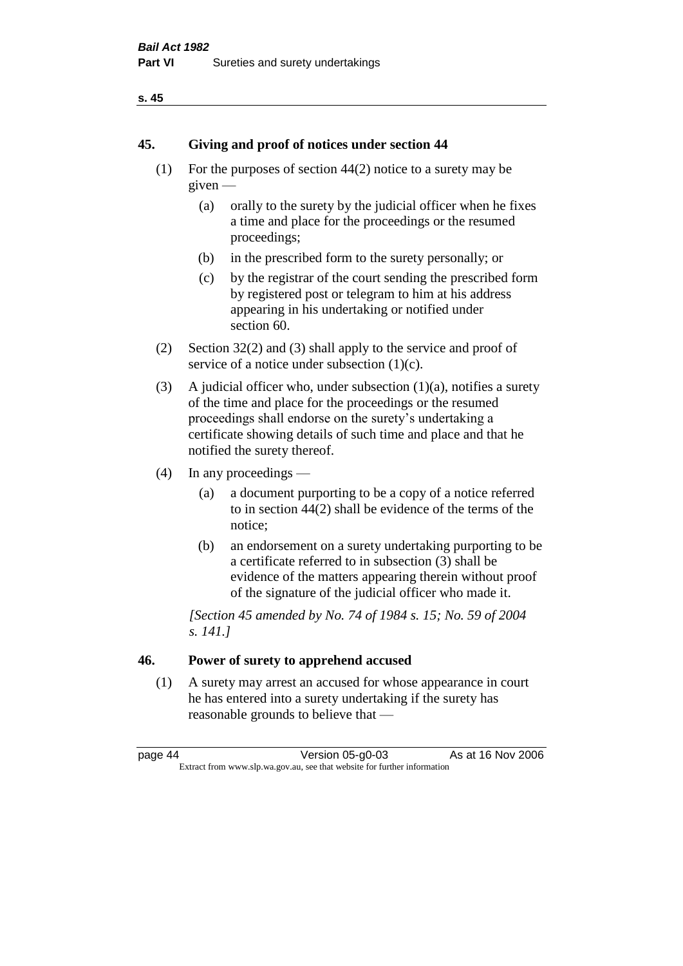#### **s. 45**

#### **45. Giving and proof of notices under section 44**

- (1) For the purposes of section 44(2) notice to a surety may be given —
	- (a) orally to the surety by the judicial officer when he fixes a time and place for the proceedings or the resumed proceedings;
	- (b) in the prescribed form to the surety personally; or
	- (c) by the registrar of the court sending the prescribed form by registered post or telegram to him at his address appearing in his undertaking or notified under section 60.
- (2) Section 32(2) and (3) shall apply to the service and proof of service of a notice under subsection  $(1)(c)$ .
- (3) A judicial officer who, under subsection  $(1)(a)$ , notifies a surety of the time and place for the proceedings or the resumed proceedings shall endorse on the surety's undertaking a certificate showing details of such time and place and that he notified the surety thereof.
- (4) In any proceedings
	- (a) a document purporting to be a copy of a notice referred to in section 44(2) shall be evidence of the terms of the notice;
	- (b) an endorsement on a surety undertaking purporting to be a certificate referred to in subsection (3) shall be evidence of the matters appearing therein without proof of the signature of the judicial officer who made it.

*[Section 45 amended by No. 74 of 1984 s. 15; No. 59 of 2004 s. 141.]* 

# **46. Power of surety to apprehend accused**

(1) A surety may arrest an accused for whose appearance in court he has entered into a surety undertaking if the surety has reasonable grounds to believe that —

page 44 Version 05-g0-03 As at 16 Nov 2006 Extract from www.slp.wa.gov.au, see that website for further information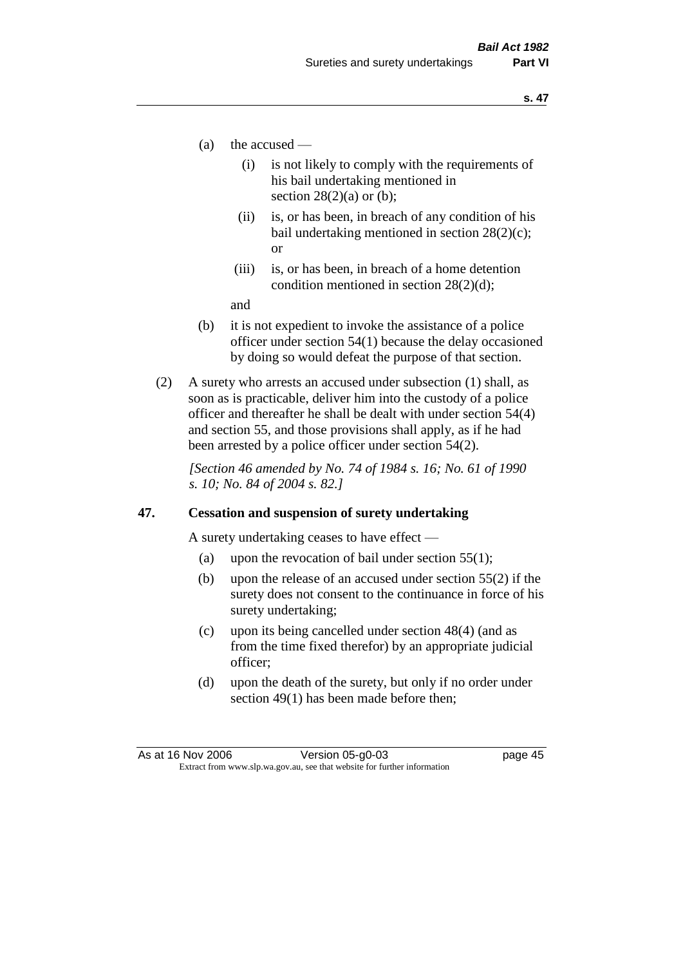- (a) the accused
	- (i) is not likely to comply with the requirements of his bail undertaking mentioned in section  $28(2)(a)$  or (b):
	- (ii) is, or has been, in breach of any condition of his bail undertaking mentioned in section 28(2)(c); or
	- (iii) is, or has been, in breach of a home detention condition mentioned in section 28(2)(d);

and

- (b) it is not expedient to invoke the assistance of a police officer under section 54(1) because the delay occasioned by doing so would defeat the purpose of that section.
- (2) A surety who arrests an accused under subsection (1) shall, as soon as is practicable, deliver him into the custody of a police officer and thereafter he shall be dealt with under section 54(4) and section 55, and those provisions shall apply, as if he had been arrested by a police officer under section 54(2).

*[Section 46 amended by No. 74 of 1984 s. 16; No. 61 of 1990 s. 10; No. 84 of 2004 s. 82.]* 

#### **47. Cessation and suspension of surety undertaking**

A surety undertaking ceases to have effect —

- (a) upon the revocation of bail under section  $55(1)$ ;
- (b) upon the release of an accused under section 55(2) if the surety does not consent to the continuance in force of his surety undertaking;
- (c) upon its being cancelled under section 48(4) (and as from the time fixed therefor) by an appropriate judicial officer;
- (d) upon the death of the surety, but only if no order under section 49(1) has been made before then;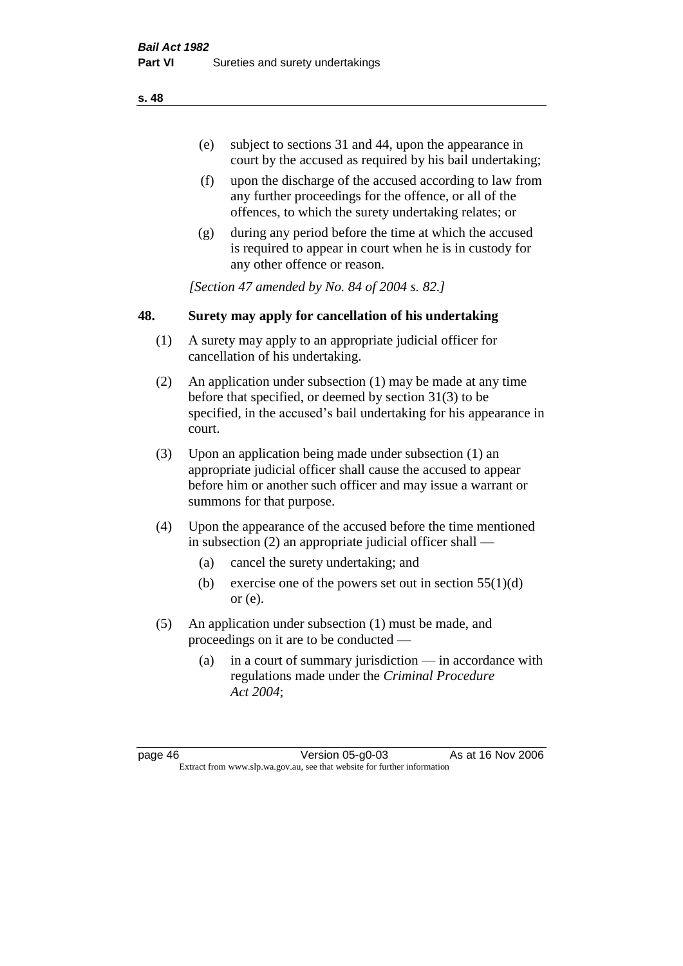- (e) subject to sections 31 and 44, upon the appearance in court by the accused as required by his bail undertaking;
- (f) upon the discharge of the accused according to law from any further proceedings for the offence, or all of the offences, to which the surety undertaking relates; or
- (g) during any period before the time at which the accused is required to appear in court when he is in custody for any other offence or reason.

*[Section 47 amended by No. 84 of 2004 s. 82.]* 

## **48. Surety may apply for cancellation of his undertaking**

- (1) A surety may apply to an appropriate judicial officer for cancellation of his undertaking.
- (2) An application under subsection (1) may be made at any time before that specified, or deemed by section 31(3) to be specified, in the accused's bail undertaking for his appearance in court.
- (3) Upon an application being made under subsection (1) an appropriate judicial officer shall cause the accused to appear before him or another such officer and may issue a warrant or summons for that purpose.
- (4) Upon the appearance of the accused before the time mentioned in subsection (2) an appropriate judicial officer shall —
	- (a) cancel the surety undertaking; and
	- (b) exercise one of the powers set out in section  $55(1)(d)$ or (e).
- (5) An application under subsection (1) must be made, and proceedings on it are to be conducted —
	- (a) in a court of summary jurisdiction in accordance with regulations made under the *Criminal Procedure Act 2004*;

page 46 Version 05-g0-03 As at 16 Nov 2006 Extract from www.slp.wa.gov.au, see that website for further information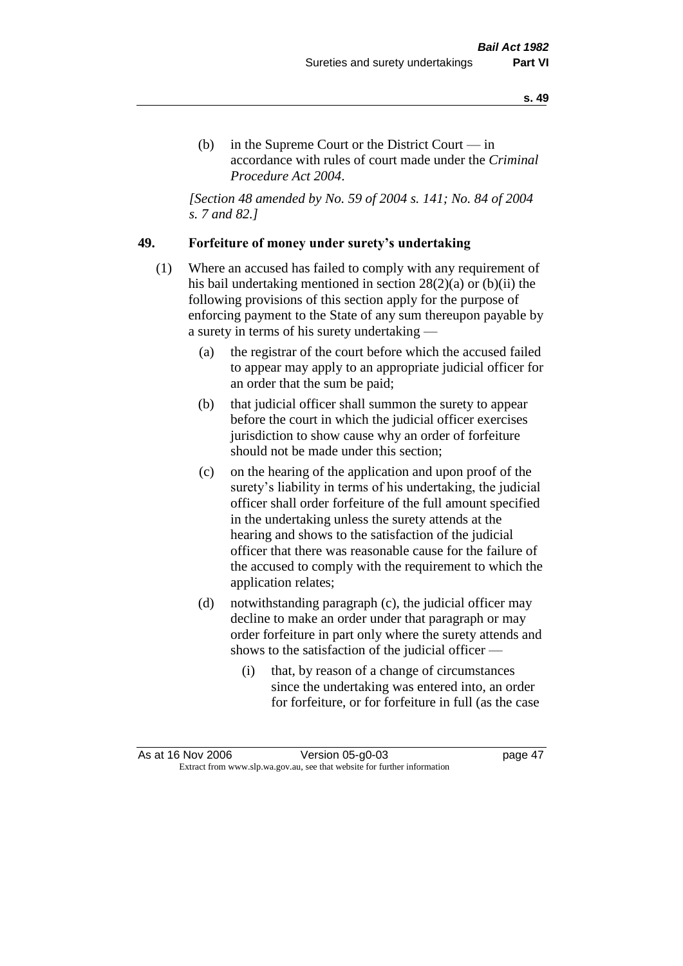(b) in the Supreme Court or the District Court  $-\text{in}$ accordance with rules of court made under the *Criminal Procedure Act 2004*.

*[Section 48 amended by No. 59 of 2004 s. 141; No. 84 of 2004 s. 7 and 82.]* 

#### **49. Forfeiture of money under surety's undertaking**

- (1) Where an accused has failed to comply with any requirement of his bail undertaking mentioned in section 28(2)(a) or (b)(ii) the following provisions of this section apply for the purpose of enforcing payment to the State of any sum thereupon payable by a surety in terms of his surety undertaking —
	- (a) the registrar of the court before which the accused failed to appear may apply to an appropriate judicial officer for an order that the sum be paid;
	- (b) that judicial officer shall summon the surety to appear before the court in which the judicial officer exercises jurisdiction to show cause why an order of forfeiture should not be made under this section;
	- (c) on the hearing of the application and upon proof of the surety's liability in terms of his undertaking, the judicial officer shall order forfeiture of the full amount specified in the undertaking unless the surety attends at the hearing and shows to the satisfaction of the judicial officer that there was reasonable cause for the failure of the accused to comply with the requirement to which the application relates;
	- (d) notwithstanding paragraph (c), the judicial officer may decline to make an order under that paragraph or may order forfeiture in part only where the surety attends and shows to the satisfaction of the judicial officer —
		- (i) that, by reason of a change of circumstances since the undertaking was entered into, an order for forfeiture, or for forfeiture in full (as the case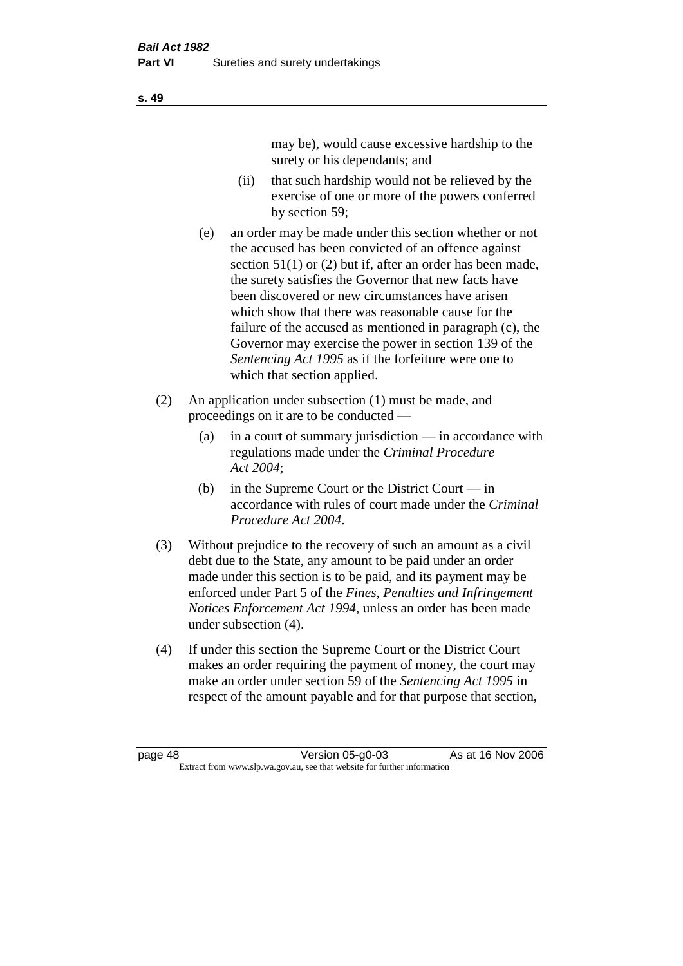may be), would cause excessive hardship to the surety or his dependants; and

- (ii) that such hardship would not be relieved by the exercise of one or more of the powers conferred by section 59;
- (e) an order may be made under this section whether or not the accused has been convicted of an offence against section 51(1) or (2) but if, after an order has been made, the surety satisfies the Governor that new facts have been discovered or new circumstances have arisen which show that there was reasonable cause for the failure of the accused as mentioned in paragraph (c), the Governor may exercise the power in section 139 of the *Sentencing Act 1995* as if the forfeiture were one to which that section applied.
- (2) An application under subsection (1) must be made, and proceedings on it are to be conducted —
	- (a) in a court of summary jurisdiction in accordance with regulations made under the *Criminal Procedure Act 2004*;
	- (b) in the Supreme Court or the District Court  $-\text{in}$ accordance with rules of court made under the *Criminal Procedure Act 2004*.
- (3) Without prejudice to the recovery of such an amount as a civil debt due to the State, any amount to be paid under an order made under this section is to be paid, and its payment may be enforced under Part 5 of the *Fines, Penalties and Infringement Notices Enforcement Act 1994*, unless an order has been made under subsection (4).
- (4) If under this section the Supreme Court or the District Court makes an order requiring the payment of money, the court may make an order under section 59 of the *Sentencing Act 1995* in respect of the amount payable and for that purpose that section,

**s. 49**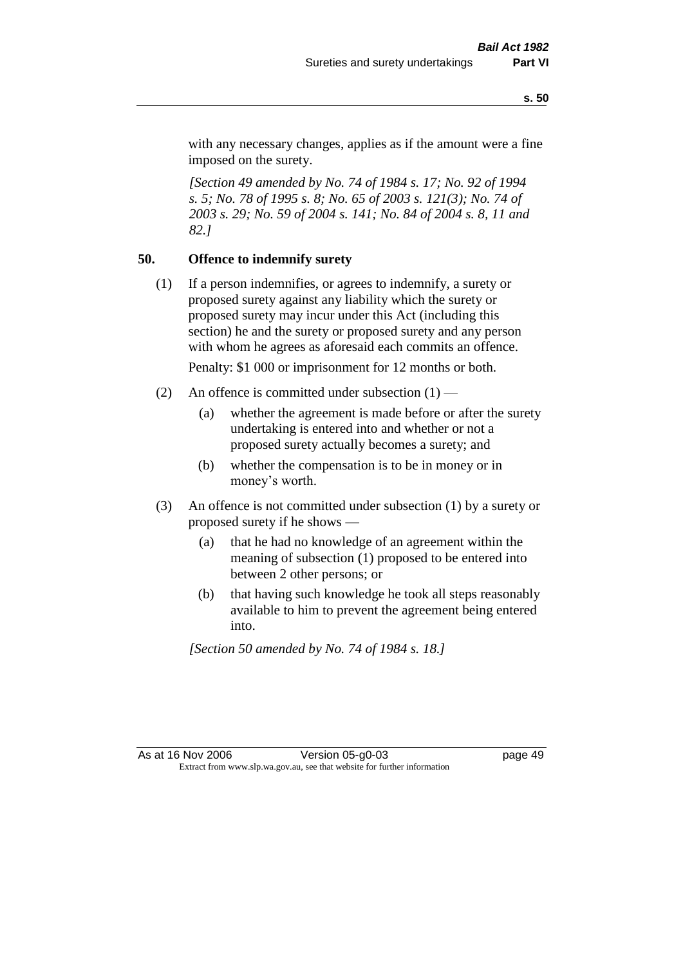with any necessary changes, applies as if the amount were a fine imposed on the surety.

*[Section 49 amended by No. 74 of 1984 s. 17; No. 92 of 1994 s. 5; No. 78 of 1995 s. 8; No. 65 of 2003 s. 121(3); No. 74 of 2003 s. 29; No. 59 of 2004 s. 141; No. 84 of 2004 s. 8, 11 and 82.]* 

## **50. Offence to indemnify surety**

(1) If a person indemnifies, or agrees to indemnify, a surety or proposed surety against any liability which the surety or proposed surety may incur under this Act (including this section) he and the surety or proposed surety and any person with whom he agrees as aforesaid each commits an offence.

Penalty: \$1 000 or imprisonment for 12 months or both.

- (2) An offence is committed under subsection  $(1)$ 
	- (a) whether the agreement is made before or after the surety undertaking is entered into and whether or not a proposed surety actually becomes a surety; and
	- (b) whether the compensation is to be in money or in money's worth.
- (3) An offence is not committed under subsection (1) by a surety or proposed surety if he shows —
	- (a) that he had no knowledge of an agreement within the meaning of subsection (1) proposed to be entered into between 2 other persons; or
	- (b) that having such knowledge he took all steps reasonably available to him to prevent the agreement being entered into.

*[Section 50 amended by No. 74 of 1984 s. 18.]*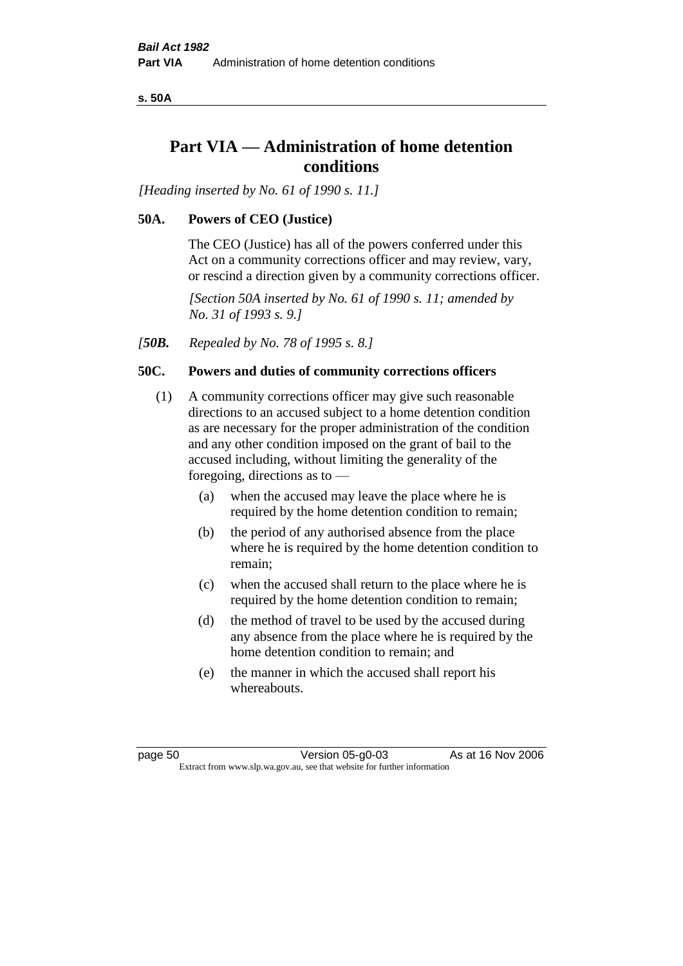**s. 50A**

# **Part VIA — Administration of home detention conditions**

*[Heading inserted by No. 61 of 1990 s. 11.]* 

## **50A. Powers of CEO (Justice)**

The CEO (Justice) has all of the powers conferred under this Act on a community corrections officer and may review, vary, or rescind a direction given by a community corrections officer.

*[Section 50A inserted by No. 61 of 1990 s. 11; amended by No. 31 of 1993 s. 9.]* 

*[50B. Repealed by No. 78 of 1995 s. 8.]* 

### **50C. Powers and duties of community corrections officers**

- (1) A community corrections officer may give such reasonable directions to an accused subject to a home detention condition as are necessary for the proper administration of the condition and any other condition imposed on the grant of bail to the accused including, without limiting the generality of the foregoing, directions as to —
	- (a) when the accused may leave the place where he is required by the home detention condition to remain;
	- (b) the period of any authorised absence from the place where he is required by the home detention condition to remain;
	- (c) when the accused shall return to the place where he is required by the home detention condition to remain;
	- (d) the method of travel to be used by the accused during any absence from the place where he is required by the home detention condition to remain; and
	- (e) the manner in which the accused shall report his whereabouts.

page 50 Version 05-g0-03 As at 16 Nov 2006 Extract from www.slp.wa.gov.au, see that website for further information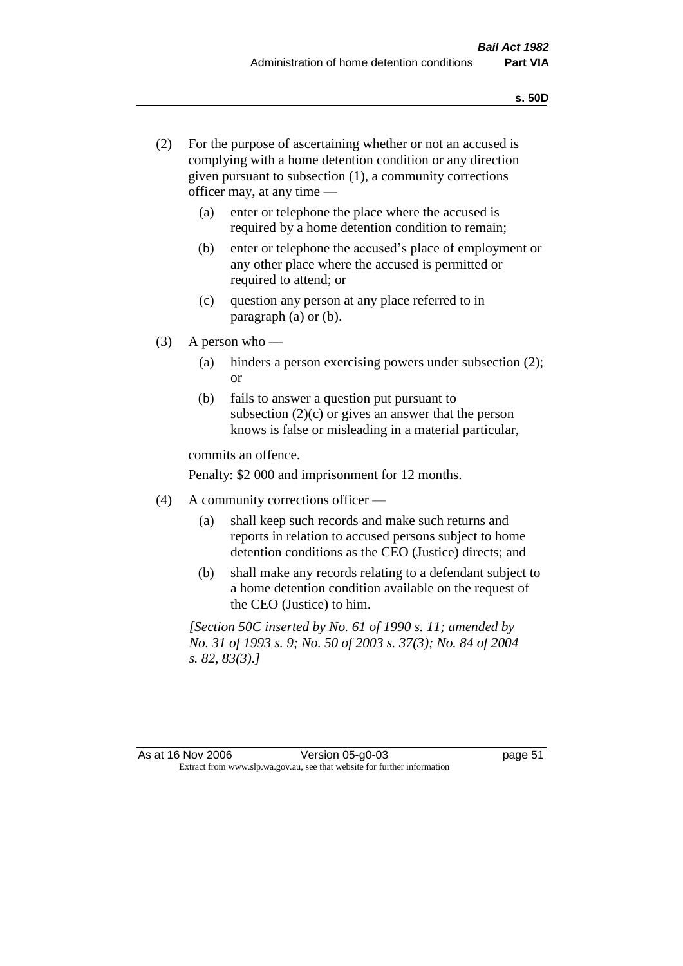- (2) For the purpose of ascertaining whether or not an accused is complying with a home detention condition or any direction given pursuant to subsection (1), a community corrections officer may, at any time —
	- (a) enter or telephone the place where the accused is required by a home detention condition to remain;
	- (b) enter or telephone the accused's place of employment or any other place where the accused is permitted or required to attend; or
	- (c) question any person at any place referred to in paragraph (a) or (b).
- $(3)$  A person who
	- (a) hinders a person exercising powers under subsection (2); or
	- (b) fails to answer a question put pursuant to subsection  $(2)(c)$  or gives an answer that the person knows is false or misleading in a material particular,

commits an offence.

Penalty: \$2 000 and imprisonment for 12 months.

- (4) A community corrections officer
	- (a) shall keep such records and make such returns and reports in relation to accused persons subject to home detention conditions as the CEO (Justice) directs; and
	- (b) shall make any records relating to a defendant subject to a home detention condition available on the request of the CEO (Justice) to him.

*[Section 50C inserted by No. 61 of 1990 s. 11; amended by No. 31 of 1993 s. 9; No. 50 of 2003 s. 37(3); No. 84 of 2004 s. 82, 83(3).]*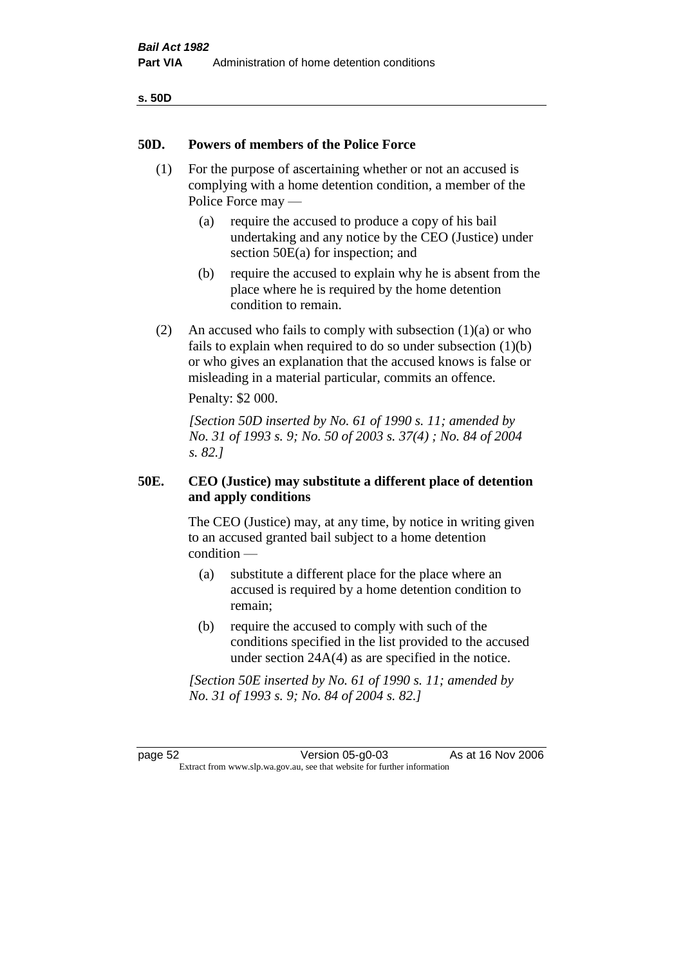| v<br>۰,<br>×<br>۰.<br>× |  |
|-------------------------|--|
|-------------------------|--|

#### **50D. Powers of members of the Police Force**

- (1) For the purpose of ascertaining whether or not an accused is complying with a home detention condition, a member of the Police Force may —
	- (a) require the accused to produce a copy of his bail undertaking and any notice by the CEO (Justice) under section 50E(a) for inspection; and
	- (b) require the accused to explain why he is absent from the place where he is required by the home detention condition to remain.
- (2) An accused who fails to comply with subsection  $(1)(a)$  or who fails to explain when required to do so under subsection (1)(b) or who gives an explanation that the accused knows is false or misleading in a material particular, commits an offence.

Penalty: \$2 000.

*[Section 50D inserted by No. 61 of 1990 s. 11; amended by No. 31 of 1993 s. 9; No. 50 of 2003 s. 37(4) ; No. 84 of 2004 s. 82.]* 

## **50E. CEO (Justice) may substitute a different place of detention and apply conditions**

The CEO (Justice) may, at any time, by notice in writing given to an accused granted bail subject to a home detention condition —

- (a) substitute a different place for the place where an accused is required by a home detention condition to remain;
- (b) require the accused to comply with such of the conditions specified in the list provided to the accused under section 24A(4) as are specified in the notice.

*[Section 50E inserted by No. 61 of 1990 s. 11; amended by No. 31 of 1993 s. 9; No. 84 of 2004 s. 82.]* 

page 52 Version 05-g0-03 As at 16 Nov 2006 Extract from www.slp.wa.gov.au, see that website for further information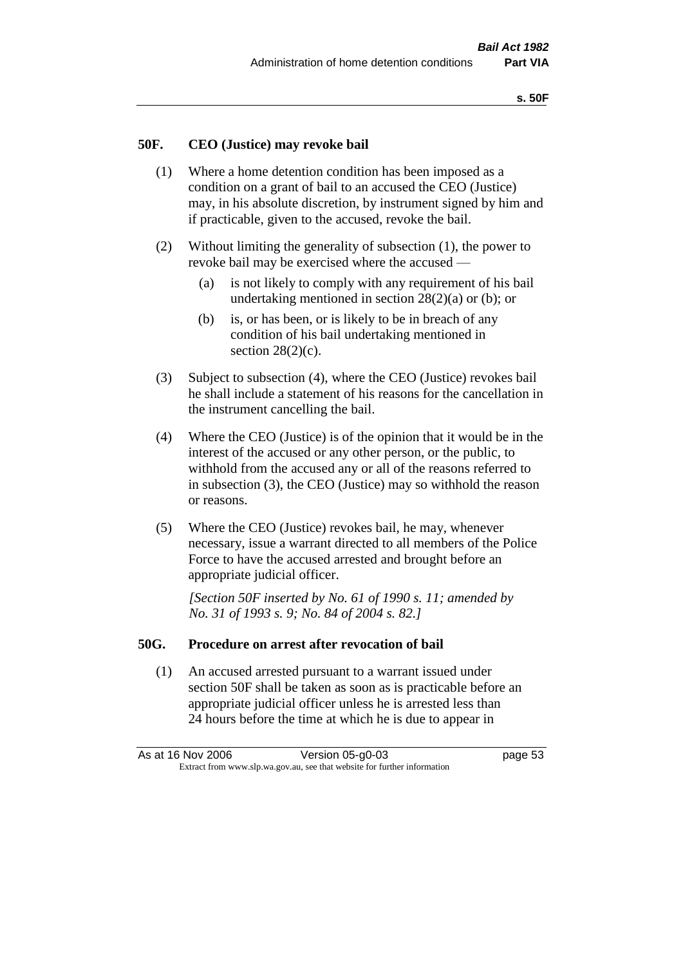#### **50F. CEO (Justice) may revoke bail**

- (1) Where a home detention condition has been imposed as a condition on a grant of bail to an accused the CEO (Justice) may, in his absolute discretion, by instrument signed by him and if practicable, given to the accused, revoke the bail.
- (2) Without limiting the generality of subsection (1), the power to revoke bail may be exercised where the accused —
	- (a) is not likely to comply with any requirement of his bail undertaking mentioned in section  $28(2)(a)$  or (b); or
	- (b) is, or has been, or is likely to be in breach of any condition of his bail undertaking mentioned in section  $28(2)(c)$ .
- (3) Subject to subsection (4), where the CEO (Justice) revokes bail he shall include a statement of his reasons for the cancellation in the instrument cancelling the bail.
- (4) Where the CEO (Justice) is of the opinion that it would be in the interest of the accused or any other person, or the public, to withhold from the accused any or all of the reasons referred to in subsection (3), the CEO (Justice) may so withhold the reason or reasons.
- (5) Where the CEO (Justice) revokes bail, he may, whenever necessary, issue a warrant directed to all members of the Police Force to have the accused arrested and brought before an appropriate judicial officer.

*[Section 50F inserted by No. 61 of 1990 s. 11; amended by No. 31 of 1993 s. 9; No. 84 of 2004 s. 82.]* 

#### **50G. Procedure on arrest after revocation of bail**

(1) An accused arrested pursuant to a warrant issued under section 50F shall be taken as soon as is practicable before an appropriate judicial officer unless he is arrested less than 24 hours before the time at which he is due to appear in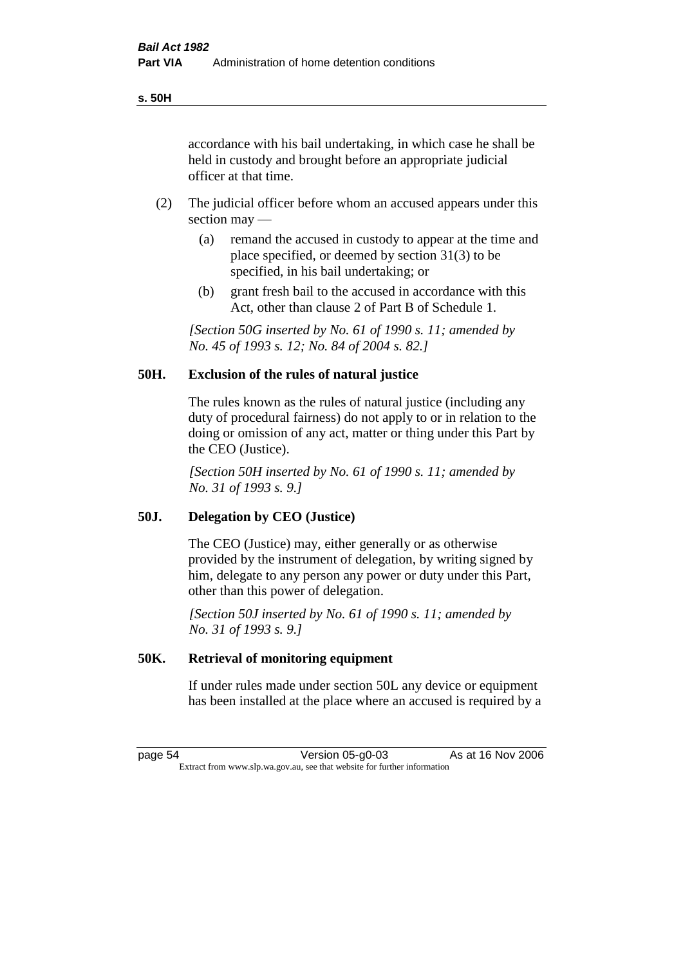accordance with his bail undertaking, in which case he shall be held in custody and brought before an appropriate judicial officer at that time.

- (2) The judicial officer before whom an accused appears under this section may —
	- (a) remand the accused in custody to appear at the time and place specified, or deemed by section 31(3) to be specified, in his bail undertaking; or
	- (b) grant fresh bail to the accused in accordance with this Act, other than clause 2 of Part B of Schedule 1.

*[Section 50G inserted by No. 61 of 1990 s. 11; amended by No. 45 of 1993 s. 12; No. 84 of 2004 s. 82.]* 

## **50H. Exclusion of the rules of natural justice**

The rules known as the rules of natural justice (including any duty of procedural fairness) do not apply to or in relation to the doing or omission of any act, matter or thing under this Part by the CEO (Justice).

*[Section 50H inserted by No. 61 of 1990 s. 11; amended by No. 31 of 1993 s. 9.]* 

#### **50J. Delegation by CEO (Justice)**

The CEO (Justice) may, either generally or as otherwise provided by the instrument of delegation, by writing signed by him, delegate to any person any power or duty under this Part, other than this power of delegation.

*[Section 50J inserted by No. 61 of 1990 s. 11; amended by No. 31 of 1993 s. 9.]*

#### **50K. Retrieval of monitoring equipment**

If under rules made under section 50L any device or equipment has been installed at the place where an accused is required by a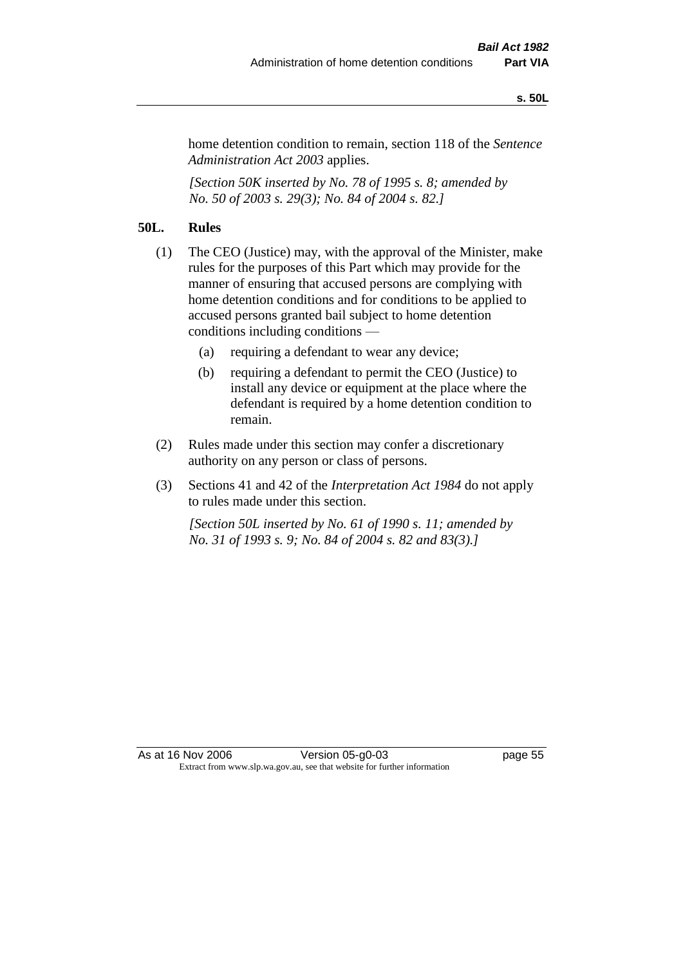#### **s. 50L**

home detention condition to remain, section 118 of the *Sentence Administration Act 2003* applies.

*[Section 50K inserted by No. 78 of 1995 s. 8; amended by No. 50 of 2003 s. 29(3); No. 84 of 2004 s. 82.]* 

## **50L. Rules**

- (1) The CEO (Justice) may, with the approval of the Minister, make rules for the purposes of this Part which may provide for the manner of ensuring that accused persons are complying with home detention conditions and for conditions to be applied to accused persons granted bail subject to home detention conditions including conditions —
	- (a) requiring a defendant to wear any device;
	- (b) requiring a defendant to permit the CEO (Justice) to install any device or equipment at the place where the defendant is required by a home detention condition to remain.
- (2) Rules made under this section may confer a discretionary authority on any person or class of persons.
- (3) Sections 41 and 42 of the *Interpretation Act 1984* do not apply to rules made under this section.

*[Section 50L inserted by No. 61 of 1990 s. 11; amended by No. 31 of 1993 s. 9; No. 84 of 2004 s. 82 and 83(3).]*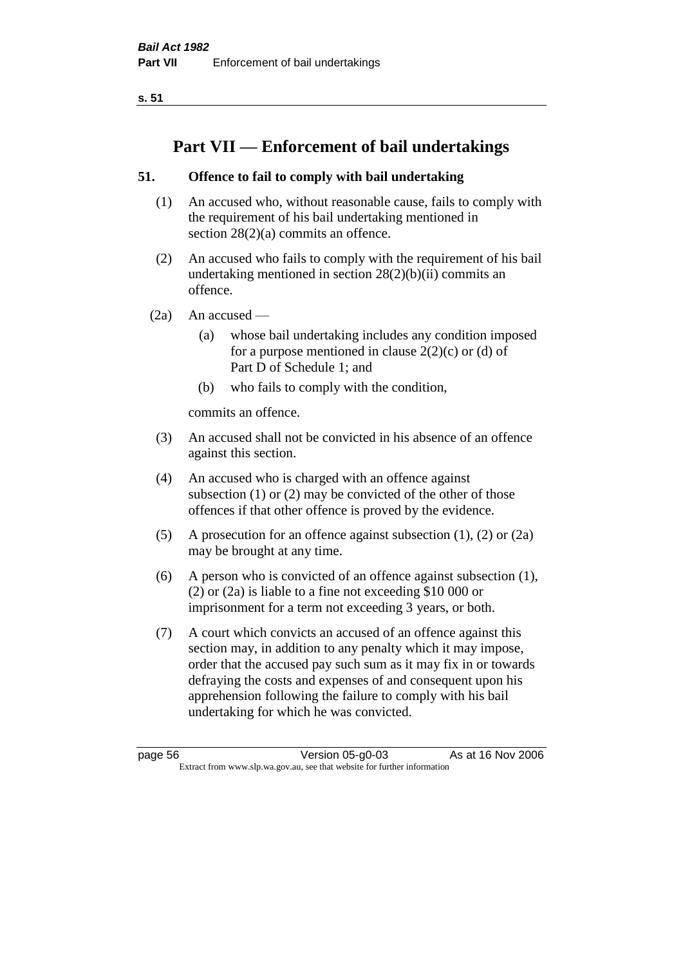**s. 51**

# **Part VII — Enforcement of bail undertakings**

## **51. Offence to fail to comply with bail undertaking**

- (1) An accused who, without reasonable cause, fails to comply with the requirement of his bail undertaking mentioned in section  $28(2)(a)$  commits an offence.
- (2) An accused who fails to comply with the requirement of his bail undertaking mentioned in section  $28(2)(b)(ii)$  commits an offence.
- $(2a)$  An accused
	- (a) whose bail undertaking includes any condition imposed for a purpose mentioned in clause  $2(2)(c)$  or (d) of Part D of Schedule 1; and
	- (b) who fails to comply with the condition,

commits an offence.

- (3) An accused shall not be convicted in his absence of an offence against this section.
- (4) An accused who is charged with an offence against subsection (1) or (2) may be convicted of the other of those offences if that other offence is proved by the evidence.
- (5) A prosecution for an offence against subsection (1), (2) or (2a) may be brought at any time.
- (6) A person who is convicted of an offence against subsection (1), (2) or (2a) is liable to a fine not exceeding \$10 000 or imprisonment for a term not exceeding 3 years, or both.
- (7) A court which convicts an accused of an offence against this section may, in addition to any penalty which it may impose, order that the accused pay such sum as it may fix in or towards defraying the costs and expenses of and consequent upon his apprehension following the failure to comply with his bail undertaking for which he was convicted.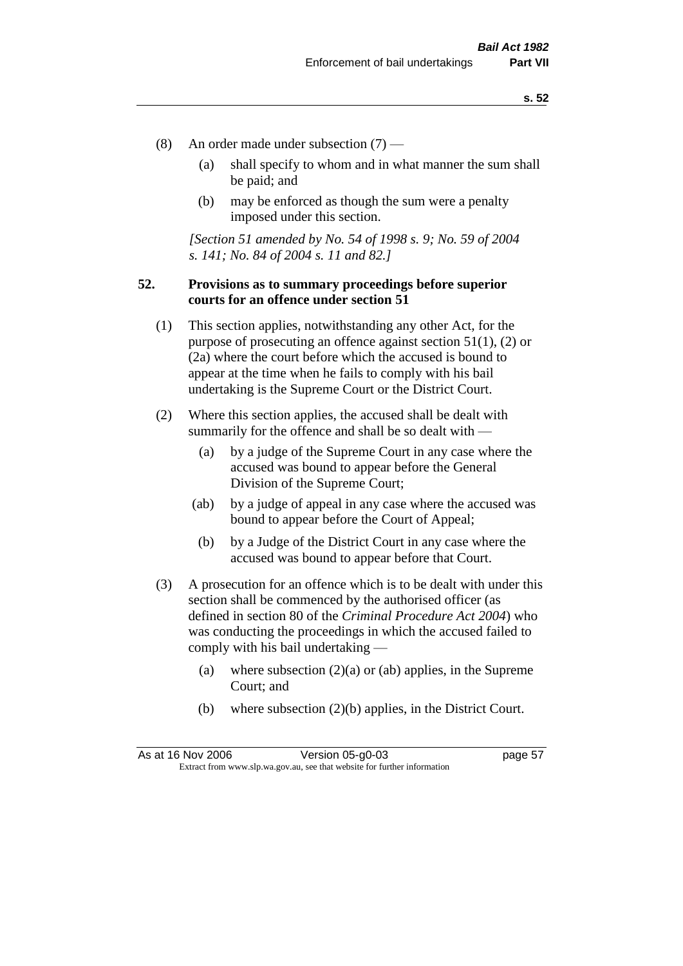- (8) An order made under subsection (7)
	- (a) shall specify to whom and in what manner the sum shall be paid; and
	- (b) may be enforced as though the sum were a penalty imposed under this section.

*[Section 51 amended by No. 54 of 1998 s. 9; No. 59 of 2004 s. 141; No. 84 of 2004 s. 11 and 82.]*

### **52. Provisions as to summary proceedings before superior courts for an offence under section 51**

- (1) This section applies, notwithstanding any other Act, for the purpose of prosecuting an offence against section 51(1), (2) or (2a) where the court before which the accused is bound to appear at the time when he fails to comply with his bail undertaking is the Supreme Court or the District Court.
- (2) Where this section applies, the accused shall be dealt with summarily for the offence and shall be so dealt with —
	- (a) by a judge of the Supreme Court in any case where the accused was bound to appear before the General Division of the Supreme Court;
	- (ab) by a judge of appeal in any case where the accused was bound to appear before the Court of Appeal;
	- (b) by a Judge of the District Court in any case where the accused was bound to appear before that Court.
- (3) A prosecution for an offence which is to be dealt with under this section shall be commenced by the authorised officer (as defined in section 80 of the *Criminal Procedure Act 2004*) who was conducting the proceedings in which the accused failed to comply with his bail undertaking —
	- (a) where subsection  $(2)(a)$  or (ab) applies, in the Supreme Court; and
	- (b) where subsection (2)(b) applies, in the District Court.

As at 16 Nov 2006 Version 05-g0-03 Page 57 Extract from www.slp.wa.gov.au, see that website for further information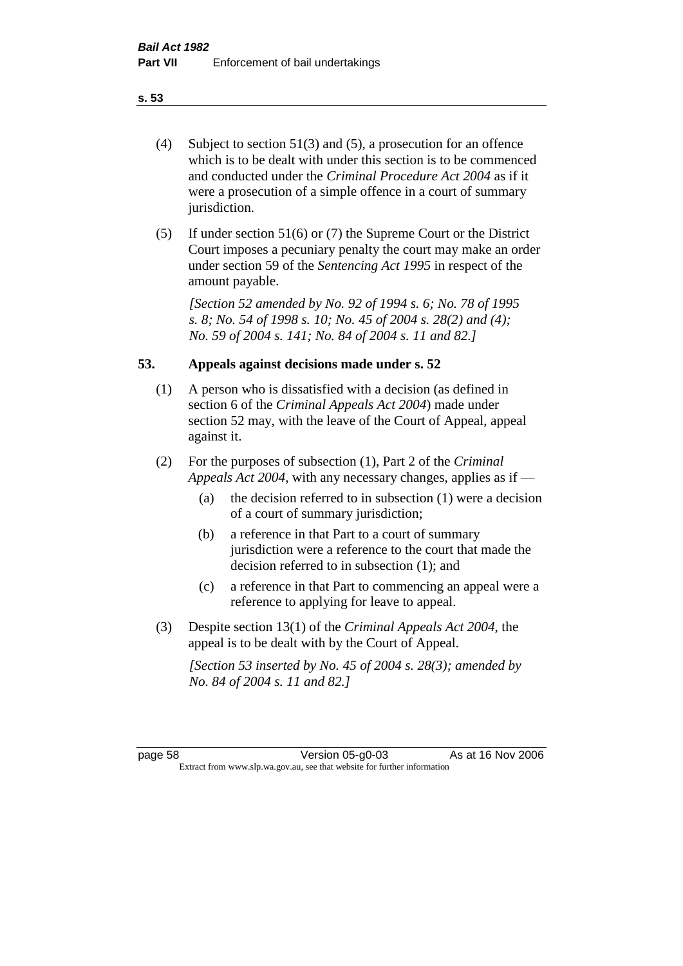- (4) Subject to section 51(3) and (5), a prosecution for an offence which is to be dealt with under this section is to be commenced and conducted under the *Criminal Procedure Act 2004* as if it were a prosecution of a simple offence in a court of summary jurisdiction.
- (5) If under section 51(6) or (7) the Supreme Court or the District Court imposes a pecuniary penalty the court may make an order under section 59 of the *Sentencing Act 1995* in respect of the amount payable.

*[Section 52 amended by No. 92 of 1994 s. 6; No. 78 of 1995 s. 8; No. 54 of 1998 s. 10; No. 45 of 2004 s. 28(2) and (4); No. 59 of 2004 s. 141; No. 84 of 2004 s. 11 and 82.]* 

### **53. Appeals against decisions made under s. 52**

- (1) A person who is dissatisfied with a decision (as defined in section 6 of the *Criminal Appeals Act 2004*) made under section 52 may, with the leave of the Court of Appeal, appeal against it.
- (2) For the purposes of subsection (1), Part 2 of the *Criminal Appeals Act 2004*, with any necessary changes, applies as if —
	- (a) the decision referred to in subsection (1) were a decision of a court of summary jurisdiction;
	- (b) a reference in that Part to a court of summary jurisdiction were a reference to the court that made the decision referred to in subsection (1); and
	- (c) a reference in that Part to commencing an appeal were a reference to applying for leave to appeal.
- (3) Despite section 13(1) of the *Criminal Appeals Act 2004*, the appeal is to be dealt with by the Court of Appeal.

*[Section 53 inserted by No. 45 of 2004 s. 28(3); amended by No. 84 of 2004 s. 11 and 82.]*

page 58 Version 05-g0-03 As at 16 Nov 2006 Extract from www.slp.wa.gov.au, see that website for further information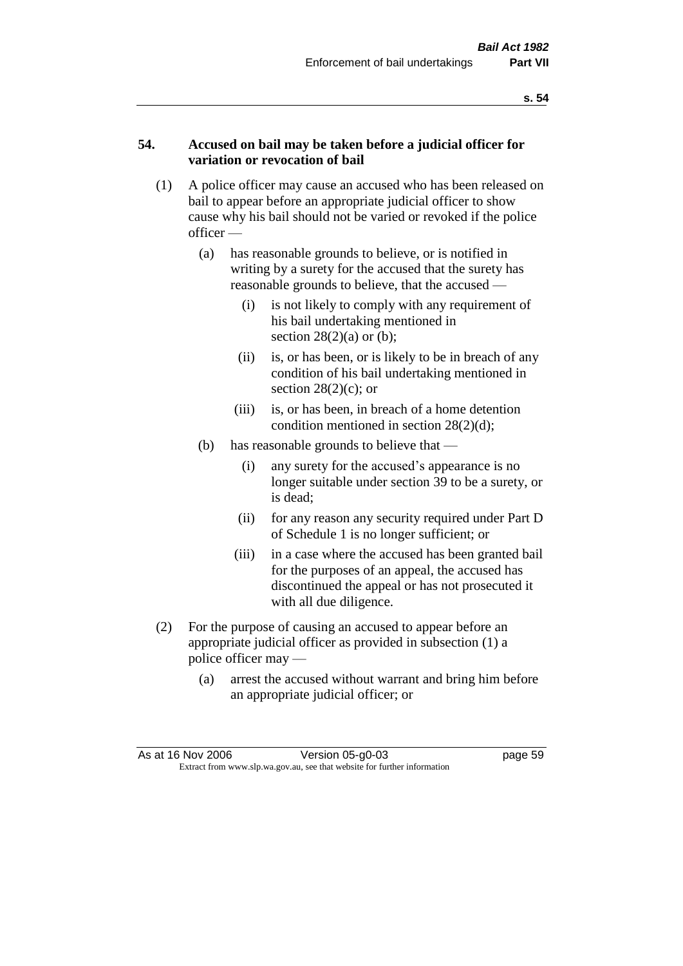### **54. Accused on bail may be taken before a judicial officer for variation or revocation of bail**

- (1) A police officer may cause an accused who has been released on bail to appear before an appropriate judicial officer to show cause why his bail should not be varied or revoked if the police officer —
	- (a) has reasonable grounds to believe, or is notified in writing by a surety for the accused that the surety has reasonable grounds to believe, that the accused —
		- (i) is not likely to comply with any requirement of his bail undertaking mentioned in section  $28(2)(a)$  or (b);
		- (ii) is, or has been, or is likely to be in breach of any condition of his bail undertaking mentioned in section  $28(2)(c)$ ; or
		- (iii) is, or has been, in breach of a home detention condition mentioned in section 28(2)(d);
	- (b) has reasonable grounds to believe that
		- (i) any surety for the accused's appearance is no longer suitable under section 39 to be a surety, or is dead;
		- (ii) for any reason any security required under Part D of Schedule 1 is no longer sufficient; or
		- (iii) in a case where the accused has been granted bail for the purposes of an appeal, the accused has discontinued the appeal or has not prosecuted it with all due diligence.
- (2) For the purpose of causing an accused to appear before an appropriate judicial officer as provided in subsection (1) a police officer may —
	- (a) arrest the accused without warrant and bring him before an appropriate judicial officer; or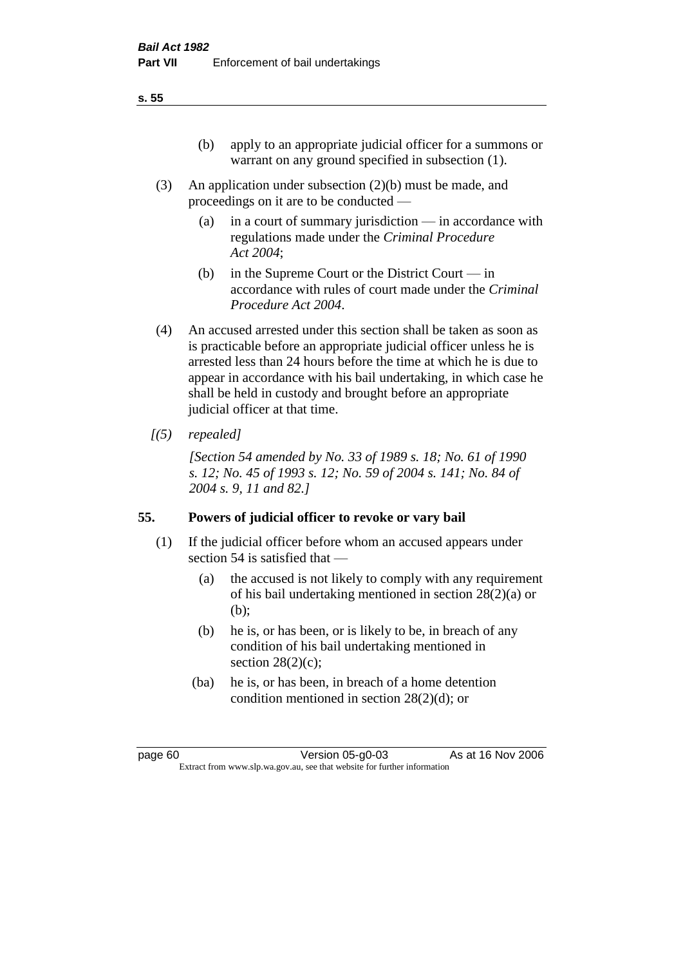- (3) An application under subsection (2)(b) must be made, and proceedings on it are to be conducted —
	- (a) in a court of summary jurisdiction in accordance with regulations made under the *Criminal Procedure Act 2004*;
	- (b) in the Supreme Court or the District Court  $-\text{in}$ accordance with rules of court made under the *Criminal Procedure Act 2004*.
- (4) An accused arrested under this section shall be taken as soon as is practicable before an appropriate judicial officer unless he is arrested less than 24 hours before the time at which he is due to appear in accordance with his bail undertaking, in which case he shall be held in custody and brought before an appropriate judicial officer at that time.
- *[(5) repealed]*

*[Section 54 amended by No. 33 of 1989 s. 18; No. 61 of 1990 s. 12; No. 45 of 1993 s. 12; No. 59 of 2004 s. 141; No. 84 of 2004 s. 9, 11 and 82.]* 

# **55. Powers of judicial officer to revoke or vary bail**

- (1) If the judicial officer before whom an accused appears under section 54 is satisfied that —
	- (a) the accused is not likely to comply with any requirement of his bail undertaking mentioned in section 28(2)(a) or (b);
	- (b) he is, or has been, or is likely to be, in breach of any condition of his bail undertaking mentioned in section  $28(2)(c)$ ;
	- (ba) he is, or has been, in breach of a home detention condition mentioned in section 28(2)(d); or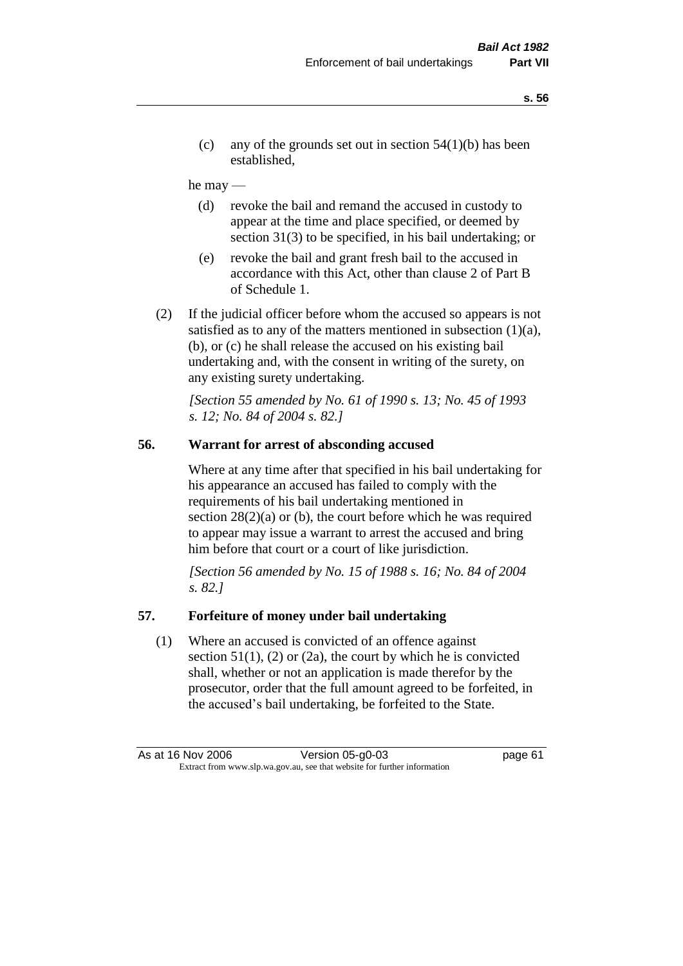(c) any of the grounds set out in section  $54(1)(b)$  has been established,

#### he may —

- (d) revoke the bail and remand the accused in custody to appear at the time and place specified, or deemed by section 31(3) to be specified, in his bail undertaking; or
- (e) revoke the bail and grant fresh bail to the accused in accordance with this Act, other than clause 2 of Part B of Schedule 1.
- (2) If the judicial officer before whom the accused so appears is not satisfied as to any of the matters mentioned in subsection (1)(a), (b), or (c) he shall release the accused on his existing bail undertaking and, with the consent in writing of the surety, on any existing surety undertaking.

*[Section 55 amended by No. 61 of 1990 s. 13; No. 45 of 1993 s. 12; No. 84 of 2004 s. 82.]* 

## **56. Warrant for arrest of absconding accused**

Where at any time after that specified in his bail undertaking for his appearance an accused has failed to comply with the requirements of his bail undertaking mentioned in section  $28(2)(a)$  or (b), the court before which he was required to appear may issue a warrant to arrest the accused and bring him before that court or a court of like jurisdiction.

*[Section 56 amended by No. 15 of 1988 s. 16; No. 84 of 2004 s. 82.]* 

#### **57. Forfeiture of money under bail undertaking**

(1) Where an accused is convicted of an offence against section  $51(1)$ ,  $(2)$  or  $(2a)$ , the court by which he is convicted shall, whether or not an application is made therefor by the prosecutor, order that the full amount agreed to be forfeited, in the accused's bail undertaking, be forfeited to the State.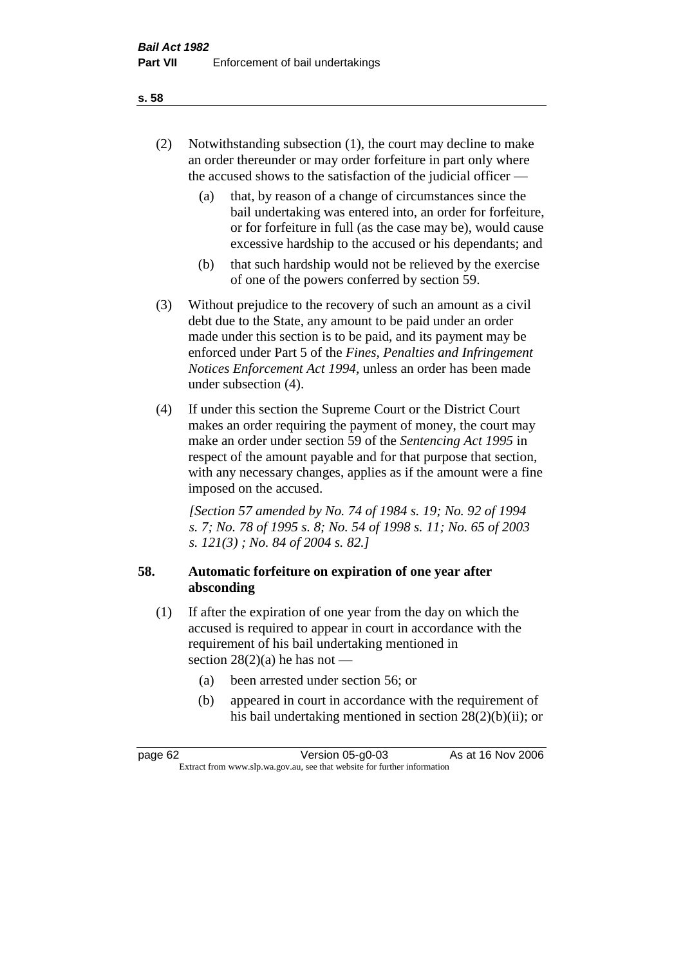- (2) Notwithstanding subsection (1), the court may decline to make an order thereunder or may order forfeiture in part only where the accused shows to the satisfaction of the judicial officer —
	- (a) that, by reason of a change of circumstances since the bail undertaking was entered into, an order for forfeiture, or for forfeiture in full (as the case may be), would cause excessive hardship to the accused or his dependants; and
	- (b) that such hardship would not be relieved by the exercise of one of the powers conferred by section 59.
- (3) Without prejudice to the recovery of such an amount as a civil debt due to the State, any amount to be paid under an order made under this section is to be paid, and its payment may be enforced under Part 5 of the *Fines, Penalties and Infringement Notices Enforcement Act 1994*, unless an order has been made under subsection (4).
- (4) If under this section the Supreme Court or the District Court makes an order requiring the payment of money, the court may make an order under section 59 of the *Sentencing Act 1995* in respect of the amount payable and for that purpose that section, with any necessary changes, applies as if the amount were a fine imposed on the accused.

*[Section 57 amended by No. 74 of 1984 s. 19; No. 92 of 1994 s. 7; No. 78 of 1995 s. 8; No. 54 of 1998 s. 11; No. 65 of 2003 s. 121(3) ; No. 84 of 2004 s. 82.]* 

## **58. Automatic forfeiture on expiration of one year after absconding**

- (1) If after the expiration of one year from the day on which the accused is required to appear in court in accordance with the requirement of his bail undertaking mentioned in section  $28(2)(a)$  he has not —
	- (a) been arrested under section 56; or
	- (b) appeared in court in accordance with the requirement of his bail undertaking mentioned in section 28(2)(b)(ii); or

| page 62 | Version 05-g0-03                                                         | As at 16 Nov 2006 |
|---------|--------------------------------------------------------------------------|-------------------|
|         | Extract from www.slp.wa.gov.au, see that website for further information |                   |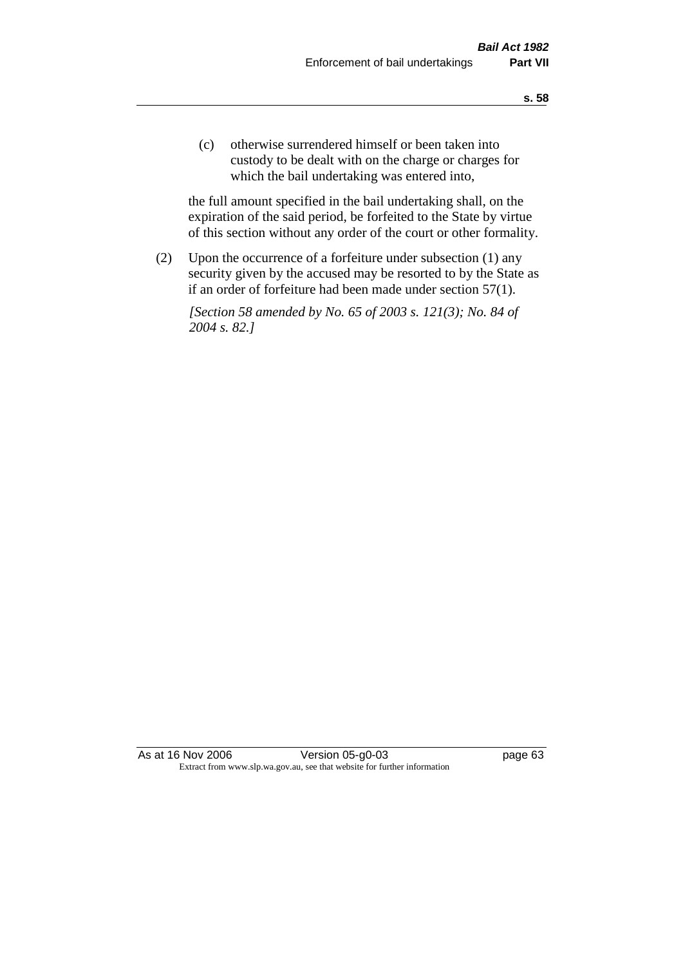(c) otherwise surrendered himself or been taken into custody to be dealt with on the charge or charges for which the bail undertaking was entered into,

the full amount specified in the bail undertaking shall, on the expiration of the said period, be forfeited to the State by virtue of this section without any order of the court or other formality.

(2) Upon the occurrence of a forfeiture under subsection (1) any security given by the accused may be resorted to by the State as if an order of forfeiture had been made under section 57(1).

*[Section 58 amended by No. 65 of 2003 s. 121(3); No. 84 of 2004 s. 82.]*

As at 16 Nov 2006 Version 05-g0-03 Page 63 Extract from www.slp.wa.gov.au, see that website for further information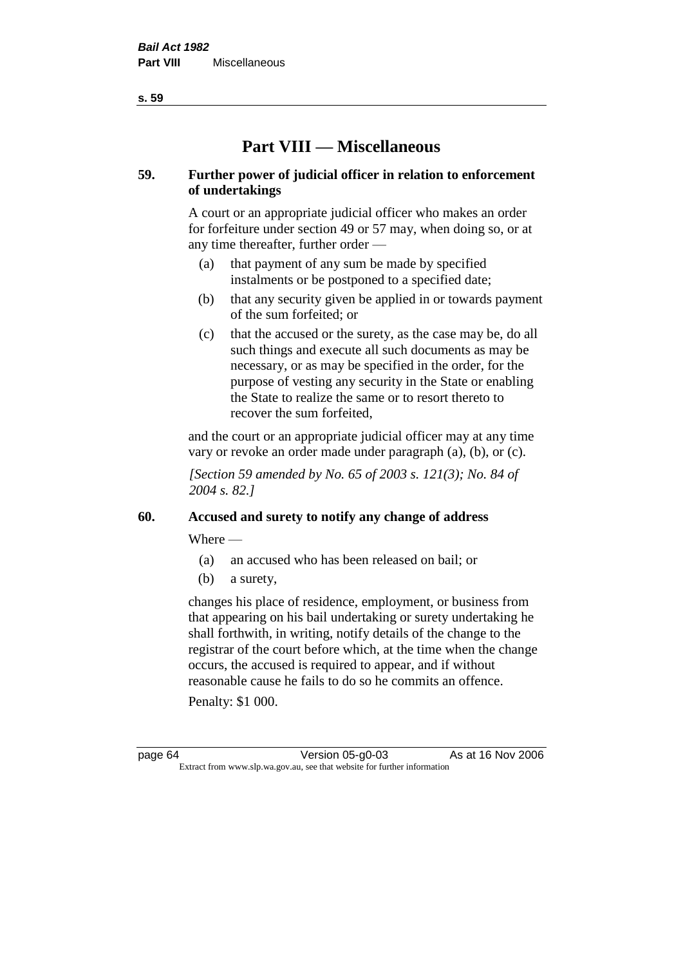**s. 59**

# **Part VIII — Miscellaneous**

## **59. Further power of judicial officer in relation to enforcement of undertakings**

A court or an appropriate judicial officer who makes an order for forfeiture under section 49 or 57 may, when doing so, or at any time thereafter, further order —

- (a) that payment of any sum be made by specified instalments or be postponed to a specified date;
- (b) that any security given be applied in or towards payment of the sum forfeited; or
- (c) that the accused or the surety, as the case may be, do all such things and execute all such documents as may be necessary, or as may be specified in the order, for the purpose of vesting any security in the State or enabling the State to realize the same or to resort thereto to recover the sum forfeited,

and the court or an appropriate judicial officer may at any time vary or revoke an order made under paragraph (a), (b), or (c).

*[Section 59 amended by No. 65 of 2003 s. 121(3); No. 84 of 2004 s. 82.]*

# **60. Accused and surety to notify any change of address**

Where —

- (a) an accused who has been released on bail; or
- (b) a surety,

changes his place of residence, employment, or business from that appearing on his bail undertaking or surety undertaking he shall forthwith, in writing, notify details of the change to the registrar of the court before which, at the time when the change occurs, the accused is required to appear, and if without reasonable cause he fails to do so he commits an offence.

Penalty: \$1 000.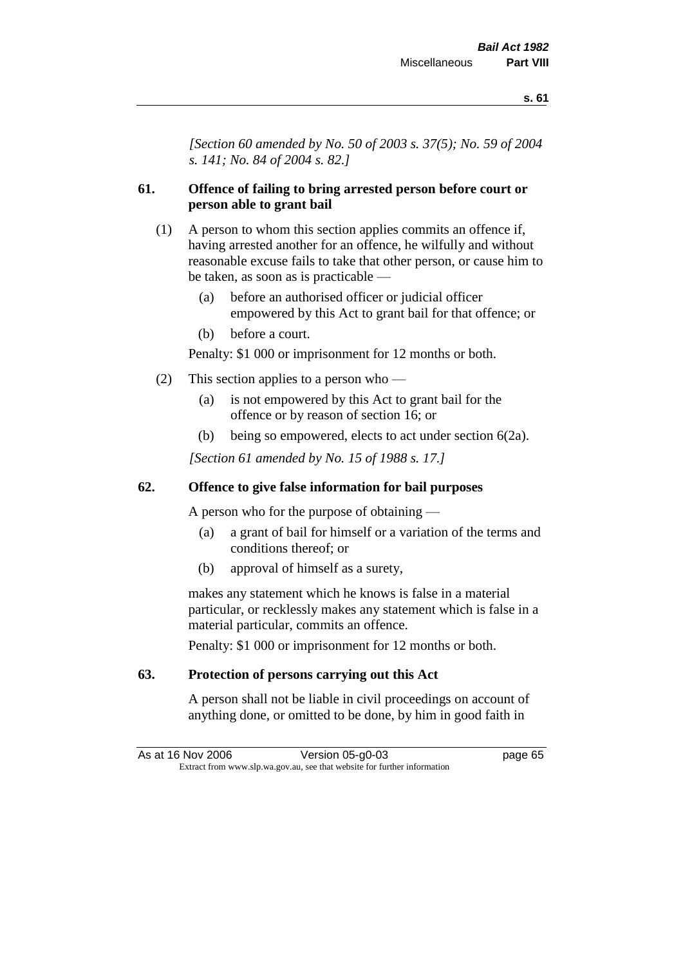*[Section 60 amended by No. 50 of 2003 s. 37(5); No. 59 of 2004 s. 141; No. 84 of 2004 s. 82.]*

# **61. Offence of failing to bring arrested person before court or person able to grant bail**

- (1) A person to whom this section applies commits an offence if, having arrested another for an offence, he wilfully and without reasonable excuse fails to take that other person, or cause him to be taken, as soon as is practicable —
	- (a) before an authorised officer or judicial officer empowered by this Act to grant bail for that offence; or
	- (b) before a court.

Penalty: \$1 000 or imprisonment for 12 months or both.

- (2) This section applies to a person who
	- (a) is not empowered by this Act to grant bail for the offence or by reason of section 16; or
	- (b) being so empowered, elects to act under section 6(2a).

*[Section 61 amended by No. 15 of 1988 s. 17.]* 

# **62. Offence to give false information for bail purposes**

A person who for the purpose of obtaining —

- (a) a grant of bail for himself or a variation of the terms and conditions thereof; or
- (b) approval of himself as a surety,

makes any statement which he knows is false in a material particular, or recklessly makes any statement which is false in a material particular, commits an offence.

Penalty: \$1 000 or imprisonment for 12 months or both.

# **63. Protection of persons carrying out this Act**

A person shall not be liable in civil proceedings on account of anything done, or omitted to be done, by him in good faith in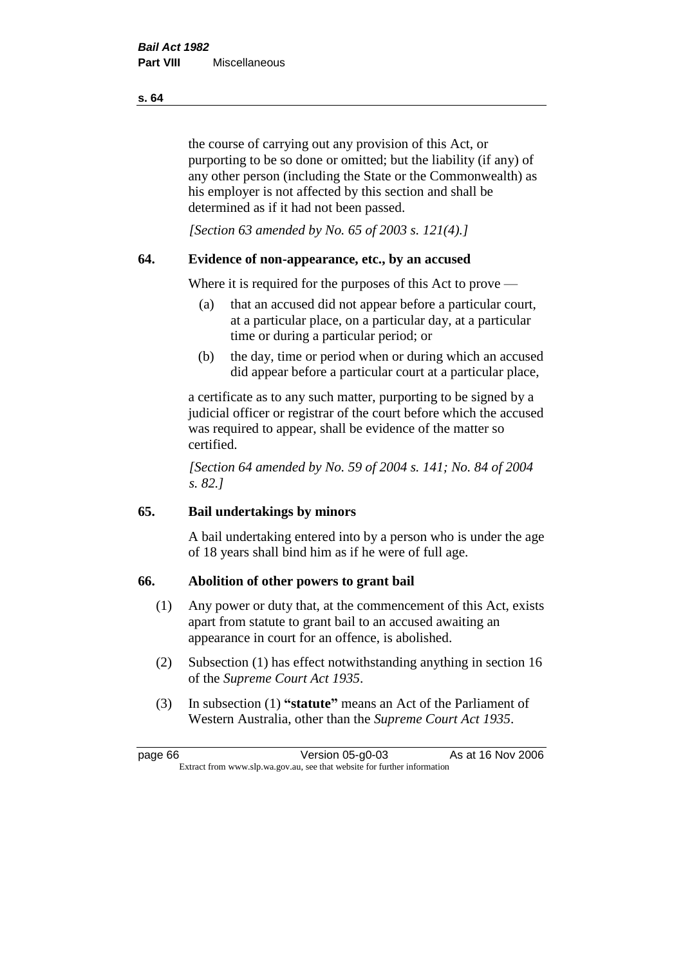the course of carrying out any provision of this Act, or purporting to be so done or omitted; but the liability (if any) of any other person (including the State or the Commonwealth) as his employer is not affected by this section and shall be determined as if it had not been passed.

*[Section 63 amended by No. 65 of 2003 s. 121(4).]*

# **64. Evidence of non-appearance, etc., by an accused**

Where it is required for the purposes of this Act to prove —

- (a) that an accused did not appear before a particular court, at a particular place, on a particular day, at a particular time or during a particular period; or
- (b) the day, time or period when or during which an accused did appear before a particular court at a particular place,

a certificate as to any such matter, purporting to be signed by a judicial officer or registrar of the court before which the accused was required to appear, shall be evidence of the matter so certified.

*[Section 64 amended by No. 59 of 2004 s. 141; No. 84 of 2004 s. 82.]* 

# **65. Bail undertakings by minors**

A bail undertaking entered into by a person who is under the age of 18 years shall bind him as if he were of full age.

### **66. Abolition of other powers to grant bail**

- (1) Any power or duty that, at the commencement of this Act, exists apart from statute to grant bail to an accused awaiting an appearance in court for an offence, is abolished.
- (2) Subsection (1) has effect notwithstanding anything in section 16 of the *Supreme Court Act 1935*.
- (3) In subsection (1) **"statute"** means an Act of the Parliament of Western Australia, other than the *Supreme Court Act 1935*.

page 66 Version 05-g0-03 As at 16 Nov 2006 Extract from www.slp.wa.gov.au, see that website for further information

#### **s. 64**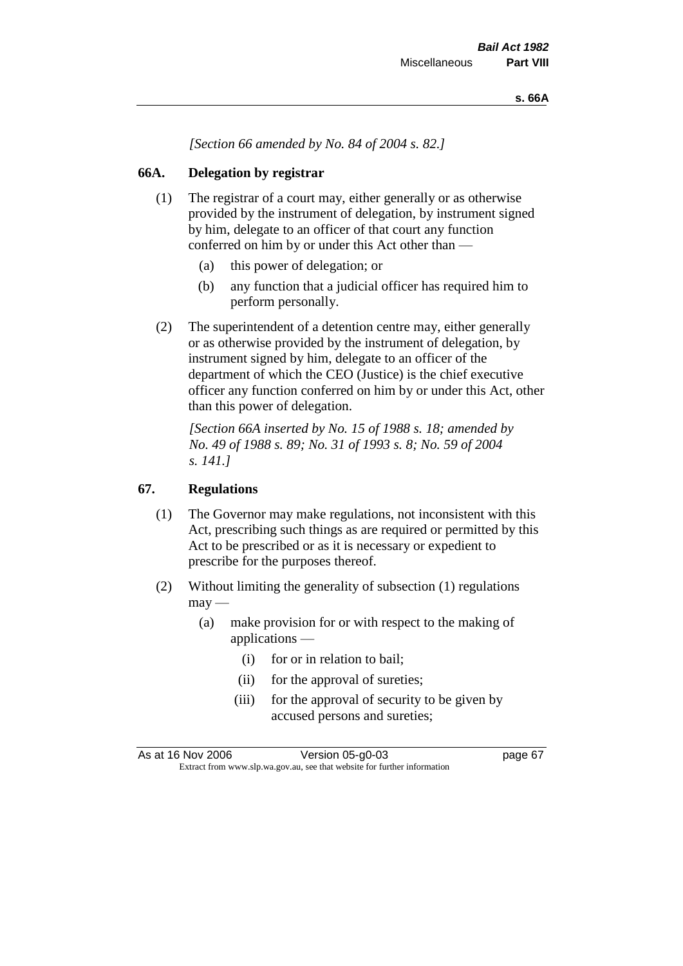*[Section 66 amended by No. 84 of 2004 s. 82.]*

# **66A. Delegation by registrar**

- (1) The registrar of a court may, either generally or as otherwise provided by the instrument of delegation, by instrument signed by him, delegate to an officer of that court any function conferred on him by or under this Act other than —
	- (a) this power of delegation; or
	- (b) any function that a judicial officer has required him to perform personally.
- (2) The superintendent of a detention centre may, either generally or as otherwise provided by the instrument of delegation, by instrument signed by him, delegate to an officer of the department of which the CEO (Justice) is the chief executive officer any function conferred on him by or under this Act, other than this power of delegation.

*[Section 66A inserted by No. 15 of 1988 s. 18; amended by No. 49 of 1988 s. 89; No. 31 of 1993 s. 8; No. 59 of 2004 s. 141.]* 

# **67. Regulations**

- (1) The Governor may make regulations, not inconsistent with this Act, prescribing such things as are required or permitted by this Act to be prescribed or as it is necessary or expedient to prescribe for the purposes thereof.
- (2) Without limiting the generality of subsection (1) regulations  $\text{max}$  —
	- (a) make provision for or with respect to the making of applications —
		- (i) for or in relation to bail;
		- (ii) for the approval of sureties;
		- (iii) for the approval of security to be given by accused persons and sureties;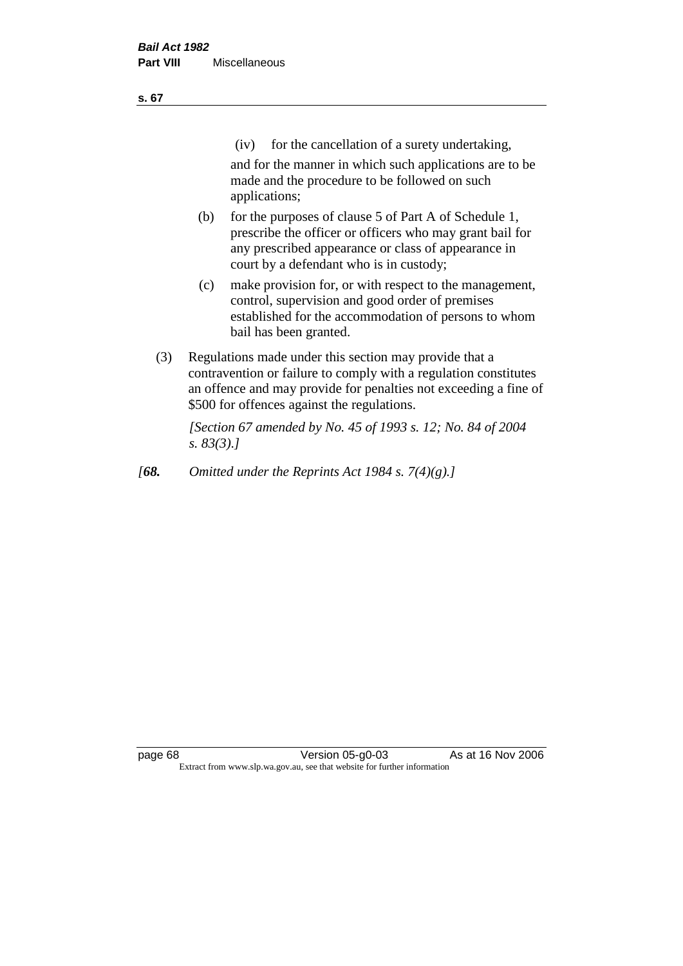| ×<br>v | ×<br>۰. |
|--------|---------|
|        |         |

(iv) for the cancellation of a surety undertaking,

and for the manner in which such applications are to be made and the procedure to be followed on such applications;

- (b) for the purposes of clause 5 of Part A of Schedule 1, prescribe the officer or officers who may grant bail for any prescribed appearance or class of appearance in court by a defendant who is in custody;
- (c) make provision for, or with respect to the management, control, supervision and good order of premises established for the accommodation of persons to whom bail has been granted.
- (3) Regulations made under this section may provide that a contravention or failure to comply with a regulation constitutes an offence and may provide for penalties not exceeding a fine of \$500 for offences against the regulations.

*[Section 67 amended by No. 45 of 1993 s. 12; No. 84 of 2004 s. 83(3).]* 

*[68. Omitted under the Reprints Act 1984 s. 7(4)(g).]*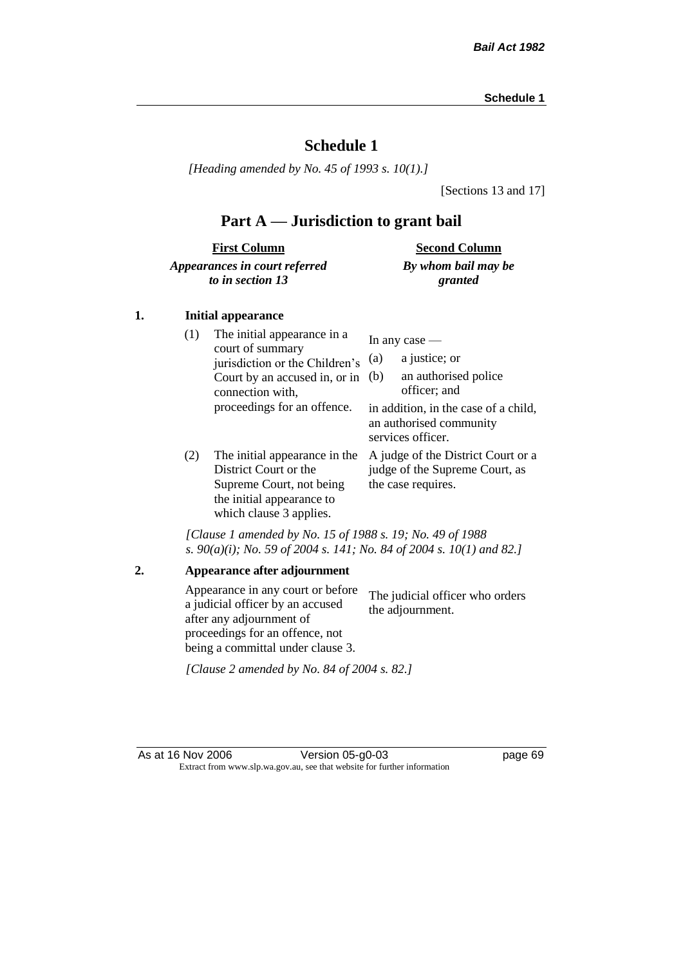# **Schedule 1**

*[Heading amended by No. 45 of 1993 s. 10(1).]*

[Sections 13 and 17]

# **Part A — Jurisdiction to grant bail**

| <b>First Column</b>           | <b>Second Column</b> |
|-------------------------------|----------------------|
| Appearances in court referred | By whom bail may be  |
| to in section 13              | granted              |

### **1. Initial appearance**

| (1) | The initial appearance in a<br>court of summary<br>jurisdiction or the Children's<br>Court by an accused in, or in<br>connection with,<br>proceedings for an offence. | In any case $-$<br>a justice; or<br>(a)<br>an authorised police<br>(b)<br>officer; and<br>in addition, in the case of a child,<br>an authorised community |
|-----|-----------------------------------------------------------------------------------------------------------------------------------------------------------------------|-----------------------------------------------------------------------------------------------------------------------------------------------------------|
| (2) | The initial appearance in the<br>District Court or the<br>Supreme Court, not being<br>the initial appearance to<br>which clause 3 applies.                            | services officer.<br>A judge of the District Court or a<br>judge of the Supreme Court, as<br>the case requires.                                           |

*[Clause 1 amended by No. 15 of 1988 s. 19; No. 49 of 1988 s. 90(a)(i); No. 59 of 2004 s. 141; No. 84 of 2004 s. 10(1) and 82.]*

**2. Appearance after adjournment** Appearance in any court or before a judicial officer by an accused after any adjournment of proceedings for an offence, not being a committal under clause 3. The judicial officer who orders the adjournment.

*[Clause 2 amended by No. 84 of 2004 s. 82.]*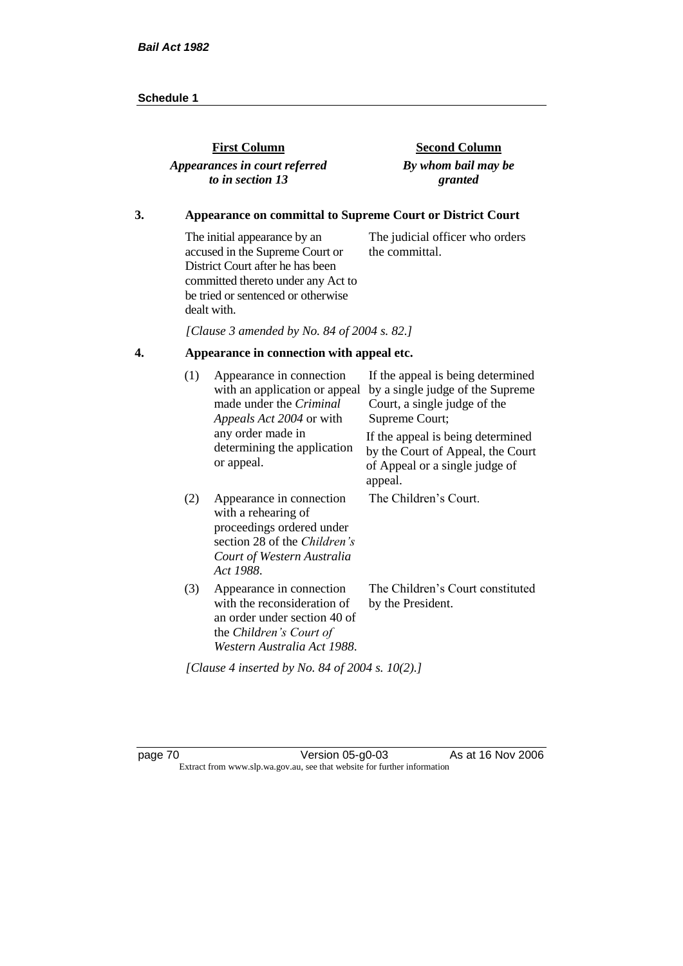| <b>First Column</b>           | <b>Second Column</b> |
|-------------------------------|----------------------|
| Appearances in court referred | By whom bail may be  |
| to in section 13              | granted              |
|                               |                      |

## **3. Appearance on committal to Supreme Court or District Court**

The initial appearance by an accused in the Supreme Court or District Court after he has been committed thereto under any Act to be tried or sentenced or otherwise dealt with. The judicial officer who orders the committal.

*[Clause 3 amended by No. 84 of 2004 s. 82.]*

# **4. Appearance in connection with appeal etc.**

| (1) | Appearance in connection<br>with an application or appeal<br>made under the <i>Criminal</i><br>Appeals Act 2004 or with                                 | If the appeal is being determined<br>by a single judge of the Supreme<br>Court, a single judge of the<br>Supreme Court; |
|-----|---------------------------------------------------------------------------------------------------------------------------------------------------------|-------------------------------------------------------------------------------------------------------------------------|
|     | any order made in<br>determining the application<br>or appeal.                                                                                          | If the appeal is being determined<br>by the Court of Appeal, the Court<br>of Appeal or a single judge of<br>appeal.     |
| (2) | Appearance in connection<br>with a rehearing of<br>proceedings ordered under<br>section 28 of the Children's<br>Court of Western Australia<br>Act 1988. | The Children's Court.                                                                                                   |
| (3) | Appearance in connection<br>with the reconsideration of<br>an order under section 40 of<br>the Children's Court of<br>Western Australia Act 1988.       | The Children's Court constituted<br>by the President.                                                                   |
|     | [Clause 4 inserted by No. 84 of 2004 s. 10(2).]                                                                                                         |                                                                                                                         |

page 70 **Version 05-g0-03** As at 16 Nov 2006 Extract from www.slp.wa.gov.au, see that website for further information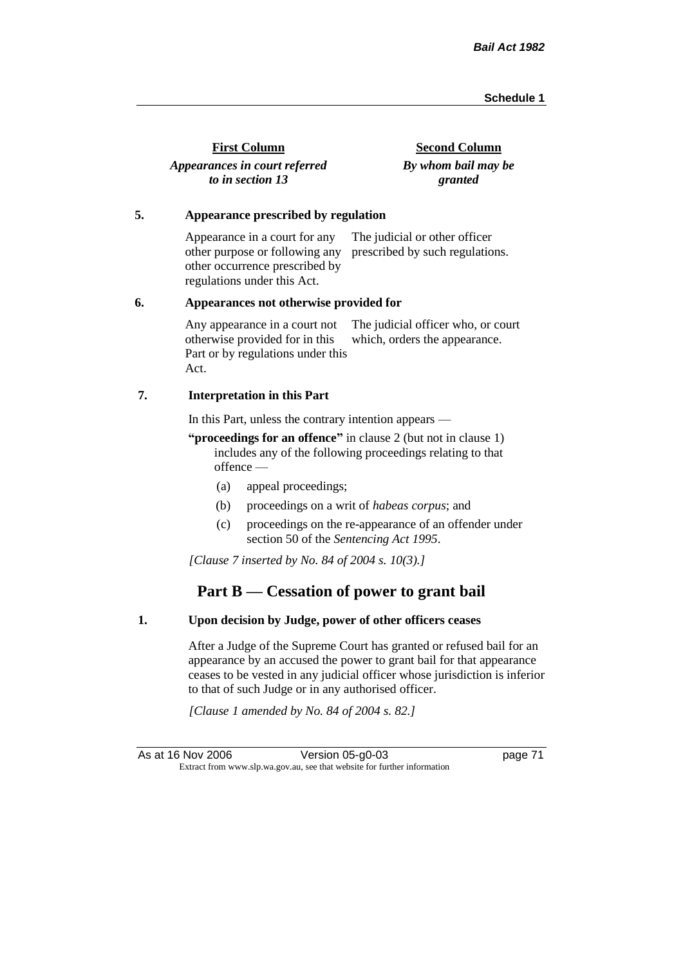| <b>First Column</b>           | <b>Second Column</b> |
|-------------------------------|----------------------|
| Appearances in court referred | By whom bail may be  |
| to in section 13              | granted              |

#### **5. Appearance prescribed by regulation**

Appearance in a court for any other purpose or following any prescribed by such regulations. other occurrence prescribed by regulations under this Act. The judicial or other officer

#### **6. Appearances not otherwise provided for**

Any appearance in a court not otherwise provided for in this Part or by regulations under this Act. The judicial officer who, or court which, orders the appearance.

#### **7. Interpretation in this Part**

In this Part, unless the contrary intention appears —

**"proceedings for an offence"** in clause 2 (but not in clause 1) includes any of the following proceedings relating to that offence —

- (a) appeal proceedings;
- (b) proceedings on a writ of *habeas corpus*; and
- (c) proceedings on the re-appearance of an offender under section 50 of the *Sentencing Act 1995*.

*[Clause 7 inserted by No. 84 of 2004 s. 10(3).]*

# **Part B — Cessation of power to grant bail**

#### **1. Upon decision by Judge, power of other officers ceases**

After a Judge of the Supreme Court has granted or refused bail for an appearance by an accused the power to grant bail for that appearance ceases to be vested in any judicial officer whose jurisdiction is inferior to that of such Judge or in any authorised officer.

*[Clause 1 amended by No. 84 of 2004 s. 82.]*

As at 16 Nov 2006 Version 05-g0-03 page 71 Extract from www.slp.wa.gov.au, see that website for further information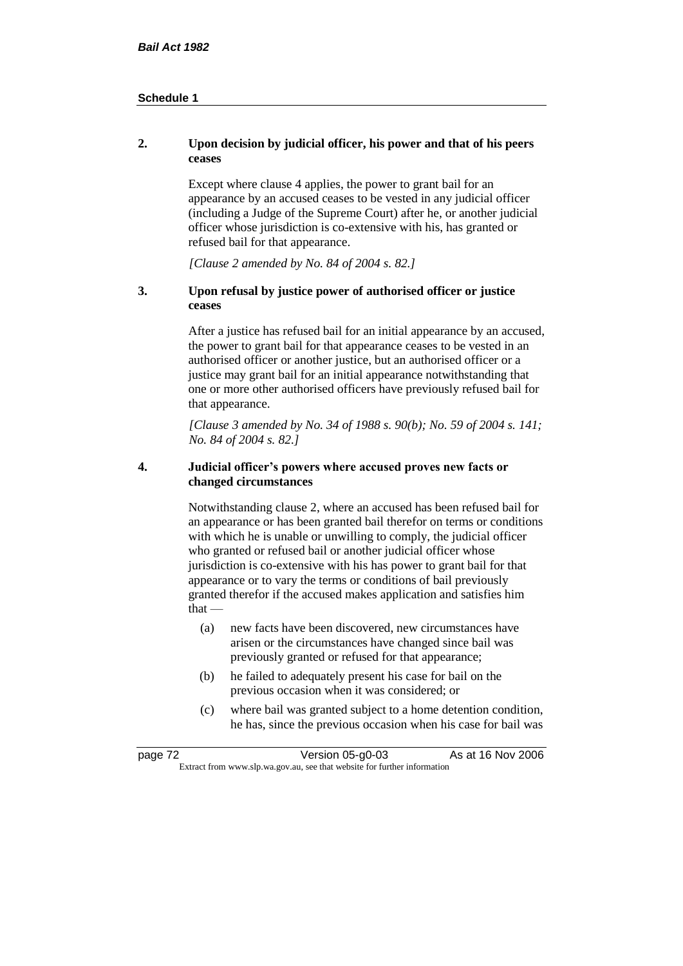### **2. Upon decision by judicial officer, his power and that of his peers ceases**

Except where clause 4 applies, the power to grant bail for an appearance by an accused ceases to be vested in any judicial officer (including a Judge of the Supreme Court) after he, or another judicial officer whose jurisdiction is co-extensive with his, has granted or refused bail for that appearance.

*[Clause 2 amended by No. 84 of 2004 s. 82.]*

## **3. Upon refusal by justice power of authorised officer or justice ceases**

After a justice has refused bail for an initial appearance by an accused, the power to grant bail for that appearance ceases to be vested in an authorised officer or another justice, but an authorised officer or a justice may grant bail for an initial appearance notwithstanding that one or more other authorised officers have previously refused bail for that appearance.

*[Clause 3 amended by No. 34 of 1988 s. 90(b); No. 59 of 2004 s. 141; No. 84 of 2004 s. 82.]*

#### **4. Judicial officer's powers where accused proves new facts or changed circumstances**

Notwithstanding clause 2, where an accused has been refused bail for an appearance or has been granted bail therefor on terms or conditions with which he is unable or unwilling to comply, the judicial officer who granted or refused bail or another judicial officer whose jurisdiction is co-extensive with his has power to grant bail for that appearance or to vary the terms or conditions of bail previously granted therefor if the accused makes application and satisfies him  $that -$ 

- (a) new facts have been discovered, new circumstances have arisen or the circumstances have changed since bail was previously granted or refused for that appearance;
- (b) he failed to adequately present his case for bail on the previous occasion when it was considered; or
- (c) where bail was granted subject to a home detention condition, he has, since the previous occasion when his case for bail was

| page 72                                                                  | Version 05-g0-03 | As at 16 Nov 2006 |
|--------------------------------------------------------------------------|------------------|-------------------|
| Extract from www.slp.wa.gov.au, see that website for further information |                  |                   |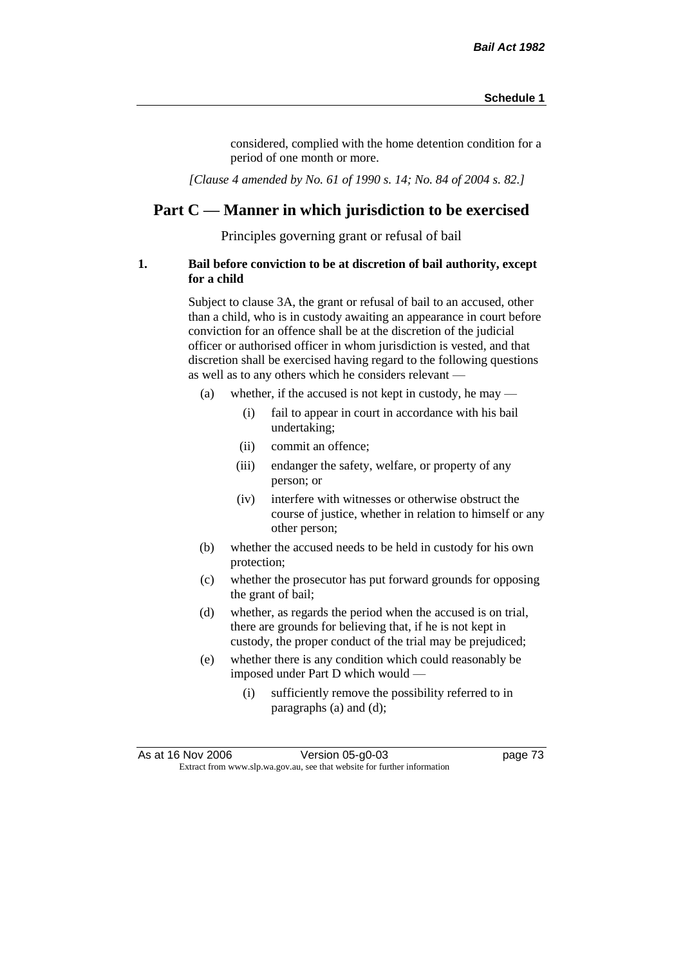considered, complied with the home detention condition for a period of one month or more.

*[Clause 4 amended by No. 61 of 1990 s. 14; No. 84 of 2004 s. 82.]*

# **Part C — Manner in which jurisdiction to be exercised**

Principles governing grant or refusal of bail

### **1. Bail before conviction to be at discretion of bail authority, except for a child**

Subject to clause 3A, the grant or refusal of bail to an accused, other than a child, who is in custody awaiting an appearance in court before conviction for an offence shall be at the discretion of the judicial officer or authorised officer in whom jurisdiction is vested, and that discretion shall be exercised having regard to the following questions as well as to any others which he considers relevant —

- (a) whether, if the accused is not kept in custody, he may
	- (i) fail to appear in court in accordance with his bail undertaking;
	- (ii) commit an offence;
	- (iii) endanger the safety, welfare, or property of any person; or
	- (iv) interfere with witnesses or otherwise obstruct the course of justice, whether in relation to himself or any other person;
- (b) whether the accused needs to be held in custody for his own protection;
- (c) whether the prosecutor has put forward grounds for opposing the grant of bail;
- (d) whether, as regards the period when the accused is on trial, there are grounds for believing that, if he is not kept in custody, the proper conduct of the trial may be prejudiced;
- (e) whether there is any condition which could reasonably be imposed under Part D which would —
	- (i) sufficiently remove the possibility referred to in paragraphs (a) and (d);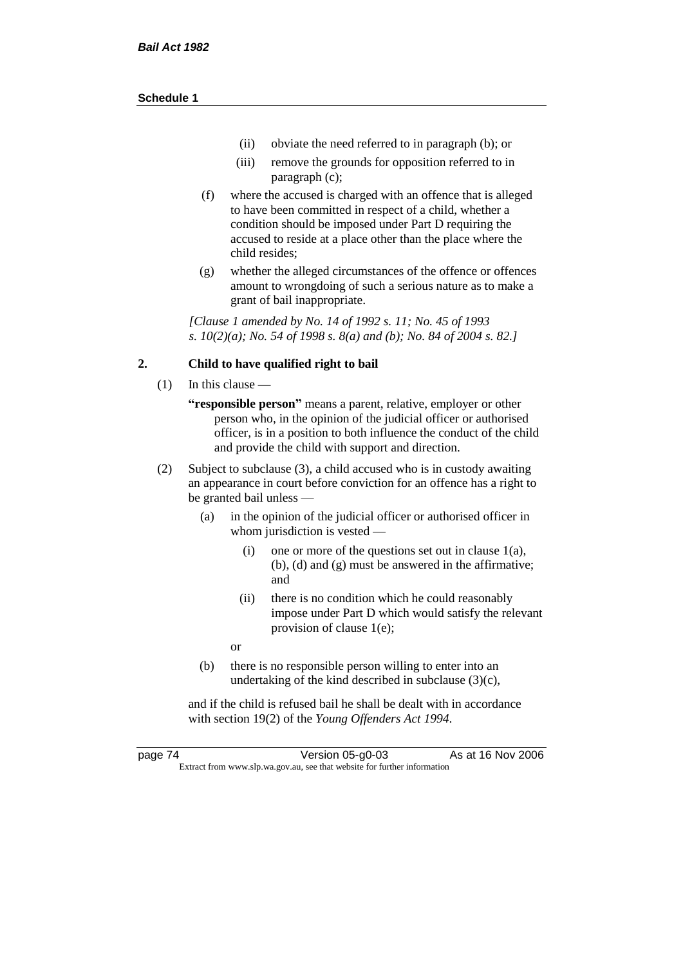- (ii) obviate the need referred to in paragraph (b); or
- (iii) remove the grounds for opposition referred to in paragraph (c);
- (f) where the accused is charged with an offence that is alleged to have been committed in respect of a child, whether a condition should be imposed under Part D requiring the accused to reside at a place other than the place where the child resides;
- (g) whether the alleged circumstances of the offence or offences amount to wrongdoing of such a serious nature as to make a grant of bail inappropriate.

*[Clause 1 amended by No. 14 of 1992 s. 11; No. 45 of 1993 s. 10(2)(a); No. 54 of 1998 s. 8(a) and (b); No. 84 of 2004 s. 82.]*

### **2. Child to have qualified right to bail**

- (1) In this clause
	- **"responsible person"** means a parent, relative, employer or other person who, in the opinion of the judicial officer or authorised officer, is in a position to both influence the conduct of the child and provide the child with support and direction.
- (2) Subject to subclause (3), a child accused who is in custody awaiting an appearance in court before conviction for an offence has a right to be granted bail unless —
	- (a) in the opinion of the judicial officer or authorised officer in whom jurisdiction is vested —
		- (i) one or more of the questions set out in clause 1(a), (b), (d) and (g) must be answered in the affirmative; and
		- (ii) there is no condition which he could reasonably impose under Part D which would satisfy the relevant provision of clause 1(e);
		- or
	- (b) there is no responsible person willing to enter into an undertaking of the kind described in subclause (3)(c),

and if the child is refused bail he shall be dealt with in accordance with section 19(2) of the *Young Offenders Act 1994*.

page 74 Version 05-g0-03 As at 16 Nov 2006 Extract from www.slp.wa.gov.au, see that website for further information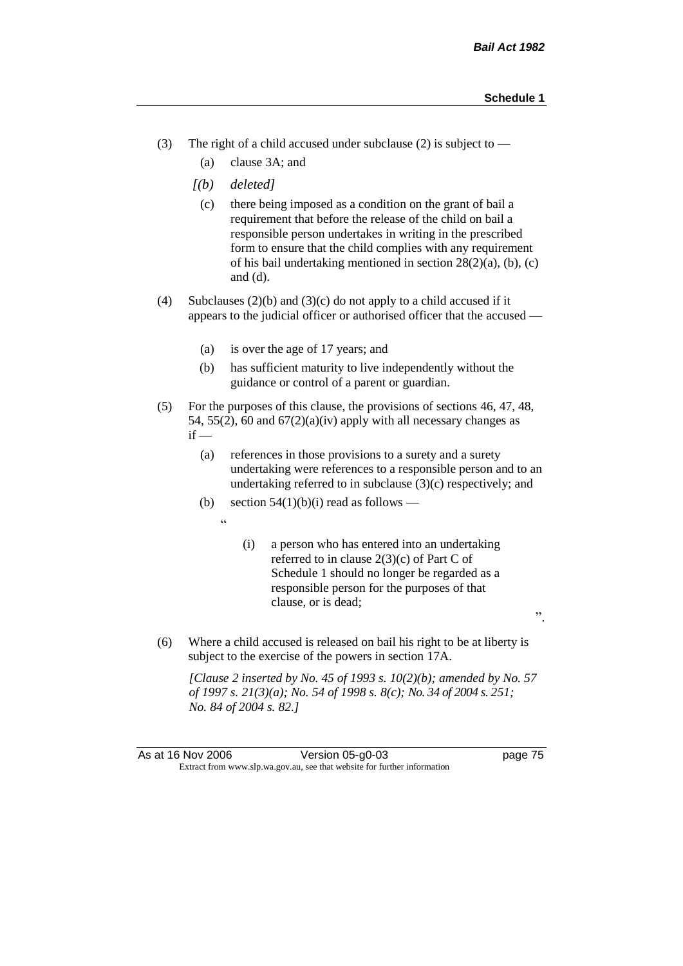- (3) The right of a child accused under subclause (2) is subject to  $-$ 
	- (a) clause 3A; and
	- *[(b) deleted]*
		- (c) there being imposed as a condition on the grant of bail a requirement that before the release of the child on bail a responsible person undertakes in writing in the prescribed form to ensure that the child complies with any requirement of his bail undertaking mentioned in section 28(2)(a), (b), (c) and (d).
- (4) Subclauses (2)(b) and (3)(c) do not apply to a child accused if it appears to the judicial officer or authorised officer that the accused —
	- (a) is over the age of 17 years; and
	- (b) has sufficient maturity to live independently without the guidance or control of a parent or guardian.
- (5) For the purposes of this clause, the provisions of sections 46, 47, 48, 54, 55(2), 60 and  $67(2)(a)(iv)$  apply with all necessary changes as  $if -$ 
	- (a) references in those provisions to a surety and a surety undertaking were references to a responsible person and to an undertaking referred to in subclause  $(3)(c)$  respectively; and
	- (b) section  $54(1)(b)(i)$  read as follows
		- "
- (i) a person who has entered into an undertaking referred to in clause 2(3)(c) of Part C of Schedule 1 should no longer be regarded as a responsible person for the purposes of that clause, or is dead;
	-

".

(6) Where a child accused is released on bail his right to be at liberty is subject to the exercise of the powers in section 17A.

*[Clause 2 inserted by No. 45 of 1993 s. 10(2)(b); amended by No. 57 of 1997 s. 21(3)(a); No. 54 of 1998 s. 8(c); No. 34 of 2004 s. 251; No. 84 of 2004 s. 82.]*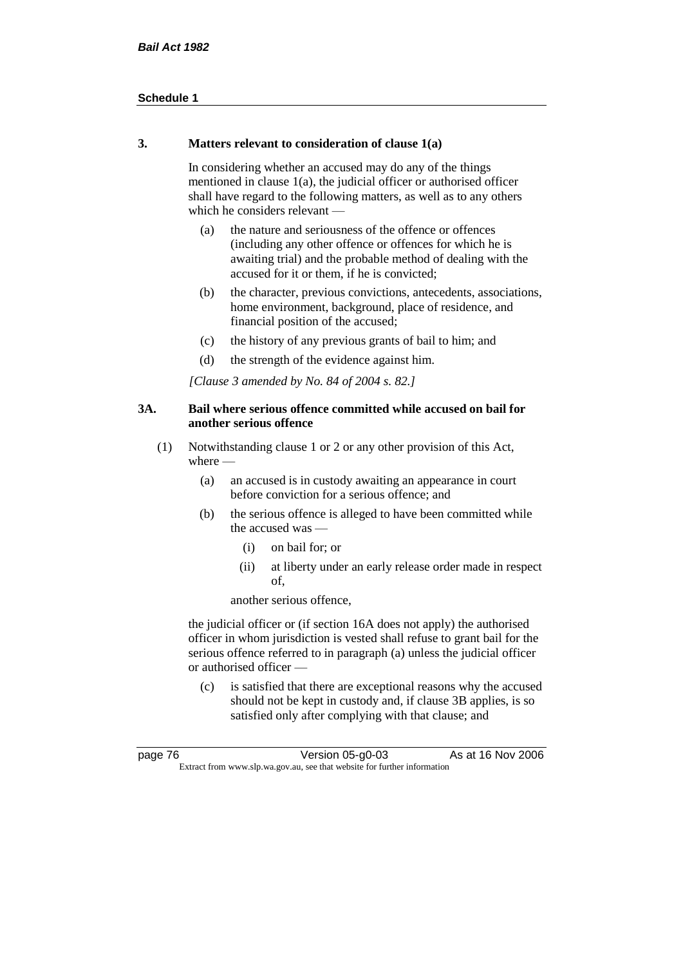### **3. Matters relevant to consideration of clause 1(a)**

In considering whether an accused may do any of the things mentioned in clause 1(a), the judicial officer or authorised officer shall have regard to the following matters, as well as to any others which he considers relevant —

- (a) the nature and seriousness of the offence or offences (including any other offence or offences for which he is awaiting trial) and the probable method of dealing with the accused for it or them, if he is convicted;
- (b) the character, previous convictions, antecedents, associations, home environment, background, place of residence, and financial position of the accused;
- (c) the history of any previous grants of bail to him; and
- (d) the strength of the evidence against him.

*[Clause 3 amended by No. 84 of 2004 s. 82.]*

## **3A. Bail where serious offence committed while accused on bail for another serious offence**

- (1) Notwithstanding clause 1 or 2 or any other provision of this Act, where —
	- (a) an accused is in custody awaiting an appearance in court before conviction for a serious offence; and
	- (b) the serious offence is alleged to have been committed while the accused was —
		- (i) on bail for; or
		- (ii) at liberty under an early release order made in respect of,

another serious offence,

the judicial officer or (if section 16A does not apply) the authorised officer in whom jurisdiction is vested shall refuse to grant bail for the serious offence referred to in paragraph (a) unless the judicial officer or authorised officer —

(c) is satisfied that there are exceptional reasons why the accused should not be kept in custody and, if clause 3B applies, is so satisfied only after complying with that clause; and

| page 76                                                                  | Version 05-g0-03 | As at 16 Nov 2006 |
|--------------------------------------------------------------------------|------------------|-------------------|
| Extract from www.slp.wa.gov.au, see that website for further information |                  |                   |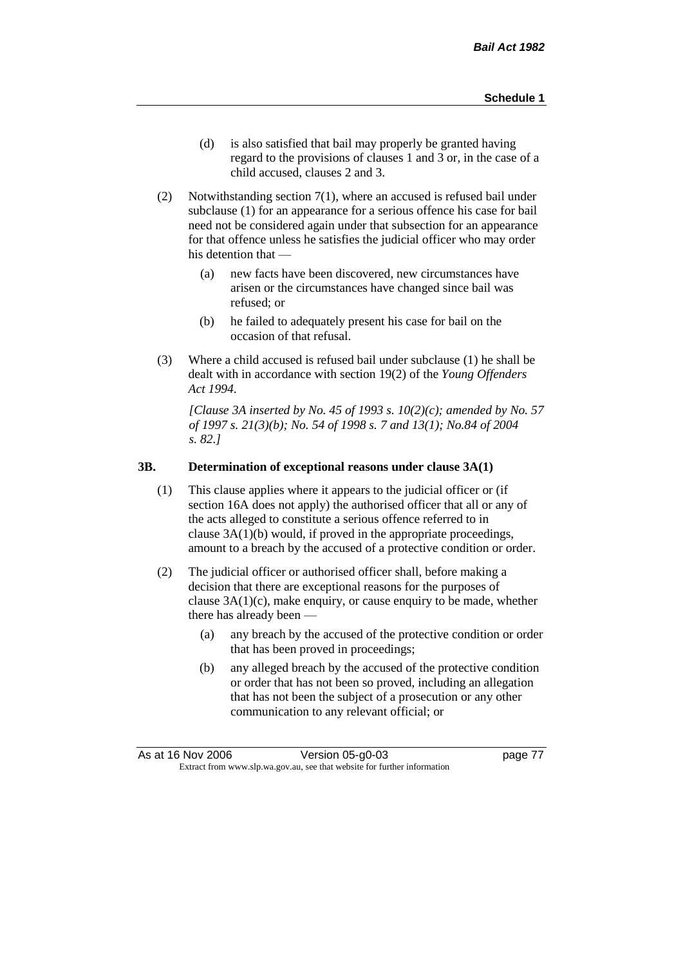- (d) is also satisfied that bail may properly be granted having regard to the provisions of clauses 1 and 3 or, in the case of a child accused, clauses 2 and 3.
- (2) Notwithstanding section 7(1), where an accused is refused bail under subclause (1) for an appearance for a serious offence his case for bail need not be considered again under that subsection for an appearance for that offence unless he satisfies the judicial officer who may order his detention that —
	- (a) new facts have been discovered, new circumstances have arisen or the circumstances have changed since bail was refused; or
	- (b) he failed to adequately present his case for bail on the occasion of that refusal.
- (3) Where a child accused is refused bail under subclause (1) he shall be dealt with in accordance with section 19(2) of the *Young Offenders Act 1994*.

*[Clause 3A inserted by No. 45 of 1993 s. 10(2)(c); amended by No. 57 of 1997 s. 21(3)(b); No. 54 of 1998 s. 7 and 13(1); No.84 of 2004 s. 82.]*

#### **3B. Determination of exceptional reasons under clause 3A(1)**

- (1) This clause applies where it appears to the judicial officer or (if section 16A does not apply) the authorised officer that all or any of the acts alleged to constitute a serious offence referred to in clause 3A(1)(b) would, if proved in the appropriate proceedings, amount to a breach by the accused of a protective condition or order.
- (2) The judicial officer or authorised officer shall, before making a decision that there are exceptional reasons for the purposes of clause  $3A(1)(c)$ , make enquiry, or cause enquiry to be made, whether there has already been -
	- (a) any breach by the accused of the protective condition or order that has been proved in proceedings;
	- (b) any alleged breach by the accused of the protective condition or order that has not been so proved, including an allegation that has not been the subject of a prosecution or any other communication to any relevant official; or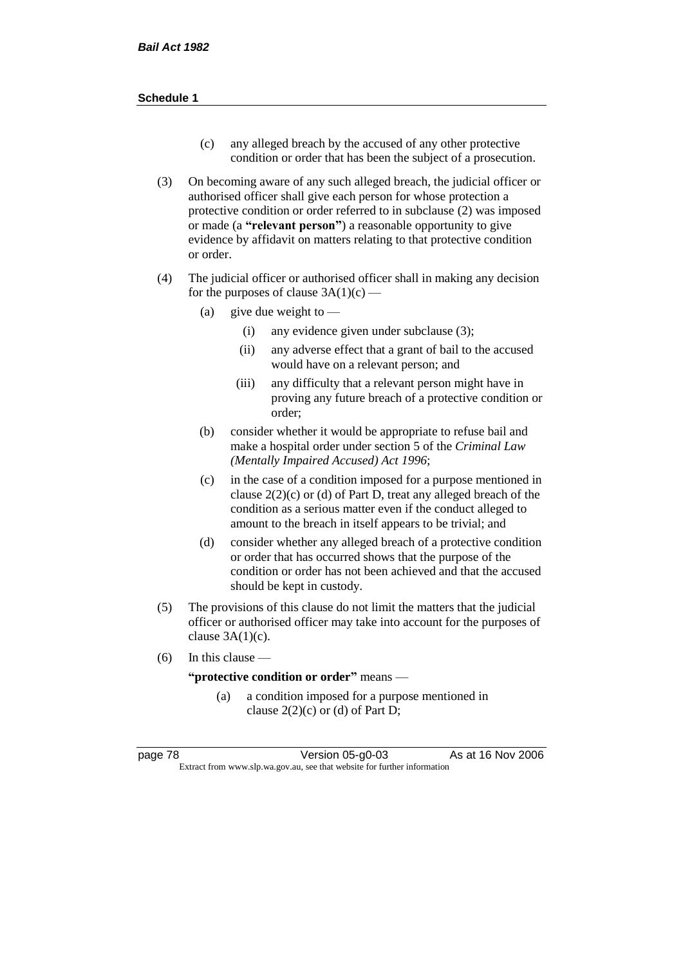- (c) any alleged breach by the accused of any other protective condition or order that has been the subject of a prosecution.
- (3) On becoming aware of any such alleged breach, the judicial officer or authorised officer shall give each person for whose protection a protective condition or order referred to in subclause (2) was imposed or made (a **"relevant person"**) a reasonable opportunity to give evidence by affidavit on matters relating to that protective condition or order.
- (4) The judicial officer or authorised officer shall in making any decision for the purposes of clause  $3A(1)(c)$  —
	- (a) give due weight to  $-$ 
		- (i) any evidence given under subclause (3);
		- (ii) any adverse effect that a grant of bail to the accused would have on a relevant person; and
		- (iii) any difficulty that a relevant person might have in proving any future breach of a protective condition or order;
	- (b) consider whether it would be appropriate to refuse bail and make a hospital order under section 5 of the *Criminal Law (Mentally Impaired Accused) Act 1996*;
	- (c) in the case of a condition imposed for a purpose mentioned in clause  $2(2)(c)$  or (d) of Part D, treat any alleged breach of the condition as a serious matter even if the conduct alleged to amount to the breach in itself appears to be trivial; and
	- (d) consider whether any alleged breach of a protective condition or order that has occurred shows that the purpose of the condition or order has not been achieved and that the accused should be kept in custody.
- (5) The provisions of this clause do not limit the matters that the judicial officer or authorised officer may take into account for the purposes of clause  $3A(1)(c)$ .
- (6) In this clause —

**"protective condition or order"** means —

(a) a condition imposed for a purpose mentioned in clause  $2(2)(c)$  or (d) of Part D;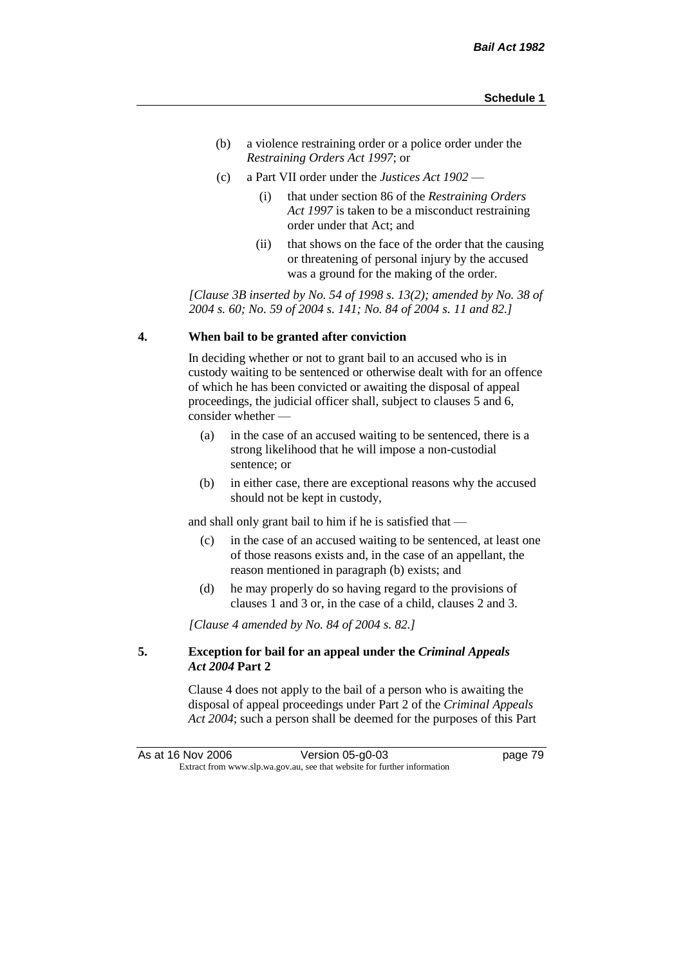- (b) a violence restraining order or a police order under the *Restraining Orders Act 1997*; or
- (c) a Part VII order under the *Justices Act 1902*
	- (i) that under section 86 of the *Restraining Orders Act 1997* is taken to be a misconduct restraining order under that Act; and
	- (ii) that shows on the face of the order that the causing or threatening of personal injury by the accused was a ground for the making of the order.

*[Clause 3B inserted by No. 54 of 1998 s. 13(2); amended by No. 38 of 2004 s. 60; No. 59 of 2004 s. 141; No. 84 of 2004 s. 11 and 82.]*

#### **4. When bail to be granted after conviction**

In deciding whether or not to grant bail to an accused who is in custody waiting to be sentenced or otherwise dealt with for an offence of which he has been convicted or awaiting the disposal of appeal proceedings, the judicial officer shall, subject to clauses 5 and 6, consider whether —

- (a) in the case of an accused waiting to be sentenced, there is a strong likelihood that he will impose a non-custodial sentence; or
- (b) in either case, there are exceptional reasons why the accused should not be kept in custody,

and shall only grant bail to him if he is satisfied that —

- (c) in the case of an accused waiting to be sentenced, at least one of those reasons exists and, in the case of an appellant, the reason mentioned in paragraph (b) exists; and
- (d) he may properly do so having regard to the provisions of clauses 1 and 3 or, in the case of a child, clauses 2 and 3.

*[Clause 4 amended by No. 84 of 2004 s. 82.]*

## **5. Exception for bail for an appeal under the** *Criminal Appeals Act 2004* **Part 2**

Clause 4 does not apply to the bail of a person who is awaiting the disposal of appeal proceedings under Part 2 of the *Criminal Appeals Act 2004*; such a person shall be deemed for the purposes of this Part

As at 16 Nov 2006 Version 05-g0-03 page 79 Extract from www.slp.wa.gov.au, see that website for further information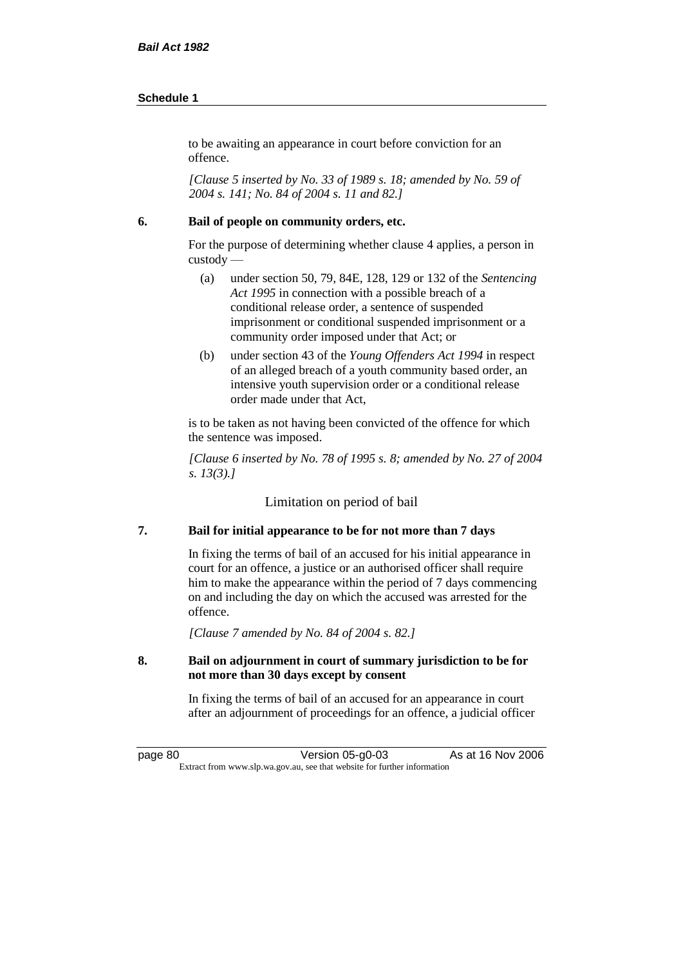to be awaiting an appearance in court before conviction for an offence.

*[Clause 5 inserted by No. 33 of 1989 s. 18; amended by No. 59 of 2004 s. 141; No. 84 of 2004 s. 11 and 82.]*

#### **6. Bail of people on community orders, etc.**

For the purpose of determining whether clause 4 applies, a person in custody —

- (a) under section 50, 79, 84E, 128, 129 or 132 of the *Sentencing Act 1995* in connection with a possible breach of a conditional release order, a sentence of suspended imprisonment or conditional suspended imprisonment or a community order imposed under that Act; or
- (b) under section 43 of the *Young Offenders Act 1994* in respect of an alleged breach of a youth community based order, an intensive youth supervision order or a conditional release order made under that Act,

is to be taken as not having been convicted of the offence for which the sentence was imposed.

*[Clause 6 inserted by No. 78 of 1995 s. 8; amended by No. 27 of 2004 s. 13(3).]*

Limitation on period of bail

## **7. Bail for initial appearance to be for not more than 7 days**

In fixing the terms of bail of an accused for his initial appearance in court for an offence, a justice or an authorised officer shall require him to make the appearance within the period of 7 days commencing on and including the day on which the accused was arrested for the offence.

*[Clause 7 amended by No. 84 of 2004 s. 82.]*

### **8. Bail on adjournment in court of summary jurisdiction to be for not more than 30 days except by consent**

In fixing the terms of bail of an accused for an appearance in court after an adjournment of proceedings for an offence, a judicial officer

page 80 **Version 05-g0-03** As at 16 Nov 2006 Extract from www.slp.wa.gov.au, see that website for further information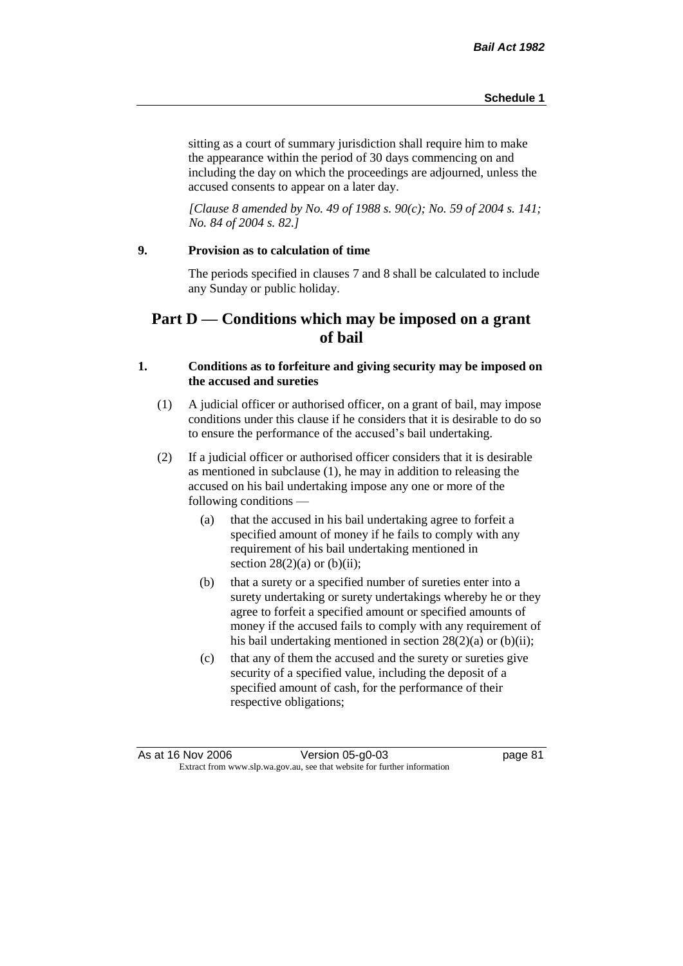sitting as a court of summary jurisdiction shall require him to make the appearance within the period of 30 days commencing on and including the day on which the proceedings are adjourned, unless the accused consents to appear on a later day.

*[Clause 8 amended by No. 49 of 1988 s. 90(c); No. 59 of 2004 s. 141; No. 84 of 2004 s. 82.]*

## **9. Provision as to calculation of time**

The periods specified in clauses 7 and 8 shall be calculated to include any Sunday or public holiday.

# **Part D — Conditions which may be imposed on a grant of bail**

## **1. Conditions as to forfeiture and giving security may be imposed on the accused and sureties**

- (1) A judicial officer or authorised officer, on a grant of bail, may impose conditions under this clause if he considers that it is desirable to do so to ensure the performance of the accused's bail undertaking.
- (2) If a judicial officer or authorised officer considers that it is desirable as mentioned in subclause (1), he may in addition to releasing the accused on his bail undertaking impose any one or more of the following conditions —
	- (a) that the accused in his bail undertaking agree to forfeit a specified amount of money if he fails to comply with any requirement of his bail undertaking mentioned in section  $28(2)(a)$  or (b)(ii);
	- (b) that a surety or a specified number of sureties enter into a surety undertaking or surety undertakings whereby he or they agree to forfeit a specified amount or specified amounts of money if the accused fails to comply with any requirement of his bail undertaking mentioned in section 28(2)(a) or (b)(ii);
	- (c) that any of them the accused and the surety or sureties give security of a specified value, including the deposit of a specified amount of cash, for the performance of their respective obligations;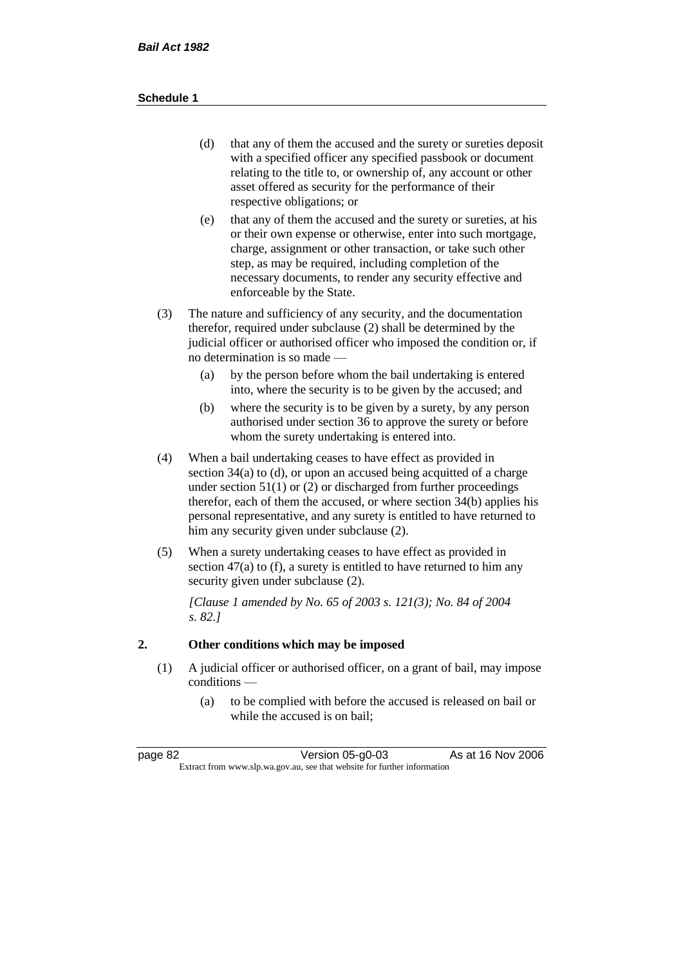- (d) that any of them the accused and the surety or sureties deposit with a specified officer any specified passbook or document relating to the title to, or ownership of, any account or other asset offered as security for the performance of their respective obligations; or
- (e) that any of them the accused and the surety or sureties, at his or their own expense or otherwise, enter into such mortgage, charge, assignment or other transaction, or take such other step, as may be required, including completion of the necessary documents, to render any security effective and enforceable by the State.
- (3) The nature and sufficiency of any security, and the documentation therefor, required under subclause (2) shall be determined by the judicial officer or authorised officer who imposed the condition or, if no determination is so made —
	- (a) by the person before whom the bail undertaking is entered into, where the security is to be given by the accused; and
	- (b) where the security is to be given by a surety, by any person authorised under section 36 to approve the surety or before whom the surety undertaking is entered into.
- (4) When a bail undertaking ceases to have effect as provided in section 34(a) to (d), or upon an accused being acquitted of a charge under section  $51(1)$  or (2) or discharged from further proceedings therefor, each of them the accused, or where section 34(b) applies his personal representative, and any surety is entitled to have returned to him any security given under subclause (2).
- (5) When a surety undertaking ceases to have effect as provided in section 47(a) to (f), a surety is entitled to have returned to him any security given under subclause  $(2)$ .

*[Clause 1 amended by No. 65 of 2003 s. 121(3); No. 84 of 2004 s. 82.]*

# **2. Other conditions which may be imposed**

- (1) A judicial officer or authorised officer, on a grant of bail, may impose conditions —
	- (a) to be complied with before the accused is released on bail or while the accused is on bail;

| page 82                                                                  | Version 05-g0-03 | As at 16 Nov 2006 |
|--------------------------------------------------------------------------|------------------|-------------------|
| Extract from www.slp.wa.gov.au, see that website for further information |                  |                   |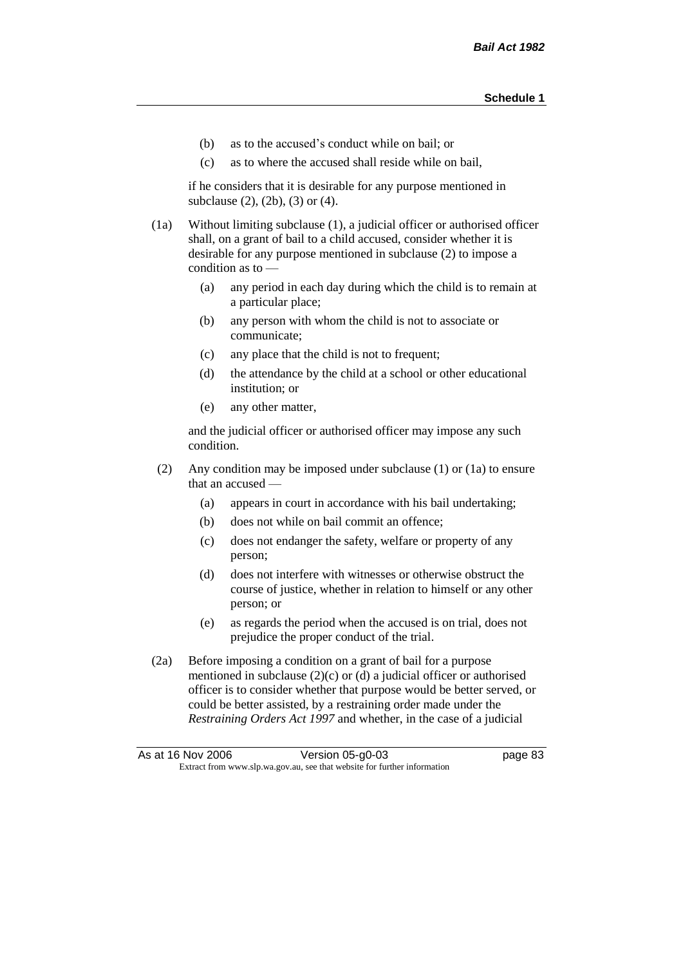- (b) as to the accused's conduct while on bail; or
- (c) as to where the accused shall reside while on bail,

if he considers that it is desirable for any purpose mentioned in subclause (2), (2b), (3) or (4).

(1a) Without limiting subclause (1), a judicial officer or authorised officer shall, on a grant of bail to a child accused, consider whether it is desirable for any purpose mentioned in subclause (2) to impose a condition as to —

- (a) any period in each day during which the child is to remain at a particular place;
- (b) any person with whom the child is not to associate or communicate;
- (c) any place that the child is not to frequent;
- (d) the attendance by the child at a school or other educational institution; or
- (e) any other matter,

and the judicial officer or authorised officer may impose any such condition.

- (2) Any condition may be imposed under subclause (1) or (1a) to ensure that an accused —
	- (a) appears in court in accordance with his bail undertaking;
	- (b) does not while on bail commit an offence;
	- (c) does not endanger the safety, welfare or property of any person;
	- (d) does not interfere with witnesses or otherwise obstruct the course of justice, whether in relation to himself or any other person; or
	- (e) as regards the period when the accused is on trial, does not prejudice the proper conduct of the trial.
- (2a) Before imposing a condition on a grant of bail for a purpose mentioned in subclause (2)(c) or (d) a judicial officer or authorised officer is to consider whether that purpose would be better served, or could be better assisted, by a restraining order made under the *Restraining Orders Act 1997* and whether, in the case of a judicial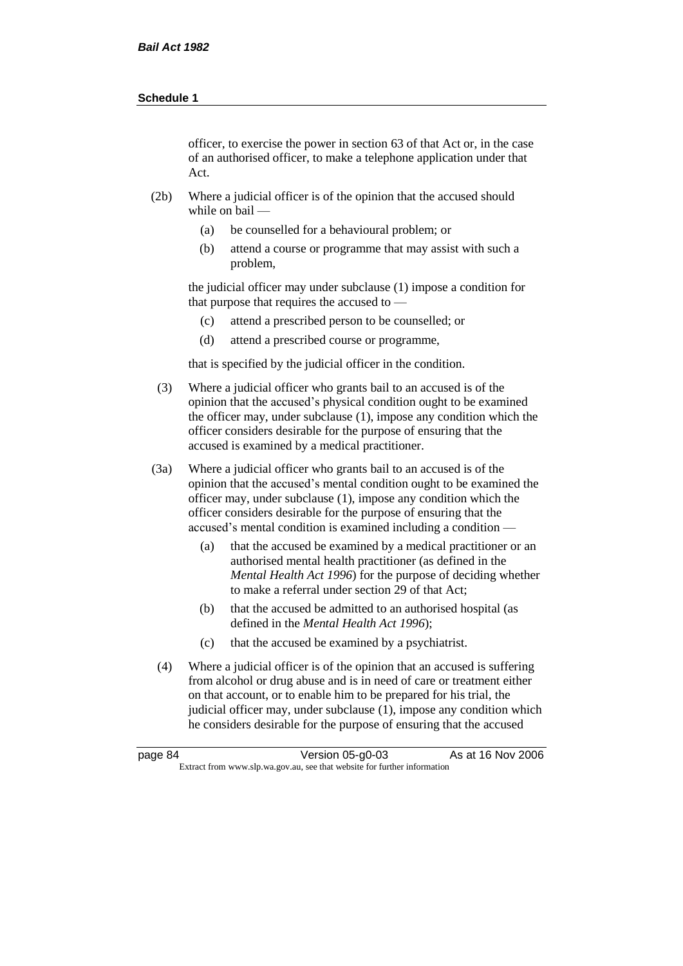officer, to exercise the power in section 63 of that Act or, in the case of an authorised officer, to make a telephone application under that Act.

- (2b) Where a judicial officer is of the opinion that the accused should while on bail —
	- (a) be counselled for a behavioural problem; or
	- (b) attend a course or programme that may assist with such a problem,

the judicial officer may under subclause (1) impose a condition for that purpose that requires the accused to —

- (c) attend a prescribed person to be counselled; or
- (d) attend a prescribed course or programme,

that is specified by the judicial officer in the condition.

- (3) Where a judicial officer who grants bail to an accused is of the opinion that the accused's physical condition ought to be examined the officer may, under subclause (1), impose any condition which the officer considers desirable for the purpose of ensuring that the accused is examined by a medical practitioner.
- (3a) Where a judicial officer who grants bail to an accused is of the opinion that the accused's mental condition ought to be examined the officer may, under subclause (1), impose any condition which the officer considers desirable for the purpose of ensuring that the accused's mental condition is examined including a condition —
	- (a) that the accused be examined by a medical practitioner or an authorised mental health practitioner (as defined in the *Mental Health Act 1996*) for the purpose of deciding whether to make a referral under section 29 of that Act;
	- (b) that the accused be admitted to an authorised hospital (as defined in the *Mental Health Act 1996*);
	- (c) that the accused be examined by a psychiatrist.
- (4) Where a judicial officer is of the opinion that an accused is suffering from alcohol or drug abuse and is in need of care or treatment either on that account, or to enable him to be prepared for his trial, the judicial officer may, under subclause (1), impose any condition which he considers desirable for the purpose of ensuring that the accused

| page 84 | Version 05-g0-03                                                         | As at 16 Nov 2006 |
|---------|--------------------------------------------------------------------------|-------------------|
|         | Extract from www.slp.wa.gov.au, see that website for further information |                   |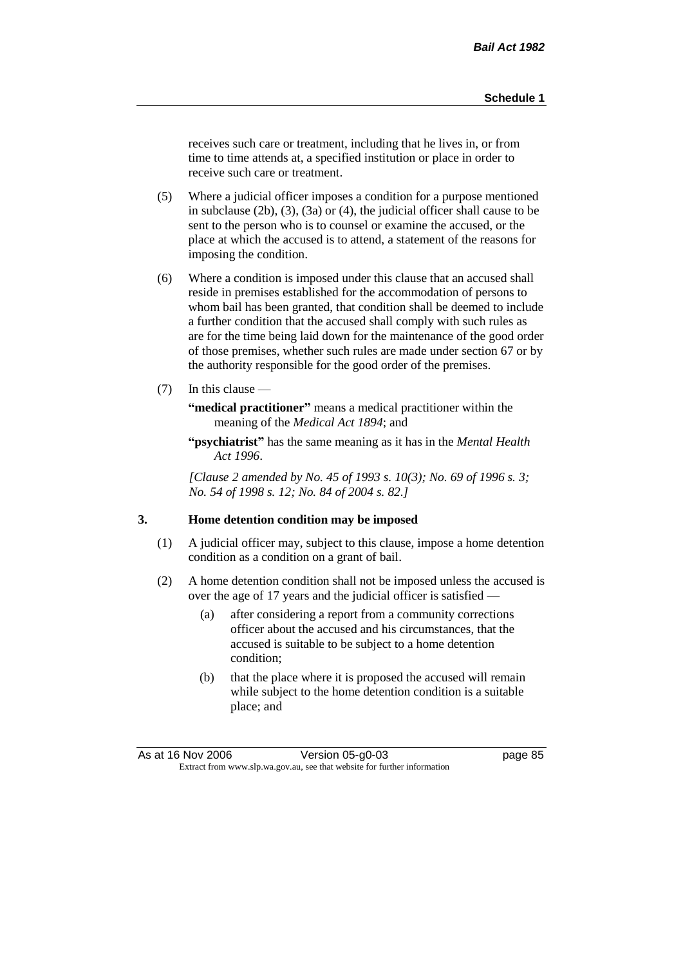receives such care or treatment, including that he lives in, or from time to time attends at, a specified institution or place in order to receive such care or treatment.

- (5) Where a judicial officer imposes a condition for a purpose mentioned in subclause (2b), (3), (3a) or (4), the judicial officer shall cause to be sent to the person who is to counsel or examine the accused, or the place at which the accused is to attend, a statement of the reasons for imposing the condition.
- (6) Where a condition is imposed under this clause that an accused shall reside in premises established for the accommodation of persons to whom bail has been granted, that condition shall be deemed to include a further condition that the accused shall comply with such rules as are for the time being laid down for the maintenance of the good order of those premises, whether such rules are made under section 67 or by the authority responsible for the good order of the premises.
- (7) In this clause —

**"medical practitioner"** means a medical practitioner within the meaning of the *Medical Act 1894*; and

**"psychiatrist"** has the same meaning as it has in the *Mental Health Act 1996*.

*[Clause 2 amended by No. 45 of 1993 s. 10(3); No. 69 of 1996 s. 3; No. 54 of 1998 s. 12; No. 84 of 2004 s. 82.]*

### **3. Home detention condition may be imposed**

- (1) A judicial officer may, subject to this clause, impose a home detention condition as a condition on a grant of bail.
- (2) A home detention condition shall not be imposed unless the accused is over the age of 17 years and the judicial officer is satisfied —
	- (a) after considering a report from a community corrections officer about the accused and his circumstances, that the accused is suitable to be subject to a home detention condition;
	- (b) that the place where it is proposed the accused will remain while subject to the home detention condition is a suitable place; and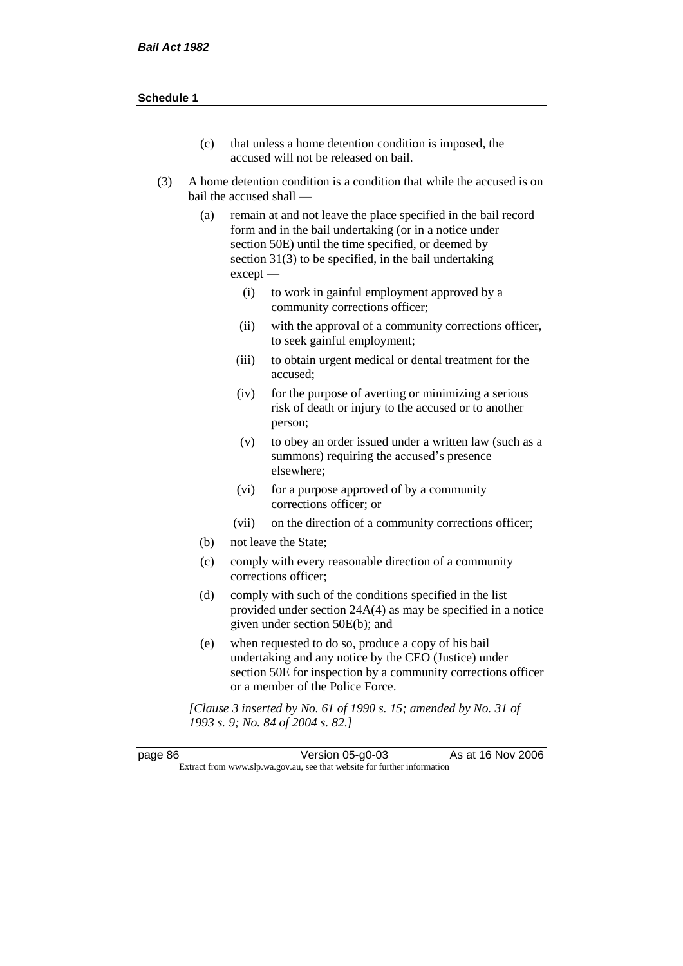- (c) that unless a home detention condition is imposed, the accused will not be released on bail.
- (3) A home detention condition is a condition that while the accused is on bail the accused shall —
	- (a) remain at and not leave the place specified in the bail record form and in the bail undertaking (or in a notice under section 50E) until the time specified, or deemed by section 31(3) to be specified, in the bail undertaking except —
		- (i) to work in gainful employment approved by a community corrections officer;
		- (ii) with the approval of a community corrections officer, to seek gainful employment;
		- (iii) to obtain urgent medical or dental treatment for the accused;
		- (iv) for the purpose of averting or minimizing a serious risk of death or injury to the accused or to another person;
		- (v) to obey an order issued under a written law (such as a summons) requiring the accused's presence elsewhere;
		- (vi) for a purpose approved of by a community corrections officer; or
		- (vii) on the direction of a community corrections officer;
	- (b) not leave the State;
	- (c) comply with every reasonable direction of a community corrections officer;
	- (d) comply with such of the conditions specified in the list provided under section 24A(4) as may be specified in a notice given under section 50E(b); and
	- (e) when requested to do so, produce a copy of his bail undertaking and any notice by the CEO (Justice) under section 50E for inspection by a community corrections officer or a member of the Police Force.

*[Clause 3 inserted by No. 61 of 1990 s. 15; amended by No. 31 of 1993 s. 9; No. 84 of 2004 s. 82.]*

page 86 Version 05-g0-03 As at 16 Nov 2006 Extract from www.slp.wa.gov.au, see that website for further information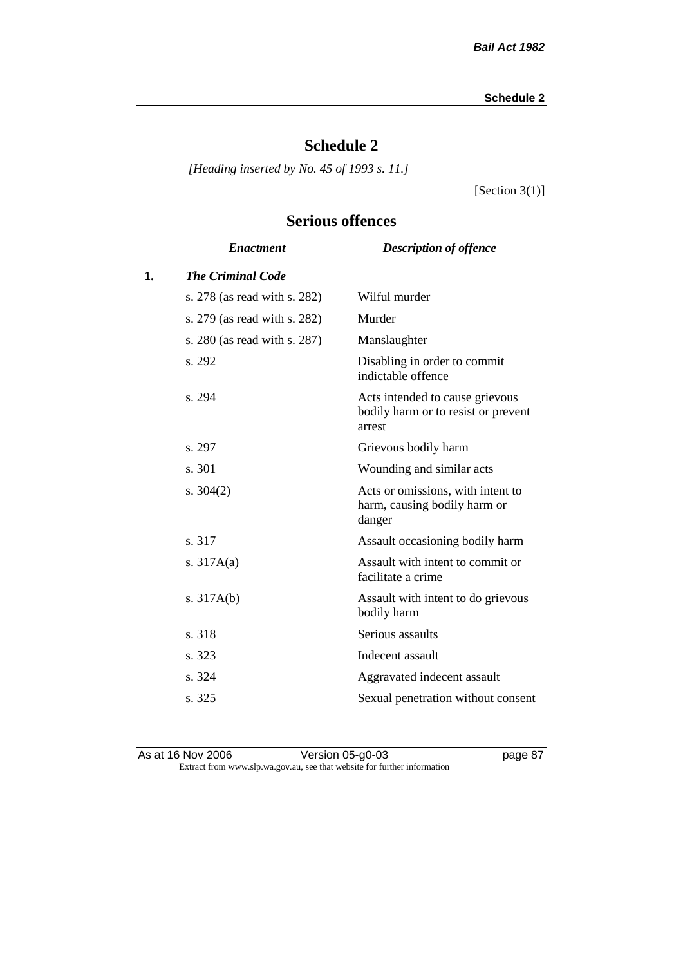# **Schedule 2**

*[Heading inserted by No. 45 of 1993 s. 11.]*

[Section 3(1)]

# **Serious offences**

|    | <b>Enactment</b>             | <b>Description of offence</b>                                                    |
|----|------------------------------|----------------------------------------------------------------------------------|
| 1. | <b>The Criminal Code</b>     |                                                                                  |
|    | s. 278 (as read with s. 282) | Wilful murder                                                                    |
|    | s. 279 (as read with s. 282) | Murder                                                                           |
|    | s. 280 (as read with s. 287) | Manslaughter                                                                     |
|    | s. 292                       | Disabling in order to commit<br>indictable offence                               |
|    | s. 294                       | Acts intended to cause grievous<br>bodily harm or to resist or prevent<br>arrest |
|    | s. 297                       | Grievous bodily harm                                                             |
|    | s. 301                       | Wounding and similar acts                                                        |
|    | s. $304(2)$                  | Acts or omissions, with intent to<br>harm, causing bodily harm or<br>danger      |
|    | s. 317                       | Assault occasioning bodily harm                                                  |
|    | s. $317A(a)$                 | Assault with intent to commit or<br>facilitate a crime                           |
|    | s. $317A(b)$                 | Assault with intent to do grievous<br>bodily harm                                |
|    | s. 318                       | Serious assaults                                                                 |
|    | s. 323                       | Indecent assault                                                                 |
|    | s. 324                       | Aggravated indecent assault                                                      |
|    | s. 325                       | Sexual penetration without consent                                               |
|    |                              |                                                                                  |

As at 16 Nov 2006 **Version 05-g0-03 Page 87** Extract from www.slp.wa.gov.au, see that website for further information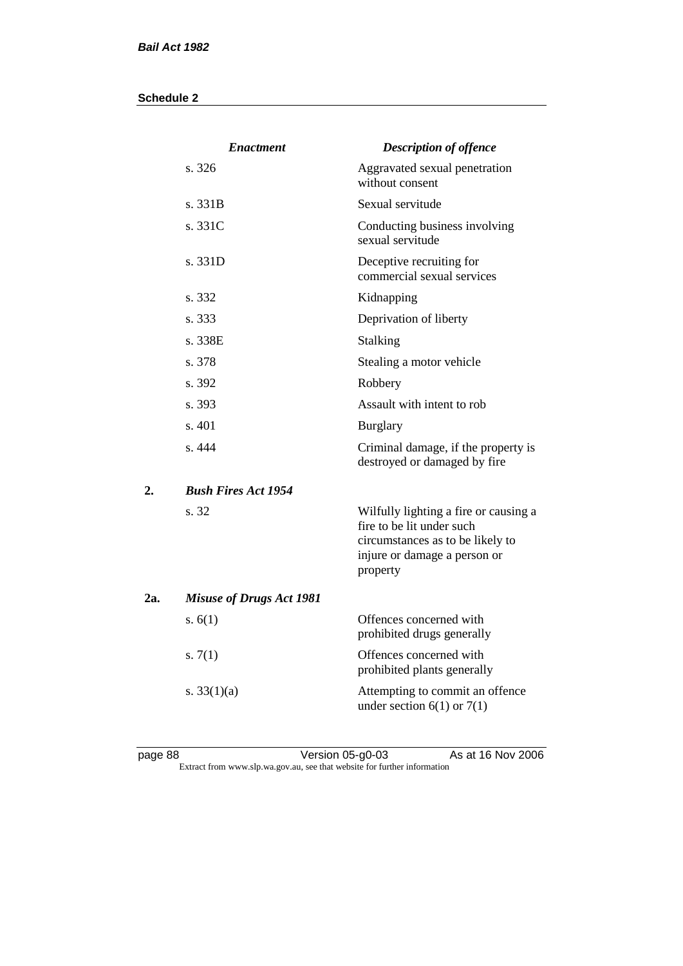|     | <b>Enactment</b>                | <b>Description of offence</b>                                                                                                                      |
|-----|---------------------------------|----------------------------------------------------------------------------------------------------------------------------------------------------|
|     | s. 326                          | Aggravated sexual penetration<br>without consent                                                                                                   |
|     | s.331B                          | Sexual servitude                                                                                                                                   |
|     | s. 331C                         | Conducting business involving<br>sexual servitude                                                                                                  |
|     | s. 331D                         | Deceptive recruiting for<br>commercial sexual services                                                                                             |
|     | s. 332                          | Kidnapping                                                                                                                                         |
|     | s. 333                          | Deprivation of liberty                                                                                                                             |
|     | s. 338E                         | Stalking                                                                                                                                           |
|     | s. 378                          | Stealing a motor vehicle                                                                                                                           |
|     | s. 392                          | Robbery                                                                                                                                            |
|     | s. 393                          | Assault with intent to rob                                                                                                                         |
|     | s. 401                          | <b>Burglary</b>                                                                                                                                    |
|     | s. 444                          | Criminal damage, if the property is<br>destroyed or damaged by fire                                                                                |
| 2.  | <b>Bush Fires Act 1954</b>      |                                                                                                                                                    |
|     | s. 32                           | Wilfully lighting a fire or causing a<br>fire to be lit under such<br>circumstances as to be likely to<br>injure or damage a person or<br>property |
| 2а. | <b>Misuse of Drugs Act 1981</b> |                                                                                                                                                    |
|     | s. $6(1)$                       | Offences concerned with<br>prohibited drugs generally                                                                                              |
|     | s. $7(1)$                       | Offences concerned with<br>prohibited plants generally                                                                                             |
|     | s. $33(1)(a)$                   | Attempting to commit an offence<br>under section $6(1)$ or $7(1)$                                                                                  |

page 88 **Access 18 Version 05-g0-03** As at 16 Nov 2006 Extract from www.slp.wa.gov.au, see that website for further information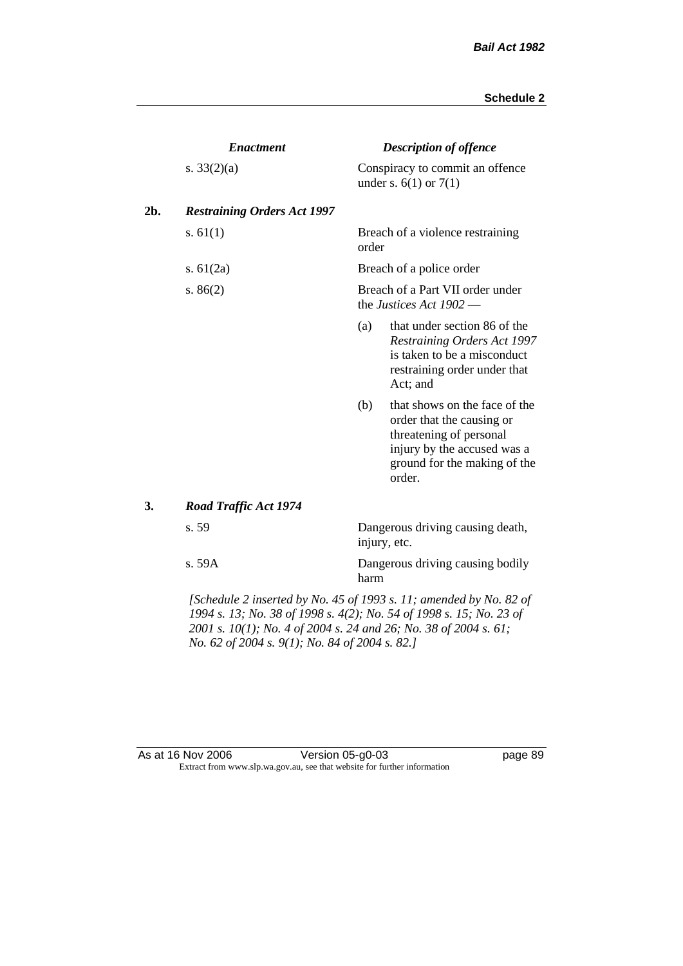|     | <b>Enactment</b>                                                                                                                                                                                                                                                                                               |                                                               | <b>Description of offence</b>                                                                                                                                  |  |
|-----|----------------------------------------------------------------------------------------------------------------------------------------------------------------------------------------------------------------------------------------------------------------------------------------------------------------|---------------------------------------------------------------|----------------------------------------------------------------------------------------------------------------------------------------------------------------|--|
|     | s. $33(2)(a)$                                                                                                                                                                                                                                                                                                  |                                                               | Conspiracy to commit an offence<br>under s. $6(1)$ or $7(1)$                                                                                                   |  |
| 2b. | <b>Restraining Orders Act 1997</b>                                                                                                                                                                                                                                                                             |                                                               |                                                                                                                                                                |  |
|     | s. $61(1)$                                                                                                                                                                                                                                                                                                     | order                                                         | Breach of a violence restraining                                                                                                                               |  |
|     | s. $61(2a)$                                                                                                                                                                                                                                                                                                    | Breach of a police order                                      |                                                                                                                                                                |  |
|     | s. $86(2)$                                                                                                                                                                                                                                                                                                     | Breach of a Part VII order under<br>the Justices Act $1902$ — |                                                                                                                                                                |  |
|     |                                                                                                                                                                                                                                                                                                                | (a)                                                           | that under section 86 of the<br><b>Restraining Orders Act 1997</b><br>is taken to be a misconduct<br>restraining order under that<br>Act; and                  |  |
|     |                                                                                                                                                                                                                                                                                                                | (b)                                                           | that shows on the face of the<br>order that the causing or<br>threatening of personal<br>injury by the accused was a<br>ground for the making of the<br>order. |  |
| 3.  | <b>Road Traffic Act 1974</b>                                                                                                                                                                                                                                                                                   |                                                               |                                                                                                                                                                |  |
|     | s. 59                                                                                                                                                                                                                                                                                                          | Dangerous driving causing death,<br>injury, etc.              |                                                                                                                                                                |  |
|     | s. 59A                                                                                                                                                                                                                                                                                                         | harm                                                          | Dangerous driving causing bodily                                                                                                                               |  |
|     | $\mathcal{L}$ contains $\mathcal{L}$ is a contradict in $\mathcal{L}$ of $\mathcal{L}$ and $\mathcal{L}$ are in $\mathcal{L}$ and $\mathcal{L}$ and $\mathcal{L}$ and $\mathcal{L}$ and $\mathcal{L}$ and $\mathcal{L}$ and $\mathcal{L}$ and $\mathcal{L}$ and $\mathcal{L}$ and $\mathcal{L}$ and $\mathcal$ |                                                               |                                                                                                                                                                |  |

*[Schedule 2 inserted by No. 45 of 1993 s. 11; amended by No. 82 of 1994 s. 13; No. 38 of 1998 s. 4(2); No. 54 of 1998 s. 15; No. 23 of 2001 s. 10(1); No. 4 of 2004 s. 24 and 26; No. 38 of 2004 s. 61; No. 62 of 2004 s. 9(1); No. 84 of 2004 s. 82.]* 

#### As at 16 Nov 2006 Version 05-g0-03 page 89 Extract from www.slp.wa.gov.au, see that website for further information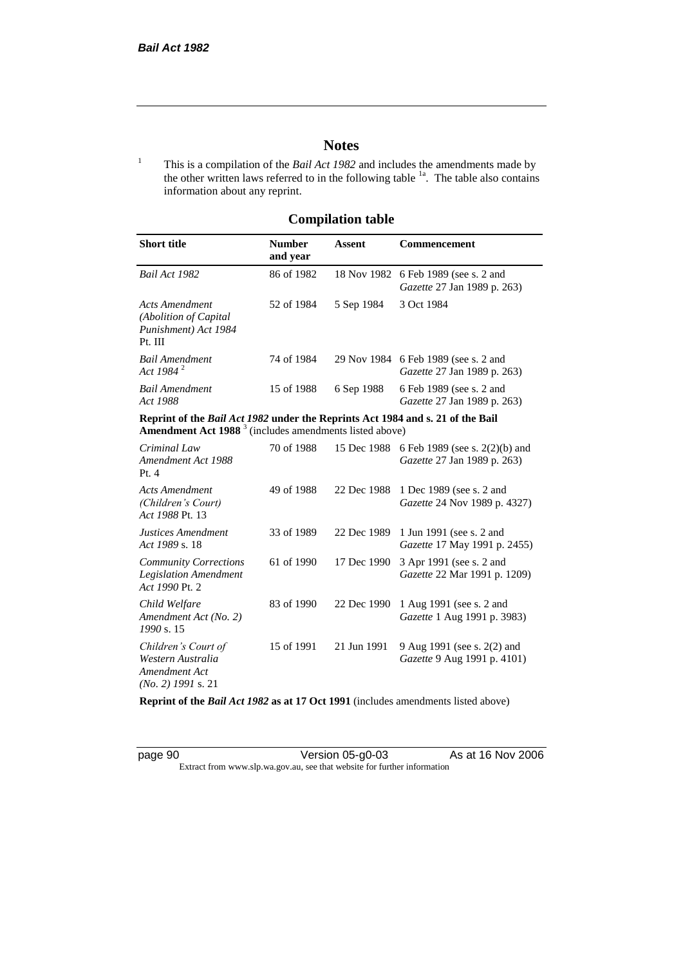# **Notes**

<sup>1</sup> This is a compilation of the *Bail Act 1982* and includes the amendments made by the other written laws referred to in the following table  $1a$ . The table also contains information about any reprint.

# **Compilation table**

| <b>Short title</b>                                                          | <b>Number</b><br>and year | Assent     | <b>Commencement</b>                                                        |
|-----------------------------------------------------------------------------|---------------------------|------------|----------------------------------------------------------------------------|
| Bail Act 1982                                                               | 86 of 1982                |            | 18 Nov 1982 6 Feb 1989 (see s. 2 and<br><i>Gazette</i> 27 Jan 1989 p. 263) |
| Acts Amendment<br>(Abolition of Capital)<br>Punishment) Act 1984<br>Pt. III | 52 of 1984                | 5 Sep 1984 | 3 Oct 1984                                                                 |
| <b>Bail Amendment</b><br>Act 1984 <sup>2</sup>                              | 74 of 1984                |            | 29 Nov 1984 6 Feb 1989 (see s. 2 and<br><i>Gazette</i> 27 Jan 1989 p. 263) |
| <b>Bail Amendment</b><br>Act 1988                                           | 15 of 1988                | 6 Sep 1988 | 6 Feb 1989 (see s. 2 and<br><i>Gazette</i> 27 Jan 1989 p. 263)             |

**Reprint of the** *Bail Act 1982* **under the Reprints Act 1984 and s. 21 of the Bail Amendment Act 1988** <sup>3</sup> (includes amendments listed above)

| Criminal Law<br>Amendment Act 1988<br>Pt.4                                        | 70 of 1988 | 15 Dec 1988 | 6 Feb 1989 (see s. 2(2)(b) and<br>Gazette 27 Jan 1989 p. 263)     |
|-----------------------------------------------------------------------------------|------------|-------------|-------------------------------------------------------------------|
| <b>Acts Amendment</b><br>(Children's Court)<br>Act 1988 Pt. 13                    | 49 of 1988 | 22 Dec 1988 | 1 Dec 1989 (see s. 2 and<br><i>Gazette</i> 24 Nov 1989 p. 4327)   |
| Justices Amendment<br>Act 1989 s. 18                                              | 33 of 1989 | 22 Dec 1989 | 1 Jun 1991 (see s. 2 and<br><i>Gazette</i> 17 May 1991 p. 2455)   |
| <b>Community Corrections</b><br><b>Legislation Amendment</b><br>Act 1990 Pt. 2    | 61 of 1990 | 17 Dec 1990 | 3 Apr 1991 (see s. 2 and<br><i>Gazette</i> 22 Mar 1991 p. 1209)   |
| Child Welfare<br>Amendment Act (No. 2)<br>1990 s. 15                              | 83 of 1990 | 22 Dec 1990 | 1 Aug 1991 (see s. 2 and<br><i>Gazette</i> 1 Aug 1991 p. 3983)    |
| Children's Court of<br>Western Australia<br>Amendment Act<br>$(No. 2)$ 1991 s. 21 | 15 of 1991 | 21 Jun 1991 | 9 Aug 1991 (see s. 2(2) and<br><i>Gazette</i> 9 Aug 1991 p. 4101) |

**Reprint of the** *Bail Act 1982* **as at 17 Oct 1991** (includes amendments listed above)

page 90 **Version 05-g0-03** As at 16 Nov 2006 Extract from www.slp.wa.gov.au, see that website for further information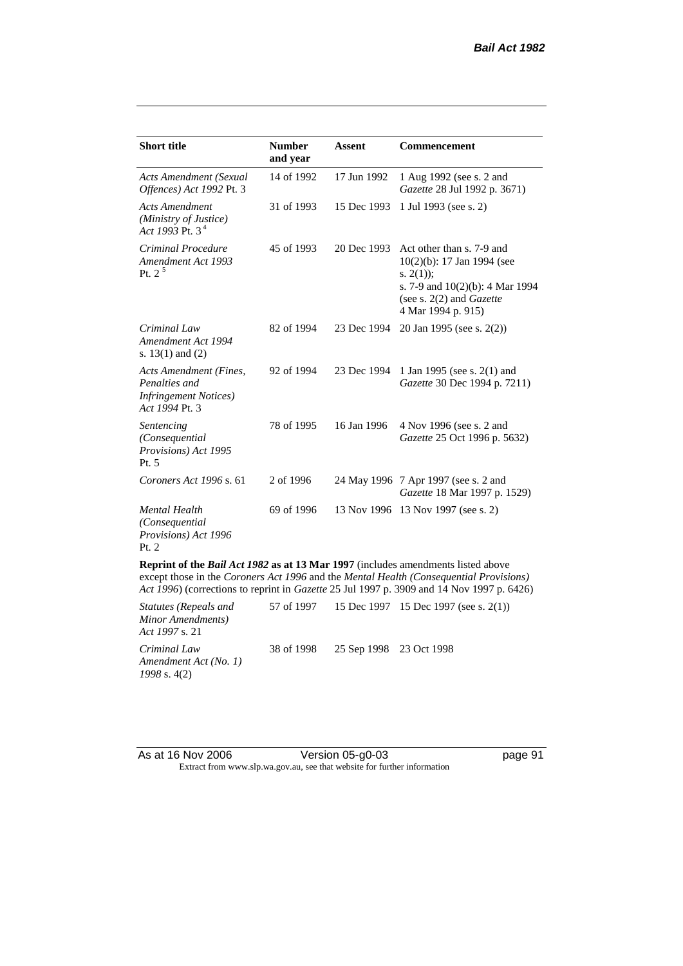| <b>Short title</b>                                                                         | <b>Number</b><br>and year | <b>Assent</b> | Commencement                                                                                                                                                               |
|--------------------------------------------------------------------------------------------|---------------------------|---------------|----------------------------------------------------------------------------------------------------------------------------------------------------------------------------|
| <b>Acts Amendment (Sexual</b><br>Offences) Act 1992 Pt. 3                                  | 14 of 1992                | 17 Jun 1992   | 1 Aug 1992 (see s. 2 and<br>Gazette 28 Jul 1992 p. 3671)                                                                                                                   |
| <b>Acts Amendment</b><br>(Ministry of Justice)<br>Act 1993 Pt. $3^4$                       | 31 of 1993                | 15 Dec 1993   | 1 Jul 1993 (see s. 2)                                                                                                                                                      |
| Criminal Procedure<br>Amendment Act 1993<br>Pt. $2^5$                                      | 45 of 1993                | 20 Dec 1993   | Act other than s. 7-9 and<br>$10(2)(b)$ : 17 Jan 1994 (see<br>s. $2(1)$ ;<br>s. 7-9 and $10(2)(b)$ : 4 Mar 1994<br>(see s. $2(2)$ and <i>Gazette</i><br>4 Mar 1994 p. 915) |
| Criminal Law<br>Amendment Act 1994<br>s. $13(1)$ and $(2)$                                 | 82 of 1994                | 23 Dec 1994   | 20 Jan 1995 (see s. 2(2))                                                                                                                                                  |
| Acts Amendment (Fines,<br>Penalties and<br><b>Infringement Notices</b> )<br>Act 1994 Pt. 3 | 92 of 1994                | 23 Dec 1994   | 1 Jan 1995 (see s. 2(1) and<br>Gazette 30 Dec 1994 p. 7211)                                                                                                                |
| Sentencing<br>(Consequential<br>Provisions) Act 1995<br>Pt. 5                              | 78 of 1995                | 16 Jan 1996   | 4 Nov 1996 (see s. 2 and<br>Gazette 25 Oct 1996 p. 5632)                                                                                                                   |
| Coroners Act 1996 s. 61                                                                    | 2 of 1996                 |               | 24 May 1996 7 Apr 1997 (see s. 2 and<br>Gazette 18 Mar 1997 p. 1529)                                                                                                       |
| <b>Mental Health</b><br>(Consequential<br>Provisions) Act 1996<br>Pt. 2                    | 69 of 1996                |               | 13 Nov 1996 13 Nov 1997 (see s. 2)                                                                                                                                         |
| Reprint of the Bail Act 1982 as at 13 Mar 1997 (includes amendments listed above           |                           |               | except those in the Coroners Act 1996 and the Mental Health (Consequential Provisions)                                                                                     |

*Act 1996*) (corrections to reprint in *Gazette* 25 Jul 1997 p. 3909 and 14 Nov 1997 p. 6426)

| <i>Statutes (Repeals and</i><br>Minor Amendments)<br><i>Act 1997 s.</i> 21 |                                    | 57 of 1997 15 Dec 1997 15 Dec 1997 (see s. 2(1)) |
|----------------------------------------------------------------------------|------------------------------------|--------------------------------------------------|
| Criminal Law<br>Amendment Act (No. 1)<br>$1998$ s. 4(2)                    | 38 of 1998 25 Sep 1998 23 Oct 1998 |                                                  |

| As at 16 Nov 2006 | Version 05-g0-03                                                         |
|-------------------|--------------------------------------------------------------------------|
|                   | Extract from www.slp.wa.gov.au, see that website for further information |

page 91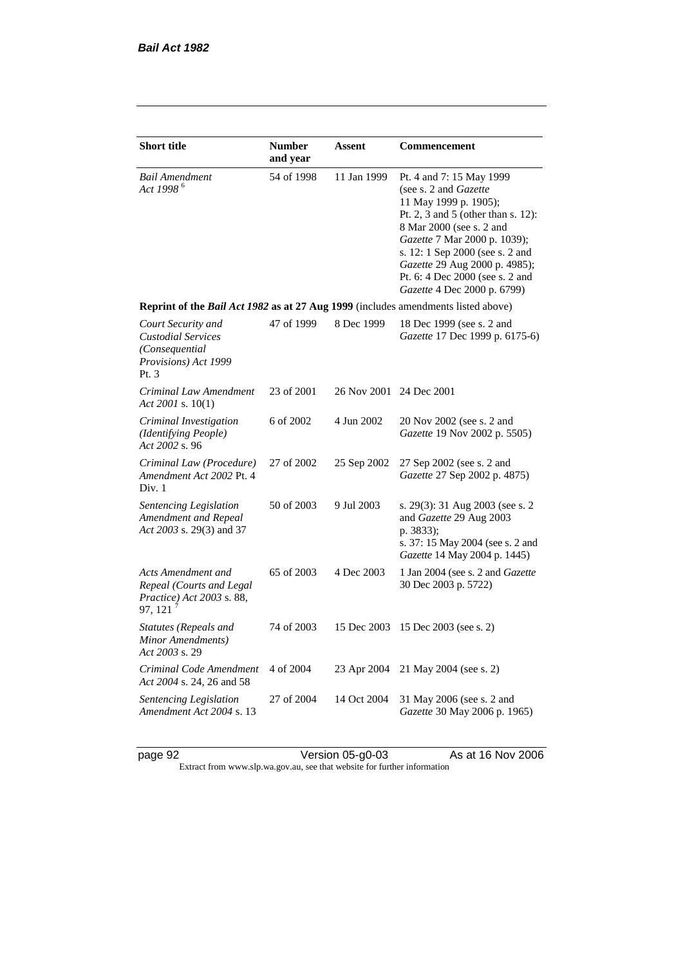| <b>Short title</b>                                                                                 | <b>Number</b><br>and year | Assent                  | Commencement                                                                                                                                                                                                                                                                                                       |  |
|----------------------------------------------------------------------------------------------------|---------------------------|-------------------------|--------------------------------------------------------------------------------------------------------------------------------------------------------------------------------------------------------------------------------------------------------------------------------------------------------------------|--|
| <b>Bail Amendment</b><br>Act 1998 <sup>6</sup>                                                     | 54 of 1998                | 11 Jan 1999             | Pt. 4 and 7: 15 May 1999<br>(see s. 2 and Gazette<br>11 May 1999 p. 1905);<br>Pt. 2, 3 and 5 (other than s. 12):<br>8 Mar 2000 (see s. 2 and<br>Gazette 7 Mar 2000 p. 1039);<br>s. 12: 1 Sep 2000 (see s. 2 and<br>Gazette 29 Aug 2000 p. 4985);<br>Pt. 6: 4 Dec 2000 (see s. 2 and<br>Gazette 4 Dec 2000 p. 6799) |  |
| Reprint of the <i>Bail Act 1982</i> as at 27 Aug 1999 (includes amendments listed above)           |                           |                         |                                                                                                                                                                                                                                                                                                                    |  |
| Court Security and<br><b>Custodial Services</b><br>(Consequential<br>Provisions) Act 1999<br>Pt. 3 | 47 of 1999                | 8 Dec 1999              | 18 Dec 1999 (see s. 2 and<br>Gazette 17 Dec 1999 p. 6175-6)                                                                                                                                                                                                                                                        |  |
| Criminal Law Amendment<br>Act 2001 s. 10(1)                                                        | 23 of 2001                | 26 Nov 2001 24 Dec 2001 |                                                                                                                                                                                                                                                                                                                    |  |
| Criminal Investigation<br>(Identifying People)<br>Act 2002 s. 96                                   | 6 of 2002                 | 4 Jun 2002              | 20 Nov 2002 (see s. 2 and<br>Gazette 19 Nov 2002 p. 5505)                                                                                                                                                                                                                                                          |  |
| Criminal Law (Procedure)<br>Amendment Act 2002 Pt. 4<br>Div. 1                                     | 27 of 2002                | 25 Sep 2002             | 27 Sep 2002 (see s. 2 and<br>Gazette 27 Sep 2002 p. 4875)                                                                                                                                                                                                                                                          |  |
| Sentencing Legislation<br>Amendment and Repeal<br>Act 2003 s. 29(3) and 37                         | 50 of 2003                | 9 Jul 2003              | s. 29(3): 31 Aug 2003 (see s. 2<br>and Gazette 29 Aug 2003<br>p. 3833);<br>s. 37: 15 May 2004 (see s. 2 and<br>Gazette 14 May 2004 p. 1445)                                                                                                                                                                        |  |
| Acts Amendment and<br>Repeal (Courts and Legal<br>Practice) Act 2003 s. 88,<br>97, 121 $^7$        | 65 of 2003                | 4 Dec 2003              | 1 Jan 2004 (see s. 2 and Gazette<br>30 Dec 2003 p. 5722)                                                                                                                                                                                                                                                           |  |
| <b>Statutes (Repeals and</b><br>Minor Amendments)<br>Act 2003 s. 29                                | 74 of 2003                | 15 Dec 2003             | 15 Dec 2003 (see s. 2)                                                                                                                                                                                                                                                                                             |  |
| Criminal Code Amendment<br>Act 2004 s. 24, 26 and 58                                               | 4 of 2004                 | 23 Apr 2004             | 21 May 2004 (see s. 2)                                                                                                                                                                                                                                                                                             |  |
| Sentencing Legislation<br>Amendment Act 2004 s. 13                                                 | 27 of 2004                | 14 Oct 2004             | 31 May 2006 (see s. 2 and<br>Gazette 30 May 2006 p. 1965)                                                                                                                                                                                                                                                          |  |

page 92 **blue 12 Contract 2006** Version 05-g0-03 **As at 16 Nov 2006** Extract from www.slp.wa.gov.au, see that website for further information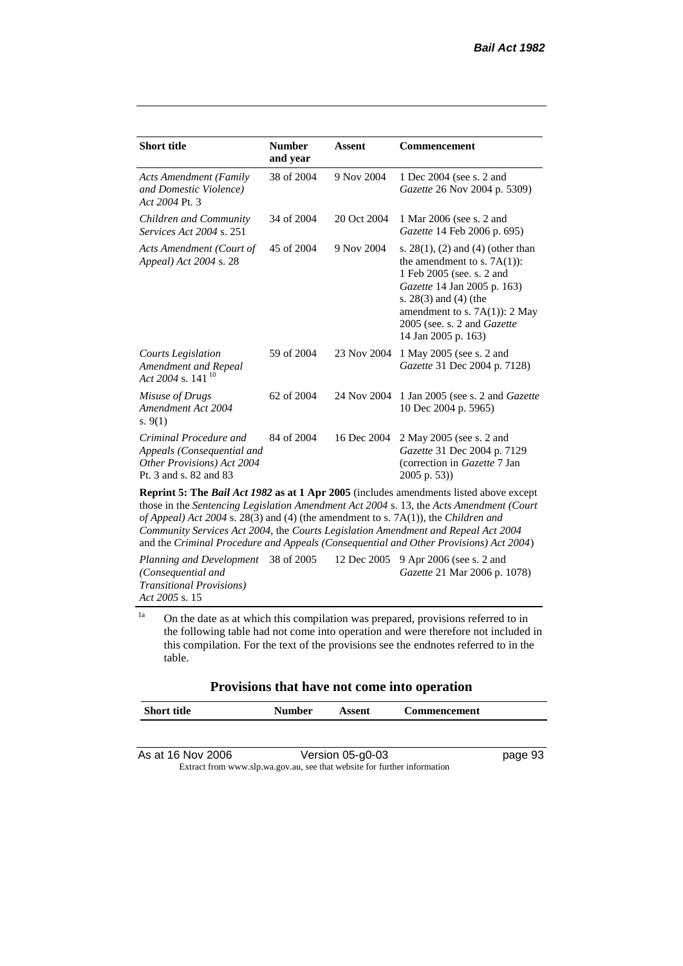| <b>Short title</b>                                                                                           | <b>Number</b><br>and year | <b>Assent</b> | <b>Commencement</b>                                                                                                                                                                                                                                          |  |  |
|--------------------------------------------------------------------------------------------------------------|---------------------------|---------------|--------------------------------------------------------------------------------------------------------------------------------------------------------------------------------------------------------------------------------------------------------------|--|--|
| <b>Acts Amendment (Family</b><br>and Domestic Violence)<br>Act 2004 Pt. 3                                    | 38 of 2004                | 9 Nov 2004    | 1 Dec 2004 (see s. 2 and<br>Gazette 26 Nov 2004 p. 5309)                                                                                                                                                                                                     |  |  |
| Children and Community<br><i>Services Act 2004 s. 251</i>                                                    | 34 of 2004                | 20 Oct 2004   | 1 Mar 2006 (see s. 2 and<br>Gazette 14 Feb 2006 p. 695)                                                                                                                                                                                                      |  |  |
| Acts Amendment (Court of<br>Appeal) Act 2004 s. 28                                                           | 45 of 2004                | 9 Nov 2004    | s. $28(1)$ , (2) and (4) (other than<br>the amendment to s. $7A(1)$ :<br>1 Feb 2005 (see, s. 2 and<br><i>Gazette</i> 14 Jan 2005 p. 163)<br>s. $28(3)$ and $(4)$ (the<br>amendment to s. 7A(1)): 2 May<br>2005 (see. s. 2 and Gazette<br>14 Jan 2005 p. 163) |  |  |
| <b>Courts Legislation</b><br>Amendment and Repeal<br>Act 2004 s. 141 <sup>10</sup>                           | 59 of 2004                | 23 Nov 2004   | 1 May 2005 (see s. 2 and<br>Gazette 31 Dec 2004 p. 7128)                                                                                                                                                                                                     |  |  |
| Misuse of Drugs<br>Amendment Act 2004<br>s. $9(1)$                                                           | 62 of 2004                | 24 Nov 2004   | 1 Jan 2005 (see s. 2 and <i>Gazette</i><br>10 Dec 2004 p. 5965)                                                                                                                                                                                              |  |  |
| Criminal Procedure and<br>Appeals (Consequential and<br>Other Provisions) Act 2004<br>Pt. 3 and s. 82 and 83 | 84 of 2004                | 16 Dec 2004   | 2 May 2005 (see s. 2 and<br>Gazette 31 Dec 2004 p. 7129<br>(correction in Gazette 7 Jan<br>$2005$ p. 53))                                                                                                                                                    |  |  |
| <b>Reprint 5: The Bail Act 1982 as at 1 Apr 2005</b> (includes amendments listed above except                |                           |               |                                                                                                                                                                                                                                                              |  |  |

those in the *Sentencing Legislation Amendment Act 2004* s. 13, the *Acts Amendment (Court of Appeal) Act 2004* s. 28(3) and (4) (the amendment to s. 7A(1)), the *Children and Community Services Act 2004*, the *Courts Legislation Amendment and Repeal Act 2004* and the *Criminal Procedure and Appeals (Consequential and Other Provisions) Act 2004*)

*Planning and Development (Consequential and Transitional Provisions) Act 2005* s. 15 12 Dec 2005 9 Apr 2006 (see s. 2 and *Gazette* 21 Mar 2006 p. 1078)

<sup>1a</sup> On the date as at which this compilation was prepared, provisions referred to in the following table had not come into operation and were therefore not included in this compilation. For the text of the provisions see the endnotes referred to in the table.

#### **Provisions that have not come into operation**

| Short title | <b>Number</b> | Assent | <b>Commencement</b> |  |
|-------------|---------------|--------|---------------------|--|
|             |               |        |                     |  |
|             |               |        |                     |  |
|             |               |        |                     |  |

As at 16 Nov 2006 Version 05-g0-03 page 93 Extract from www.slp.wa.gov.au, see that website for further information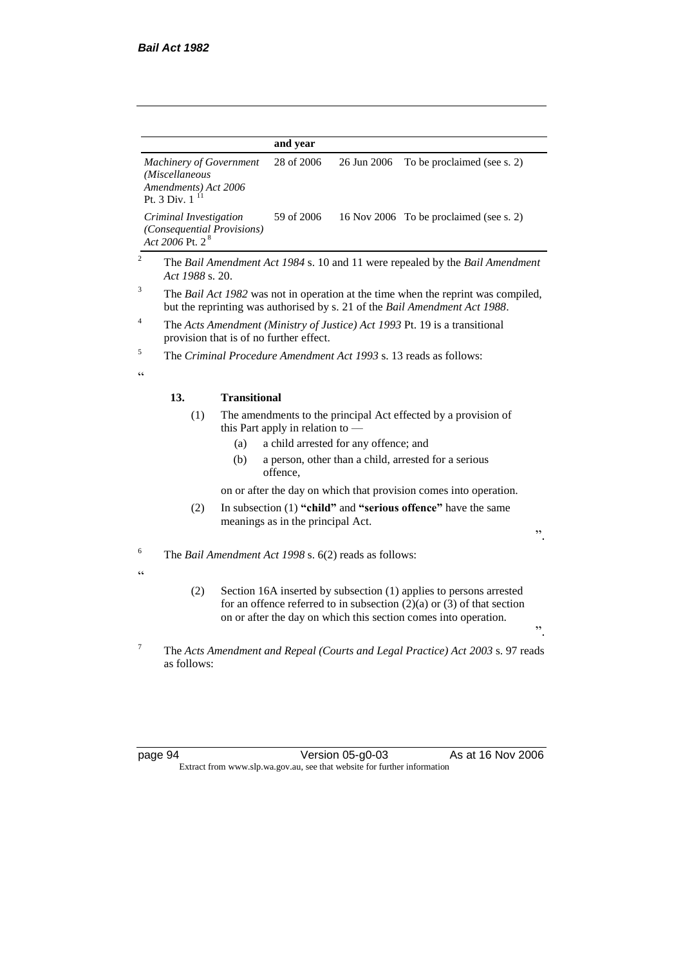#### **and year**

```
Machinery of Government 
(Miscellaneous 
Amendments) Act 2006
Pt. 3 Div. 1<sup>11</sup>28 of 2006 26 Jun 2006 To be proclaimed (see s. 2)
Criminal Investigation 
(Consequential Provisions) 
Act 2006 Pt. 2
8
                             59 of 2006 16 Nov 2006 To be proclaimed (see s. 2)
```
- <sup>2</sup> The *Bail Amendment Act 1984* s. 10 and 11 were repealed by the *Bail Amendment Act 1988* s. 20.
- <sup>3</sup> The *Bail Act 1982* was not in operation at the time when the reprint was compiled, but the reprinting was authorised by s. 21 of the *Bail Amendment Act 1988*.
- <sup>4</sup> The *Acts Amendment (Ministry of Justice) Act 1993* Pt. 19 is a transitional provision that is of no further effect.
- <sup>5</sup> The *Criminal Procedure Amendment Act 1993* s. 13 reads as follows:

 $\epsilon$ 

#### **13. Transitional**

- (1) The amendments to the principal Act effected by a provision of this Part apply in relation to —
	- (a) a child arrested for any offence; and
	- (b) a person, other than a child, arrested for a serious offence,

on or after the day on which that provision comes into operation.

(2) In subsection (1) **"child"** and **"serious offence"** have the same meanings as in the principal Act.

".

<sup>6</sup> The *Bail Amendment Act 1998* s. 6(2) reads as follows:

- $\epsilon$
- (2) Section 16A inserted by subsection (1) applies to persons arrested for an offence referred to in subsection  $(2)(a)$  or  $(3)$  of that section on or after the day on which this section comes into operation.

".

<sup>7</sup> The *Acts Amendment and Repeal (Courts and Legal Practice) Act 2003* s. 97 reads as follows:

page 94 Version 05-g0-03 As at 16 Nov 2006 Extract from www.slp.wa.gov.au, see that website for further information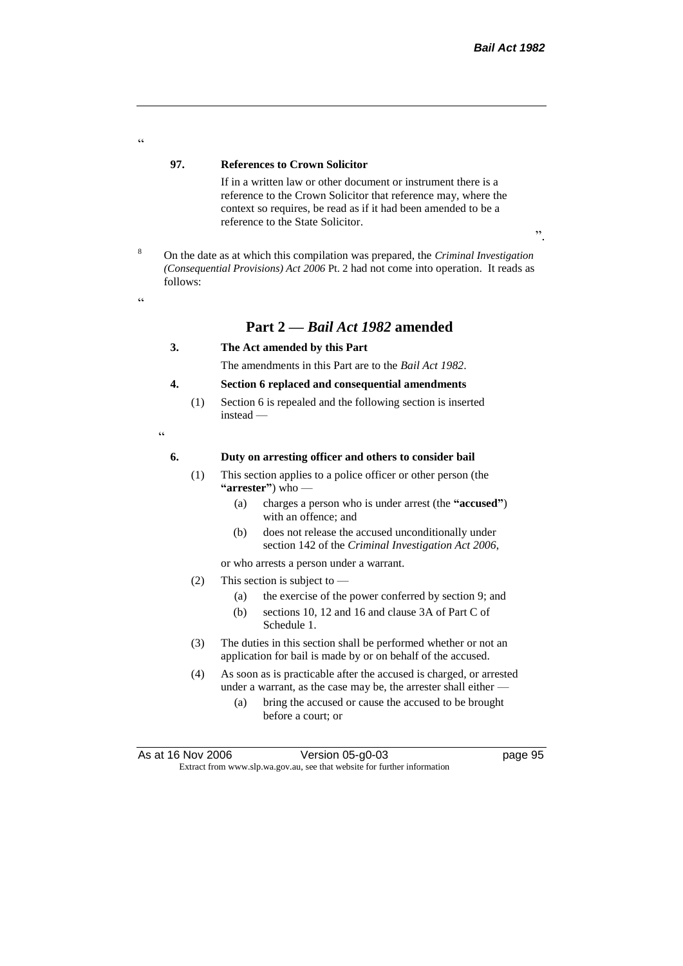".

#### **97. References to Crown Solicitor**

If in a written law or other document or instrument there is a reference to the Crown Solicitor that reference may, where the context so requires, be read as if it had been amended to be a reference to the State Solicitor.

<sup>8</sup> On the date as at which this compilation was prepared, the *Criminal Investigation (Consequential Provisions) Act 2006* Pt. 2 had not come into operation. It reads as follows:

<u>،</u>

 $\alpha$ 

# **Part 2 —** *Bail Act 1982* **amended**

#### **3. The Act amended by this Part**

The amendments in this Part are to the *Bail Act 1982*.

#### **4. Section 6 replaced and consequential amendments**

(1) Section 6 is repealed and the following section is inserted instead —

.<br>C

#### **6. Duty on arresting officer and others to consider bail**

- (1) This section applies to a police officer or other person (the **"arrester"**) who —
	- (a) charges a person who is under arrest (the **"accused"**) with an offence; and
	- (b) does not release the accused unconditionally under section 142 of the *Criminal Investigation Act 2006*,

or who arrests a person under a warrant.

- (2) This section is subject to
	- (a) the exercise of the power conferred by section 9; and
	- (b) sections 10, 12 and 16 and clause 3A of Part C of Schedule 1.
- (3) The duties in this section shall be performed whether or not an application for bail is made by or on behalf of the accused.
- (4) As soon as is practicable after the accused is charged, or arrested under a warrant, as the case may be, the arrester shall either —
	- (a) bring the accused or cause the accused to be brought before a court; or

As at 16 Nov 2006 Version 05-g0-03 page 95 Extract from www.slp.wa.gov.au, see that website for further information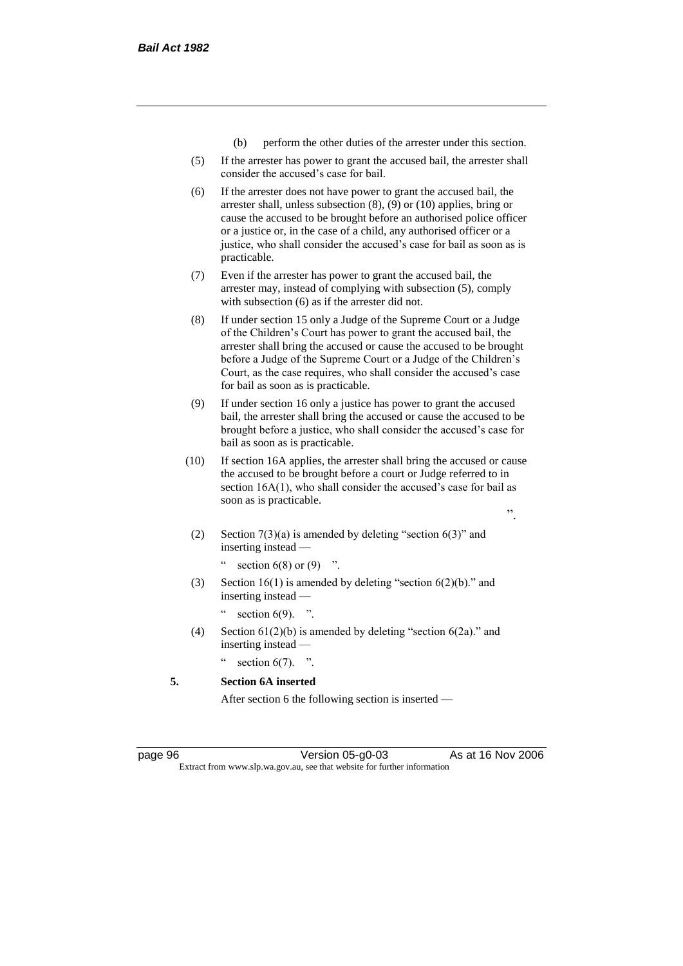- (b) perform the other duties of the arrester under this section.
- (5) If the arrester has power to grant the accused bail, the arrester shall consider the accused's case for bail.
- (6) If the arrester does not have power to grant the accused bail, the arrester shall, unless subsection (8), (9) or (10) applies, bring or cause the accused to be brought before an authorised police officer or a justice or, in the case of a child, any authorised officer or a justice, who shall consider the accused's case for bail as soon as is practicable.
- (7) Even if the arrester has power to grant the accused bail, the arrester may, instead of complying with subsection (5), comply with subsection  $(6)$  as if the arrester did not.
- (8) If under section 15 only a Judge of the Supreme Court or a Judge of the Children's Court has power to grant the accused bail, the arrester shall bring the accused or cause the accused to be brought before a Judge of the Supreme Court or a Judge of the Children's Court, as the case requires, who shall consider the accused's case for bail as soon as is practicable.
- (9) If under section 16 only a justice has power to grant the accused bail, the arrester shall bring the accused or cause the accused to be brought before a justice, who shall consider the accused's case for bail as soon as is practicable.
- (10) If section 16A applies, the arrester shall bring the accused or cause the accused to be brought before a court or Judge referred to in section 16A(1), who shall consider the accused's case for bail as soon as is practicable.
	- ".
	- (2) Section  $7(3)(a)$  is amended by deleting "section  $6(3)$ " and inserting instead —

" section  $6(8)$  or  $(9)$  ".

(3) Section  $16(1)$  is amended by deleting "section  $6(2)(b)$ ." and inserting instead —

section  $6(9)$ . ".

(4) Section  $61(2)(b)$  is amended by deleting "section  $6(2a)$ ." and inserting instead —

section  $6(7)$ . ".

**5. Section 6A inserted**

After section 6 the following section is inserted —

page 96 Version 05-g0-03 As at 16 Nov 2006 Extract from www.slp.wa.gov.au, see that website for further information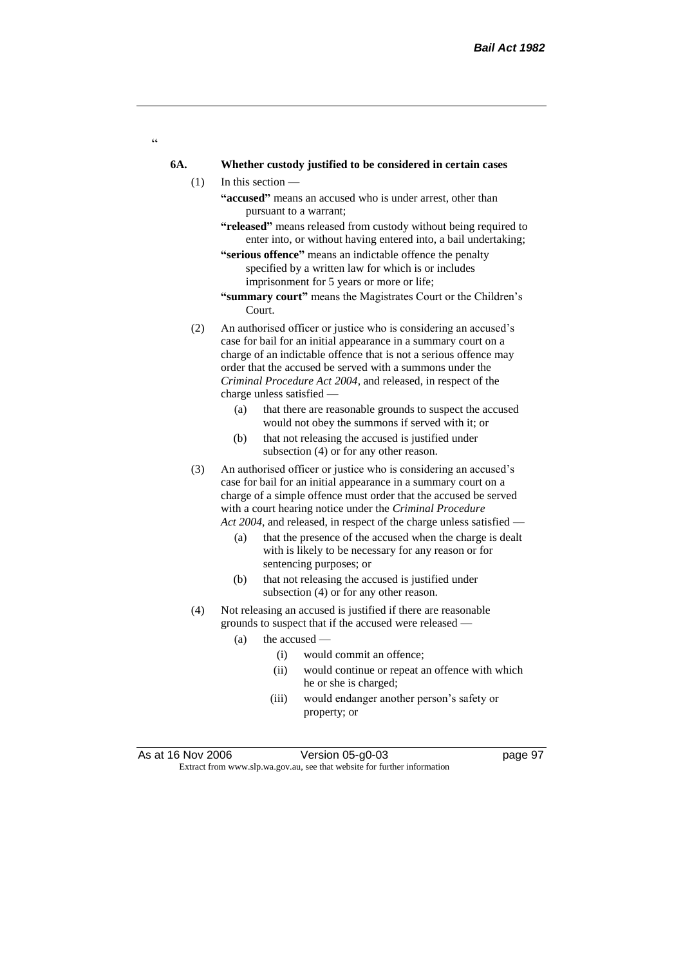#### **6A. Whether custody justified to be considered in certain cases**

 $(1)$  In this section —

 $\alpha$ 

- **"accused"** means an accused who is under arrest, other than pursuant to a warrant;
- **"released"** means released from custody without being required to enter into, or without having entered into, a bail undertaking;
- **"serious offence"** means an indictable offence the penalty specified by a written law for which is or includes imprisonment for 5 years or more or life;
- **"summary court"** means the Magistrates Court or the Children's Court.
- (2) An authorised officer or justice who is considering an accused's case for bail for an initial appearance in a summary court on a charge of an indictable offence that is not a serious offence may order that the accused be served with a summons under the *Criminal Procedure Act 2004*, and released, in respect of the charge unless satisfied —
	- (a) that there are reasonable grounds to suspect the accused would not obey the summons if served with it; or
	- (b) that not releasing the accused is justified under subsection (4) or for any other reason.
- (3) An authorised officer or justice who is considering an accused's case for bail for an initial appearance in a summary court on a charge of a simple offence must order that the accused be served with a court hearing notice under the *Criminal Procedure Act 2004*, and released, in respect of the charge unless satisfied —
	- (a) that the presence of the accused when the charge is dealt with is likely to be necessary for any reason or for sentencing purposes; or
	- (b) that not releasing the accused is justified under subsection (4) or for any other reason.
- (4) Not releasing an accused is justified if there are reasonable grounds to suspect that if the accused were released —
	- (a) the accused
		- (i) would commit an offence;
		- (ii) would continue or repeat an offence with which he or she is charged;
		- (iii) would endanger another person's safety or property; or

As at 16 Nov 2006 Version 05-g0-03 Page 97 Extract from www.slp.wa.gov.au, see that website for further information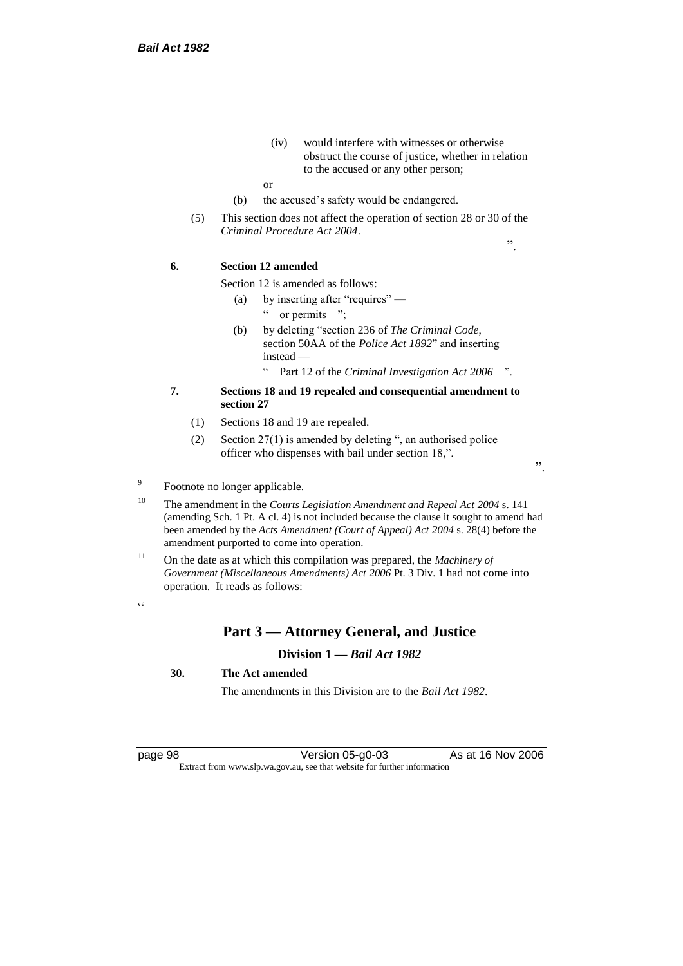- (iv) would interfere with witnesses or otherwise obstruct the course of justice, whether in relation to the accused or any other person;
- or
- (b) the accused's safety would be endangered.
- (5) This section does not affect the operation of section 28 or 30 of the *Criminal Procedure Act 2004*.

#### **6. Section 12 amended**

Section 12 is amended as follows:

- (a) by inserting after "requires" " or permits ";
- (b) by deleting "section 236 of *The Criminal Code*, section 50AA of the *Police Act 1892*" and inserting instead —
	- " Part 12 of the *Criminal Investigation Act 2006* ".
- **7. Sections 18 and 19 repealed and consequential amendment to section 27**
	- (1) Sections 18 and 19 are repealed.
	- (2) Section 27(1) is amended by deleting ", an authorised police officer who dispenses with bail under section 18,".

".

".

#### 9 Footnote no longer applicable.

- <sup>10</sup> The amendment in the *Courts Legislation Amendment and Repeal Act 2004* s. 141 (amending Sch. 1 Pt. A cl. 4) is not included because the clause it sought to amend had been amended by the *Acts Amendment (Court of Appeal) Act 2004* s. 28(4) before the amendment purported to come into operation.
- <sup>11</sup> On the date as at which this compilation was prepared, the *Machinery of Government (Miscellaneous Amendments) Act 2006* Pt. 3 Div. 1 had not come into operation. It reads as follows:

 $\epsilon$   $\epsilon$ 

### **Part 3 — Attorney General, and Justice**

#### **Division 1 —** *Bail Act 1982*

#### **30. The Act amended**

The amendments in this Division are to the *Bail Act 1982*.

page 98 **Version 05-g0-03** As at 16 Nov 2006 Extract from www.slp.wa.gov.au, see that website for further information